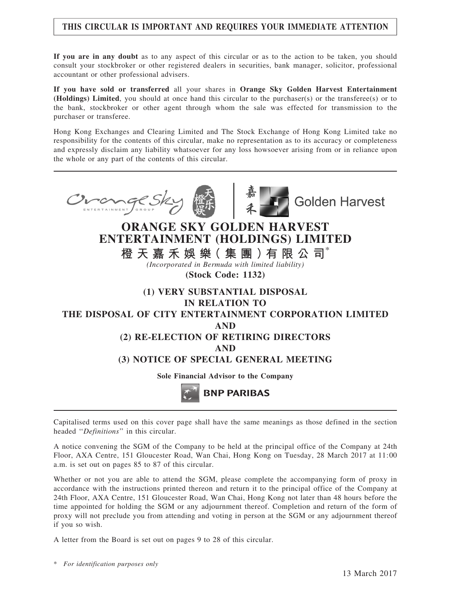## THIS CIRCULAR IS IMPORTANT AND REQUIRES YOUR IMMEDIATE ATTENTION

If you are in any doubt as to any aspect of this circular or as to the action to be taken, you should consult your stockbroker or other registered dealers in securities, bank manager, solicitor, professional accountant or other professional advisers.

If you have sold or transferred all your shares in Orange Sky Golden Harvest Entertainment (Holdings) Limited, you should at once hand this circular to the purchaser(s) or the transferee(s) or to the bank, stockbroker or other agent through whom the sale was effected for transmission to the purchaser or transferee.

Hong Kong Exchanges and Clearing Limited and The Stock Exchange of Hong Kong Limited take no responsibility for the contents of this circular, make no representation as to its accuracy or completeness and expressly disclaim any liability whatsoever for any loss howsoever arising from or in reliance upon the whole or any part of the contents of this circular.





**Golden Harvest** 

# ORANGE SKY GOLDEN HARVEST ENTERTAINMENT (HOLDINGS) LIMITED

橙 天 嘉 禾 娛 樂( 集 團 )有 限 公 司\*

(Incorporated in Bermuda with limited liability) (Stock Code: 1132)

# (1) VERY SUBSTANTIAL DISPOSAL IN RELATION TO THE DISPOSAL OF CITY ENTERTAINMENT CORPORATION LIMITED AND (2) RE-ELECTION OF RETIRING DIRECTORS AND (3) NOTICE OF SPECIAL GENERAL MEETING Sole Financial Advisor to the Company **BNP PARIBAS**

Capitalised terms used on this cover page shall have the same meanings as those defined in the section headed "Definitions" in this circular.

A notice convening the SGM of the Company to be held at the principal office of the Company at 24th Floor, AXA Centre, 151 Gloucester Road, Wan Chai, Hong Kong on Tuesday, 28 March 2017 at 11:00 a.m. is set out on pages 85 to 87 of this circular.

Whether or not you are able to attend the SGM, please complete the accompanying form of proxy in accordance with the instructions printed thereon and return it to the principal office of the Company at 24th Floor, AXA Centre, 151 Gloucester Road, Wan Chai, Hong Kong not later than 48 hours before the time appointed for holding the SGM or any adjournment thereof. Completion and return of the form of proxy will not preclude you from attending and voting in person at the SGM or any adjournment thereof if you so wish.

A letter from the Board is set out on pages 9 to 28 of this circular.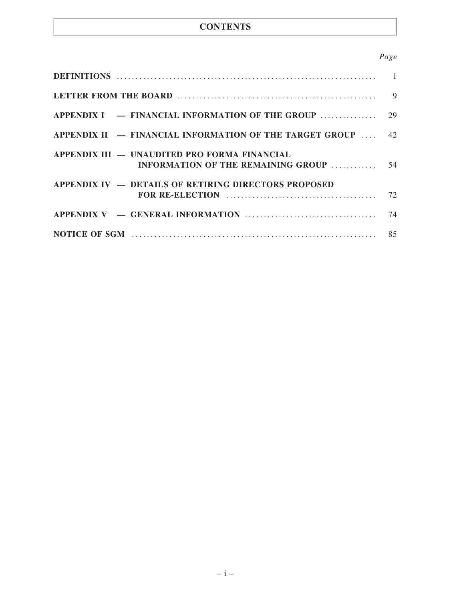## **CONTENTS**

## Page

|                                                                                               | 9 |
|-----------------------------------------------------------------------------------------------|---|
|                                                                                               |   |
| APPENDIX II $-$ FINANCIAL INFORMATION OF THE TARGET GROUP $\ldots$ 42                         |   |
| APPENDIX III — UNAUDITED PRO FORMA FINANCIAL<br><b>INFORMATION OF THE REMAINING GROUP  54</b> |   |
| <b>APPENDIX IV – DETAILS OF RETIRING DIRECTORS PROPOSED</b>                                   |   |
|                                                                                               |   |
|                                                                                               |   |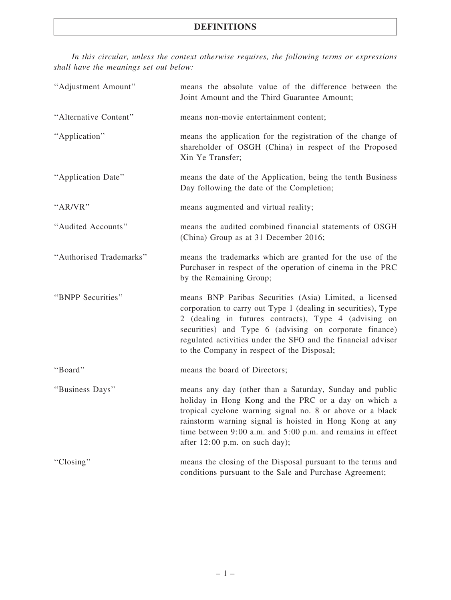In this circular, unless the context otherwise requires, the following terms or expressions shall have the meanings set out below:

| "Adjustment Amount"     | means the absolute value of the difference between the<br>Joint Amount and the Third Guarantee Amount;                                                                                                                                                                                                                                                    |
|-------------------------|-----------------------------------------------------------------------------------------------------------------------------------------------------------------------------------------------------------------------------------------------------------------------------------------------------------------------------------------------------------|
| "Alternative Content"   | means non-movie entertainment content;                                                                                                                                                                                                                                                                                                                    |
| "Application"           | means the application for the registration of the change of<br>shareholder of OSGH (China) in respect of the Proposed<br>Xin Ye Transfer;                                                                                                                                                                                                                 |
| "Application Date"      | means the date of the Application, being the tenth Business<br>Day following the date of the Completion;                                                                                                                                                                                                                                                  |
| "AR/VR"                 | means augmented and virtual reality;                                                                                                                                                                                                                                                                                                                      |
| "Audited Accounts"      | means the audited combined financial statements of OSGH<br>(China) Group as at 31 December 2016;                                                                                                                                                                                                                                                          |
| "Authorised Trademarks" | means the trademarks which are granted for the use of the<br>Purchaser in respect of the operation of cinema in the PRC<br>by the Remaining Group;                                                                                                                                                                                                        |
| "BNPP Securities"       | means BNP Paribas Securities (Asia) Limited, a licensed<br>corporation to carry out Type 1 (dealing in securities), Type<br>2 (dealing in futures contracts), Type 4 (advising on<br>securities) and Type 6 (advising on corporate finance)<br>regulated activities under the SFO and the financial adviser<br>to the Company in respect of the Disposal; |
| "Board"                 | means the board of Directors;                                                                                                                                                                                                                                                                                                                             |
| "Business Days"         | means any day (other than a Saturday, Sunday and public<br>holiday in Hong Kong and the PRC or a day on which a<br>tropical cyclone warning signal no. 8 or above or a black<br>rainstorm warning signal is hoisted in Hong Kong at any<br>time between 9:00 a.m. and 5:00 p.m. and remains in effect<br>after $12:00$ p.m. on such day);                 |
| "Closing"               | means the closing of the Disposal pursuant to the terms and<br>conditions pursuant to the Sale and Purchase Agreement;                                                                                                                                                                                                                                    |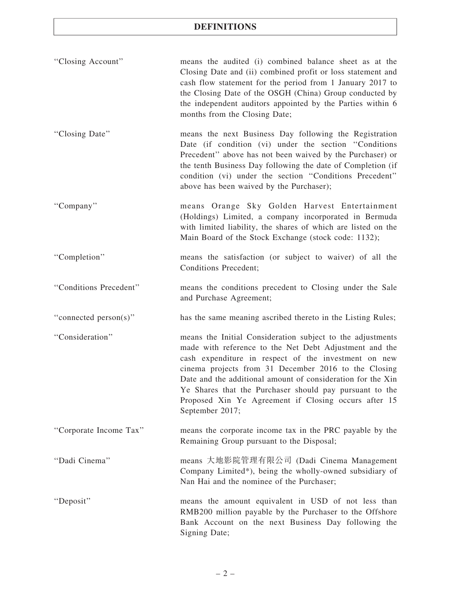| "Closing Account"      | means the audited (i) combined balance sheet as at the<br>Closing Date and (ii) combined profit or loss statement and<br>cash flow statement for the period from 1 January 2017 to<br>the Closing Date of the OSGH (China) Group conducted by<br>the independent auditors appointed by the Parties within 6<br>months from the Closing Date;                                                                                              |
|------------------------|-------------------------------------------------------------------------------------------------------------------------------------------------------------------------------------------------------------------------------------------------------------------------------------------------------------------------------------------------------------------------------------------------------------------------------------------|
| "Closing Date"         | means the next Business Day following the Registration<br>Date (if condition (vi) under the section "Conditions"<br>Precedent" above has not been waived by the Purchaser) or<br>the tenth Business Day following the date of Completion (if<br>condition (vi) under the section "Conditions Precedent"<br>above has been waived by the Purchaser);                                                                                       |
| "Company"              | means Orange Sky Golden Harvest Entertainment<br>(Holdings) Limited, a company incorporated in Bermuda<br>with limited liability, the shares of which are listed on the<br>Main Board of the Stock Exchange (stock code: 1132);                                                                                                                                                                                                           |
| "Completion"           | means the satisfaction (or subject to waiver) of all the<br>Conditions Precedent;                                                                                                                                                                                                                                                                                                                                                         |
| "Conditions Precedent" | means the conditions precedent to Closing under the Sale<br>and Purchase Agreement;                                                                                                                                                                                                                                                                                                                                                       |
| "connected person(s)"  | has the same meaning ascribed thereto in the Listing Rules;                                                                                                                                                                                                                                                                                                                                                                               |
| "Consideration"        | means the Initial Consideration subject to the adjustments<br>made with reference to the Net Debt Adjustment and the<br>cash expenditure in respect of the investment on new<br>cinema projects from 31 December 2016 to the Closing<br>Date and the additional amount of consideration for the Xin<br>Ye Shares that the Purchaser should pay pursuant to the<br>Proposed Xin Ye Agreement if Closing occurs after 15<br>September 2017; |
| "Corporate Income Tax" | means the corporate income tax in the PRC payable by the<br>Remaining Group pursuant to the Disposal;                                                                                                                                                                                                                                                                                                                                     |
| "Dadi Cinema"          | means 大地影院管理有限公司 (Dadi Cinema Management<br>Company Limited*), being the wholly-owned subsidiary of<br>Nan Hai and the nominee of the Purchaser;                                                                                                                                                                                                                                                                                          |
| "Deposit"              | means the amount equivalent in USD of not less than<br>RMB200 million payable by the Purchaser to the Offshore<br>Bank Account on the next Business Day following the<br>Signing Date;                                                                                                                                                                                                                                                    |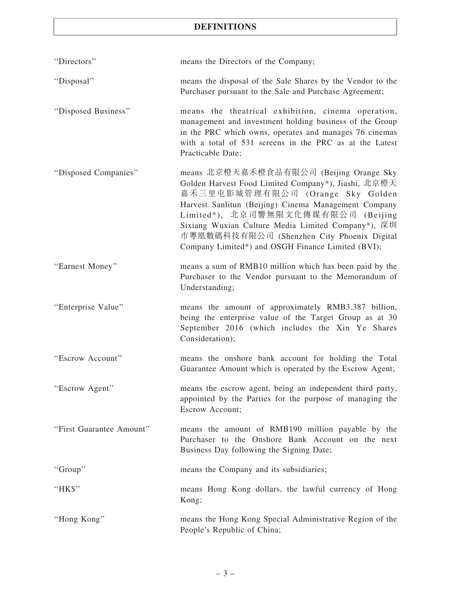| "Directors"              | means the Directors of the Company;                                                                                                                                                                                                                                                                                                                                                       |
|--------------------------|-------------------------------------------------------------------------------------------------------------------------------------------------------------------------------------------------------------------------------------------------------------------------------------------------------------------------------------------------------------------------------------------|
| "Disposal"               | means the disposal of the Sale Shares by the Vendor to the<br>Purchaser pursuant to the Sale and Purchase Agreement;                                                                                                                                                                                                                                                                      |
| "Disposed Business"      | means the theatrical exhibition, cinema operation,<br>management and investment holding business of the Group<br>in the PRC which owns, operates and manages 76 cinemas<br>with a total of 531 screens in the PRC as at the Latest<br>Practicable Date;                                                                                                                                   |
| "Disposed Companies"     | means 北京橙天嘉禾橙食品有限公司 (Beijing Orange Sky<br>Golden Harvest Food Limited Company*), Jiashi, 北京橙天<br>嘉禾三里屯影城管理有限公司 (Orange Sky Golden<br>Harvest Sanlitun (Beijing) Cinema Management Company<br>Limited*), 北京司響無限文化傳媒有限公司 (Beijing<br>Sixiang Wuxian Culture Media Limited Company*), 深圳<br>市粵凰數碼科技有限公司 (Shenzhen City Phoenix Digital<br>Company Limited*) and OSGH Finance Limited (BVI); |
| "Earnest Money"          | means a sum of RMB10 million which has been paid by the<br>Purchaser to the Vendor pursuant to the Memorandum of<br>Understanding;                                                                                                                                                                                                                                                        |
| "Enterprise Value"       | means the amount of approximately RMB3.387 billion,<br>being the enterprise value of the Target Group as at 30<br>September 2016 (which includes the Xin Ye Shares<br>Consideration);                                                                                                                                                                                                     |
| "Escrow Account"         | means the onshore bank account for holding the Total<br>Guarantee Amount which is operated by the Escrow Agent;                                                                                                                                                                                                                                                                           |
| "Escrow Agent"           | means the escrow agent, being an independent third party,<br>appointed by the Parties for the purpose of managing the<br>Escrow Account;                                                                                                                                                                                                                                                  |
| "First Guarantee Amount" | means the amount of RMB190 million payable by the<br>Purchaser to the Onshore Bank Account on the next<br>Business Day following the Signing Date;                                                                                                                                                                                                                                        |
| "Group"                  | means the Company and its subsidiaries;                                                                                                                                                                                                                                                                                                                                                   |
| "HK\$"                   | means Hong Kong dollars, the lawful currency of Hong<br>Kong;                                                                                                                                                                                                                                                                                                                             |
| "Hong Kong"              | means the Hong Kong Special Administrative Region of the<br>People's Republic of China;                                                                                                                                                                                                                                                                                                   |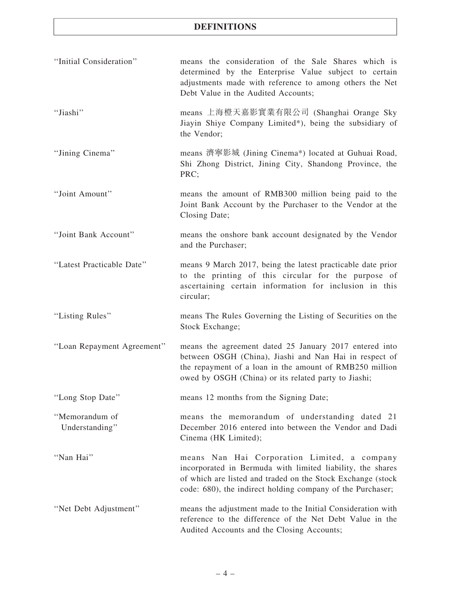| "Initial Consideration"          | means the consideration of the Sale Shares which is<br>determined by the Enterprise Value subject to certain<br>adjustments made with reference to among others the Net<br>Debt Value in the Audited Accounts;                          |
|----------------------------------|-----------------------------------------------------------------------------------------------------------------------------------------------------------------------------------------------------------------------------------------|
| "Jiashi"                         | means 上海橙天嘉影實業有限公司 (Shanghai Orange Sky<br>Jiayin Shiye Company Limited*), being the subsidiary of<br>the Vendor;                                                                                                                       |
| "Jining Cinema"                  | means 濟寧影城 (Jining Cinema*) located at Guhuai Road,<br>Shi Zhong District, Jining City, Shandong Province, the<br>PRC;                                                                                                                  |
| "Joint Amount"                   | means the amount of RMB300 million being paid to the<br>Joint Bank Account by the Purchaser to the Vendor at the<br>Closing Date;                                                                                                       |
| "Joint Bank Account"             | means the onshore bank account designated by the Vendor<br>and the Purchaser;                                                                                                                                                           |
| "Latest Practicable Date"        | means 9 March 2017, being the latest practicable date prior<br>to the printing of this circular for the purpose of<br>ascertaining certain information for inclusion in this<br>circular;                                               |
| "Listing Rules"                  | means The Rules Governing the Listing of Securities on the<br>Stock Exchange;                                                                                                                                                           |
| "Loan Repayment Agreement"       | means the agreement dated 25 January 2017 entered into<br>between OSGH (China), Jiashi and Nan Hai in respect of<br>the repayment of a loan in the amount of RMB250 million<br>owed by OSGH (China) or its related party to Jiashi;     |
| "Long Stop Date"                 | means 12 months from the Signing Date;                                                                                                                                                                                                  |
| "Memorandum of<br>Understanding" | means the memorandum of understanding dated 21<br>December 2016 entered into between the Vendor and Dadi<br>Cinema (HK Limited);                                                                                                        |
| "Nan Hai"                        | means Nan Hai Corporation Limited, a company<br>incorporated in Bermuda with limited liability, the shares<br>of which are listed and traded on the Stock Exchange (stock<br>code: 680), the indirect holding company of the Purchaser; |
| "Net Debt Adjustment"            | means the adjustment made to the Initial Consideration with<br>reference to the difference of the Net Debt Value in the<br>Audited Accounts and the Closing Accounts;                                                                   |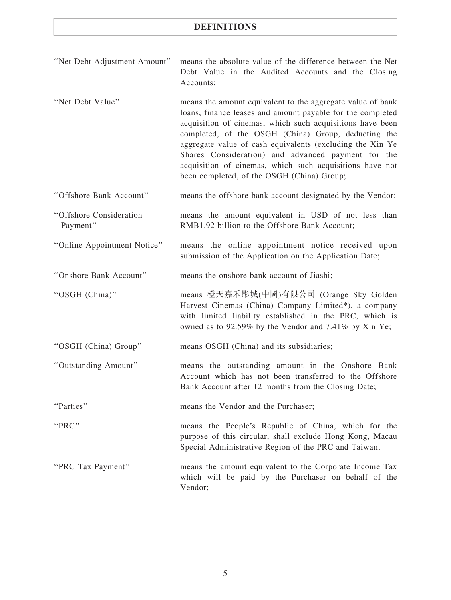| "Net Debt Adjustment Amount" means the absolute value of the difference between the Net |           |  |  |                                                    |  |  |
|-----------------------------------------------------------------------------------------|-----------|--|--|----------------------------------------------------|--|--|
|                                                                                         |           |  |  | Debt Value in the Audited Accounts and the Closing |  |  |
|                                                                                         | Accounts: |  |  |                                                    |  |  |

''Net Debt Value'' means the amount equivalent to the aggregate value of bank loans, finance leases and amount payable for the completed acquisition of cinemas, which such acquisitions have been completed, of the OSGH (China) Group, deducting the aggregate value of cash equivalents (excluding the Xin Ye Shares Consideration) and advanced payment for the acquisition of cinemas, which such acquisitions have not been completed, of the OSGH (China) Group;

''Offshore Bank Account'' means the offshore bank account designated by the Vendor;

''Offshore Consideration Payment'' means the amount equivalent in USD of not less than RMB1.92 billion to the Offshore Bank Account;

''Online Appointment Notice'' means the online appointment notice received upon submission of the Application on the Application Date;

''Onshore Bank Account'' means the onshore bank account of Jiashi;

''OSGH (China)'' means 橙天嘉禾影城(中國)有限公司 (Orange Sky Golden Harvest Cinemas (China) Company Limited\*), a company with limited liability established in the PRC, which is owned as to 92.59% by the Vendor and 7.41% by Xin Ye;

''OSGH (China) Group'' means OSGH (China) and its subsidiaries;

''Outstanding Amount'' means the outstanding amount in the Onshore Bank Account which has not been transferred to the Offshore Bank Account after 12 months from the Closing Date;

''Parties'' means the Vendor and the Purchaser;

Vendor;

''PRC'' means the People's Republic of China, which for the

Special Administrative Region of the PRC and Taiwan; ''PRC Tax Payment'' means the amount equivalent to the Corporate Income Tax which will be paid by the Purchaser on behalf of the

purpose of this circular, shall exclude Hong Kong, Macau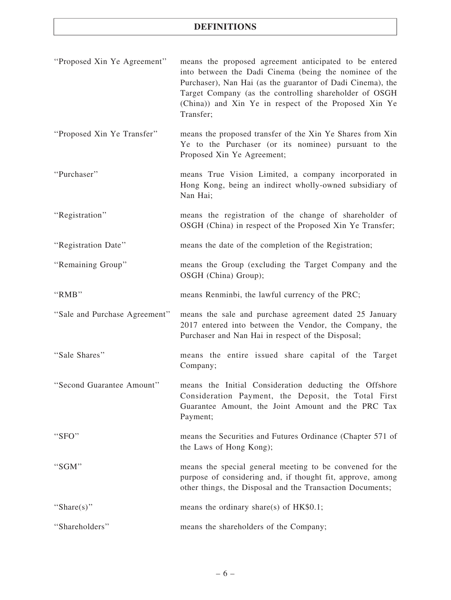| "Proposed Xin Ye Agreement"   | means the proposed agreement anticipated to be entered<br>into between the Dadi Cinema (being the nominee of the<br>Purchaser), Nan Hai (as the guarantor of Dadi Cinema), the<br>Target Company (as the controlling shareholder of OSGH<br>(China)) and Xin Ye in respect of the Proposed Xin Ye<br>Transfer; |
|-------------------------------|----------------------------------------------------------------------------------------------------------------------------------------------------------------------------------------------------------------------------------------------------------------------------------------------------------------|
| "Proposed Xin Ye Transfer"    | means the proposed transfer of the Xin Ye Shares from Xin<br>Ye to the Purchaser (or its nominee) pursuant to the<br>Proposed Xin Ye Agreement;                                                                                                                                                                |
| "Purchaser"                   | means True Vision Limited, a company incorporated in<br>Hong Kong, being an indirect wholly-owned subsidiary of<br>Nan Hai;                                                                                                                                                                                    |
| "Registration"                | means the registration of the change of shareholder of<br>OSGH (China) in respect of the Proposed Xin Ye Transfer;                                                                                                                                                                                             |
| "Registration Date"           | means the date of the completion of the Registration;                                                                                                                                                                                                                                                          |
| "Remaining Group"             | means the Group (excluding the Target Company and the<br>OSGH (China) Group);                                                                                                                                                                                                                                  |
| "RMB"                         | means Renminbi, the lawful currency of the PRC;                                                                                                                                                                                                                                                                |
| "Sale and Purchase Agreement" | means the sale and purchase agreement dated 25 January<br>2017 entered into between the Vendor, the Company, the<br>Purchaser and Nan Hai in respect of the Disposal;                                                                                                                                          |
| "Sale Shares"                 | means the entire issued share capital of the Target<br>Company;                                                                                                                                                                                                                                                |
| "Second Guarantee Amount"     | means the Initial Consideration deducting the Offshore<br>Consideration Payment, the Deposit, the Total First<br>Guarantee Amount, the Joint Amount and the PRC Tax<br>Payment;                                                                                                                                |
| "SFO"                         | means the Securities and Futures Ordinance (Chapter 571 of<br>the Laws of Hong Kong);                                                                                                                                                                                                                          |
| "SGM"                         | means the special general meeting to be convened for the<br>purpose of considering and, if thought fit, approve, among<br>other things, the Disposal and the Transaction Documents;                                                                                                                            |
| "Share(s)"                    | means the ordinary share(s) of $HK$0.1$ ;                                                                                                                                                                                                                                                                      |
| "Shareholders"                | means the shareholders of the Company;                                                                                                                                                                                                                                                                         |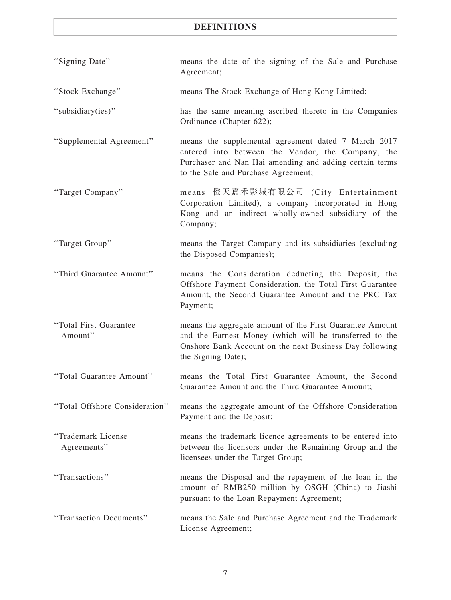| "Signing Date"                    | means the date of the signing of the Sale and Purchase<br>Agreement;                                                                                                                                       |
|-----------------------------------|------------------------------------------------------------------------------------------------------------------------------------------------------------------------------------------------------------|
| "Stock Exchange"                  | means The Stock Exchange of Hong Kong Limited;                                                                                                                                                             |
| "subsidiary(ies)"                 | has the same meaning ascribed thereto in the Companies<br>Ordinance (Chapter 622);                                                                                                                         |
| "Supplemental Agreement"          | means the supplemental agreement dated 7 March 2017<br>entered into between the Vendor, the Company, the<br>Purchaser and Nan Hai amending and adding certain terms<br>to the Sale and Purchase Agreement; |
| "Target Company"                  | means 橙天嘉禾影城有限公司 (City Entertainment<br>Corporation Limited), a company incorporated in Hong<br>Kong and an indirect wholly-owned subsidiary of the<br>Company;                                            |
| "Target Group"                    | means the Target Company and its subsidiaries (excluding<br>the Disposed Companies);                                                                                                                       |
| "Third Guarantee Amount"          | means the Consideration deducting the Deposit, the<br>Offshore Payment Consideration, the Total First Guarantee<br>Amount, the Second Guarantee Amount and the PRC Tax<br>Payment;                         |
| "Total First Guarantee<br>Amount" | means the aggregate amount of the First Guarantee Amount<br>and the Earnest Money (which will be transferred to the<br>Onshore Bank Account on the next Business Day following<br>the Signing Date);       |
| "Total Guarantee Amount"          | means the Total First Guarantee Amount, the Second<br>Guarantee Amount and the Third Guarantee Amount;                                                                                                     |
| "Total Offshore Consideration"    | means the aggregate amount of the Offshore Consideration<br>Payment and the Deposit;                                                                                                                       |
| "Trademark License<br>Agreements" | means the trademark licence agreements to be entered into<br>between the licensors under the Remaining Group and the<br>licensees under the Target Group;                                                  |
| "Transactions"                    | means the Disposal and the repayment of the loan in the<br>amount of RMB250 million by OSGH (China) to Jiashi<br>pursuant to the Loan Repayment Agreement;                                                 |
| "Transaction Documents"           | means the Sale and Purchase Agreement and the Trademark<br>License Agreement;                                                                                                                              |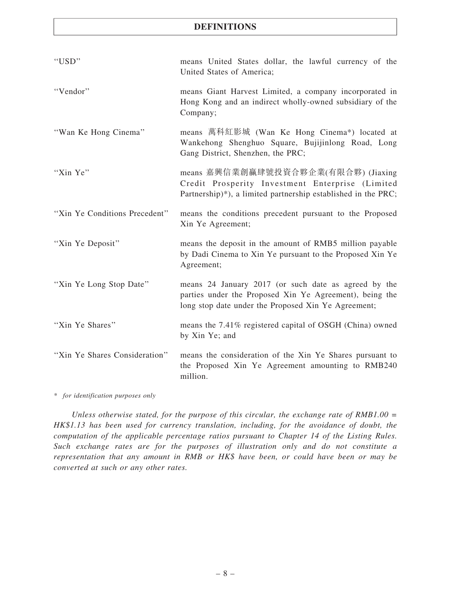| "USD"                         | means United States dollar, the lawful currency of the<br>United States of America;                                                                                    |
|-------------------------------|------------------------------------------------------------------------------------------------------------------------------------------------------------------------|
| "Vendor"                      | means Giant Harvest Limited, a company incorporated in<br>Hong Kong and an indirect wholly-owned subsidiary of the<br>Company;                                         |
| "Wan Ke Hong Cinema"          | means 萬科紅影城 (Wan Ke Hong Cinema*) located at<br>Wankehong Shenghuo Square, Bujijinlong Road, Long<br>Gang District, Shenzhen, the PRC;                                 |
| "Xin Ye"                      | means 嘉興信業創贏肆號投資合夥企業(有限合夥) (Jiaxing<br>Credit Prosperity Investment Enterprise (Limited<br>Partnership)*), a limited partnership established in the PRC;               |
| "Xin Ye Conditions Precedent" | means the conditions precedent pursuant to the Proposed<br>Xin Ye Agreement;                                                                                           |
| "Xin Ye Deposit"              | means the deposit in the amount of RMB5 million payable<br>by Dadi Cinema to Xin Ye pursuant to the Proposed Xin Ye<br>Agreement;                                      |
| "Xin Ye Long Stop Date"       | means 24 January 2017 (or such date as agreed by the<br>parties under the Proposed Xin Ye Agreement), being the<br>long stop date under the Proposed Xin Ye Agreement; |
| "Xin Ye Shares"               | means the 7.41% registered capital of OSGH (China) owned<br>by Xin Ye; and                                                                                             |
| "Xin Ye Shares Consideration" | means the consideration of the Xin Ye Shares pursuant to<br>the Proposed Xin Ye Agreement amounting to RMB240<br>million.                                              |

\* for identification purposes only

Unless otherwise stated, for the purpose of this circular, the exchange rate of RMB1.00 = HK\$1.13 has been used for currency translation, including, for the avoidance of doubt, the computation of the applicable percentage ratios pursuant to Chapter 14 of the Listing Rules. Such exchange rates are for the purposes of illustration only and do not constitute a representation that any amount in RMB or HK\$ have been, or could have been or may be converted at such or any other rates.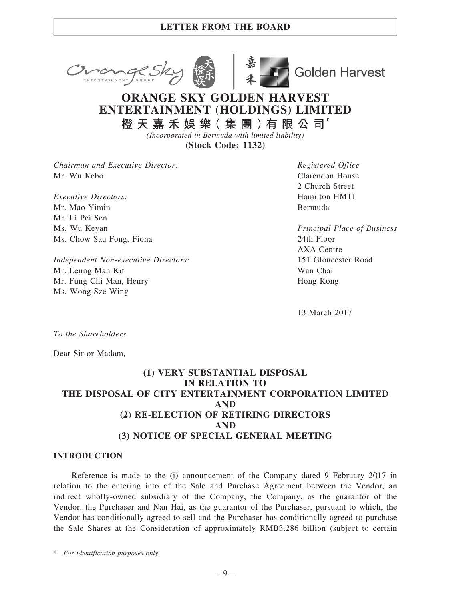



**Golden Harvest** 

# ORANGE SKY GOLDEN HARVEST ENTERTAINMENT (HOLDINGS) LIMITED

橙 天 嘉 禾 娛 樂( 集 團 )有 限 公 司\* (Incorporated in Bermuda with limited liability)

(Stock Code: 1132)

Chairman and Executive Director: Mr. Wu Kebo

Executive Directors: Mr. Mao Yimin Mr. Li Pei Sen Ms. Wu Keyan Ms. Chow Sau Fong, Fiona

Independent Non-executive Directors: Mr. Leung Man Kit Mr. Fung Chi Man, Henry Ms. Wong Sze Wing

Registered Office Clarendon House 2 Church Street Hamilton HM11 Bermuda

Principal Place of Business 24th Floor AXA Centre 151 Gloucester Road Wan Chai Hong Kong

13 March 2017

To the Shareholders

Dear Sir or Madam,

## (1) VERY SUBSTANTIAL DISPOSAL IN RELATION TO THE DISPOSAL OF CITY ENTERTAINMENT CORPORATION LIMITED AND (2) RE-ELECTION OF RETIRING DIRECTORS AND (3) NOTICE OF SPECIAL GENERAL MEETING

## INTRODUCTION

Reference is made to the (i) announcement of the Company dated 9 February 2017 in relation to the entering into of the Sale and Purchase Agreement between the Vendor, an indirect wholly-owned subsidiary of the Company, the Company, as the guarantor of the Vendor, the Purchaser and Nan Hai, as the guarantor of the Purchaser, pursuant to which, the Vendor has conditionally agreed to sell and the Purchaser has conditionally agreed to purchase the Sale Shares at the Consideration of approximately RMB3.286 billion (subject to certain

\* For identification purposes only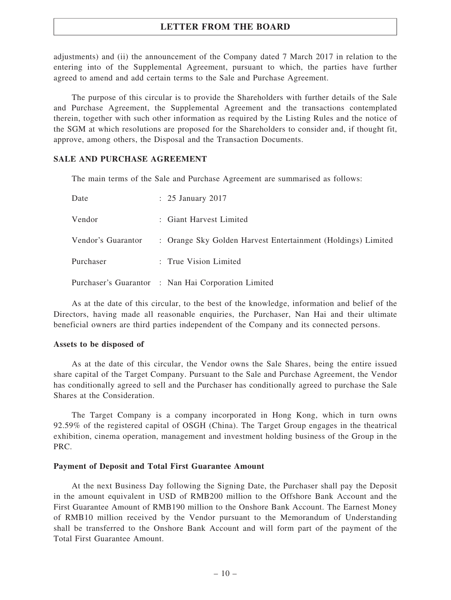adjustments) and (ii) the announcement of the Company dated 7 March 2017 in relation to the entering into of the Supplemental Agreement, pursuant to which, the parties have further agreed to amend and add certain terms to the Sale and Purchase Agreement.

The purpose of this circular is to provide the Shareholders with further details of the Sale and Purchase Agreement, the Supplemental Agreement and the transactions contemplated therein, together with such other information as required by the Listing Rules and the notice of the SGM at which resolutions are proposed for the Shareholders to consider and, if thought fit, approve, among others, the Disposal and the Transaction Documents.

## SALE AND PURCHASE AGREEMENT

The main terms of the Sale and Purchase Agreement are summarised as follows:

| Date               | $\therefore$ 25 January 2017                                 |
|--------------------|--------------------------------------------------------------|
| Vendor             | : Giant Harvest Limited                                      |
| Vendor's Guarantor | : Orange Sky Golden Harvest Entertainment (Holdings) Limited |
| Purchaser          | : True Vision Limited                                        |
|                    | Purchaser's Guarantor : Nan Hai Corporation Limited          |

As at the date of this circular, to the best of the knowledge, information and belief of the Directors, having made all reasonable enquiries, the Purchaser, Nan Hai and their ultimate beneficial owners are third parties independent of the Company and its connected persons.

### Assets to be disposed of

As at the date of this circular, the Vendor owns the Sale Shares, being the entire issued share capital of the Target Company. Pursuant to the Sale and Purchase Agreement, the Vendor has conditionally agreed to sell and the Purchaser has conditionally agreed to purchase the Sale Shares at the Consideration.

The Target Company is a company incorporated in Hong Kong, which in turn owns 92.59% of the registered capital of OSGH (China). The Target Group engages in the theatrical exhibition, cinema operation, management and investment holding business of the Group in the PRC.

#### Payment of Deposit and Total First Guarantee Amount

At the next Business Day following the Signing Date, the Purchaser shall pay the Deposit in the amount equivalent in USD of RMB200 million to the Offshore Bank Account and the First Guarantee Amount of RMB190 million to the Onshore Bank Account. The Earnest Money of RMB10 million received by the Vendor pursuant to the Memorandum of Understanding shall be transferred to the Onshore Bank Account and will form part of the payment of the Total First Guarantee Amount.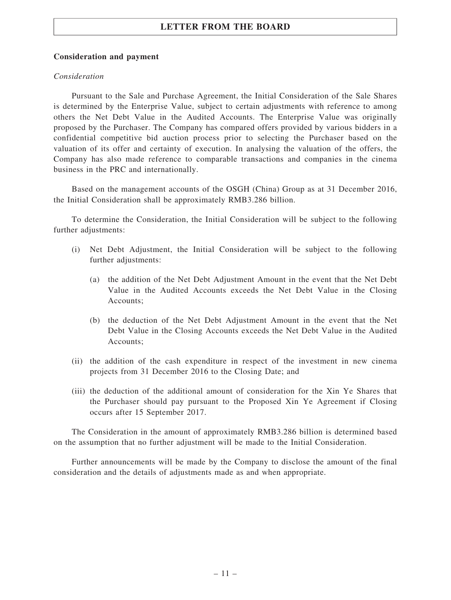## Consideration and payment

## Consideration

Pursuant to the Sale and Purchase Agreement, the Initial Consideration of the Sale Shares is determined by the Enterprise Value, subject to certain adjustments with reference to among others the Net Debt Value in the Audited Accounts. The Enterprise Value was originally proposed by the Purchaser. The Company has compared offers provided by various bidders in a confidential competitive bid auction process prior to selecting the Purchaser based on the valuation of its offer and certainty of execution. In analysing the valuation of the offers, the Company has also made reference to comparable transactions and companies in the cinema business in the PRC and internationally.

Based on the management accounts of the OSGH (China) Group as at 31 December 2016, the Initial Consideration shall be approximately RMB3.286 billion.

To determine the Consideration, the Initial Consideration will be subject to the following further adjustments:

- (i) Net Debt Adjustment, the Initial Consideration will be subject to the following further adjustments:
	- (a) the addition of the Net Debt Adjustment Amount in the event that the Net Debt Value in the Audited Accounts exceeds the Net Debt Value in the Closing Accounts;
	- (b) the deduction of the Net Debt Adjustment Amount in the event that the Net Debt Value in the Closing Accounts exceeds the Net Debt Value in the Audited Accounts;
- (ii) the addition of the cash expenditure in respect of the investment in new cinema projects from 31 December 2016 to the Closing Date; and
- (iii) the deduction of the additional amount of consideration for the Xin Ye Shares that the Purchaser should pay pursuant to the Proposed Xin Ye Agreement if Closing occurs after 15 September 2017.

The Consideration in the amount of approximately RMB3.286 billion is determined based on the assumption that no further adjustment will be made to the Initial Consideration.

Further announcements will be made by the Company to disclose the amount of the final consideration and the details of adjustments made as and when appropriate.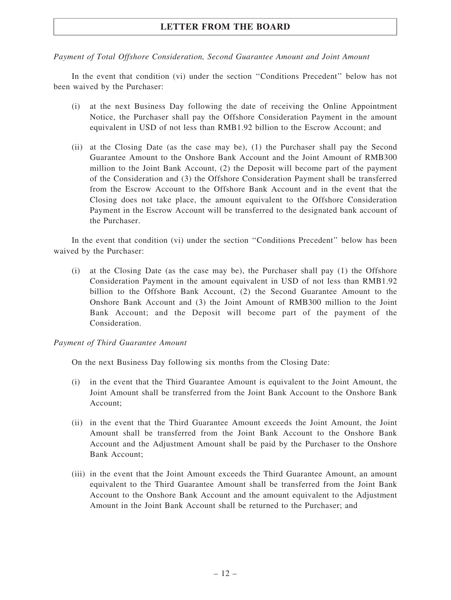## Payment of Total Offshore Consideration, Second Guarantee Amount and Joint Amount

In the event that condition (vi) under the section ''Conditions Precedent'' below has not been waived by the Purchaser:

- (i) at the next Business Day following the date of receiving the Online Appointment Notice, the Purchaser shall pay the Offshore Consideration Payment in the amount equivalent in USD of not less than RMB1.92 billion to the Escrow Account; and
- (ii) at the Closing Date (as the case may be), (1) the Purchaser shall pay the Second Guarantee Amount to the Onshore Bank Account and the Joint Amount of RMB300 million to the Joint Bank Account, (2) the Deposit will become part of the payment of the Consideration and (3) the Offshore Consideration Payment shall be transferred from the Escrow Account to the Offshore Bank Account and in the event that the Closing does not take place, the amount equivalent to the Offshore Consideration Payment in the Escrow Account will be transferred to the designated bank account of the Purchaser.

In the event that condition (vi) under the section "Conditions Precedent" below has been waived by the Purchaser:

(i) at the Closing Date (as the case may be), the Purchaser shall pay (1) the Offshore Consideration Payment in the amount equivalent in USD of not less than RMB1.92 billion to the Offshore Bank Account, (2) the Second Guarantee Amount to the Onshore Bank Account and (3) the Joint Amount of RMB300 million to the Joint Bank Account; and the Deposit will become part of the payment of the Consideration.

## Payment of Third Guarantee Amount

On the next Business Day following six months from the Closing Date:

- (i) in the event that the Third Guarantee Amount is equivalent to the Joint Amount, the Joint Amount shall be transferred from the Joint Bank Account to the Onshore Bank Account;
- (ii) in the event that the Third Guarantee Amount exceeds the Joint Amount, the Joint Amount shall be transferred from the Joint Bank Account to the Onshore Bank Account and the Adjustment Amount shall be paid by the Purchaser to the Onshore Bank Account;
- (iii) in the event that the Joint Amount exceeds the Third Guarantee Amount, an amount equivalent to the Third Guarantee Amount shall be transferred from the Joint Bank Account to the Onshore Bank Account and the amount equivalent to the Adjustment Amount in the Joint Bank Account shall be returned to the Purchaser; and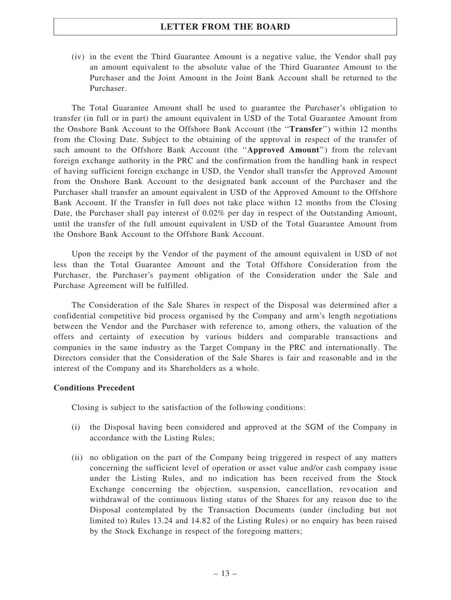(iv) in the event the Third Guarantee Amount is a negative value, the Vendor shall pay an amount equivalent to the absolute value of the Third Guarantee Amount to the Purchaser and the Joint Amount in the Joint Bank Account shall be returned to the Purchaser.

The Total Guarantee Amount shall be used to guarantee the Purchaser's obligation to transfer (in full or in part) the amount equivalent in USD of the Total Guarantee Amount from the Onshore Bank Account to the Offshore Bank Account (the ''Transfer'') within 12 months from the Closing Date. Subject to the obtaining of the approval in respect of the transfer of such amount to the Offshore Bank Account (the ''Approved Amount'') from the relevant foreign exchange authority in the PRC and the confirmation from the handling bank in respect of having sufficient foreign exchange in USD, the Vendor shall transfer the Approved Amount from the Onshore Bank Account to the designated bank account of the Purchaser and the Purchaser shall transfer an amount equivalent in USD of the Approved Amount to the Offshore Bank Account. If the Transfer in full does not take place within 12 months from the Closing Date, the Purchaser shall pay interest of 0.02% per day in respect of the Outstanding Amount, until the transfer of the full amount equivalent in USD of the Total Guarantee Amount from the Onshore Bank Account to the Offshore Bank Account.

Upon the receipt by the Vendor of the payment of the amount equivalent in USD of not less than the Total Guarantee Amount and the Total Offshore Consideration from the Purchaser, the Purchaser's payment obligation of the Consideration under the Sale and Purchase Agreement will be fulfilled.

The Consideration of the Sale Shares in respect of the Disposal was determined after a confidential competitive bid process organised by the Company and arm's length negotiations between the Vendor and the Purchaser with reference to, among others, the valuation of the offers and certainty of execution by various bidders and comparable transactions and companies in the same industry as the Target Company in the PRC and internationally. The Directors consider that the Consideration of the Sale Shares is fair and reasonable and in the interest of the Company and its Shareholders as a whole.

## Conditions Precedent

Closing is subject to the satisfaction of the following conditions:

- (i) the Disposal having been considered and approved at the SGM of the Company in accordance with the Listing Rules;
- (ii) no obligation on the part of the Company being triggered in respect of any matters concerning the sufficient level of operation or asset value and/or cash company issue under the Listing Rules, and no indication has been received from the Stock Exchange concerning the objection, suspension, cancellation, revocation and withdrawal of the continuous listing status of the Shares for any reason due to the Disposal contemplated by the Transaction Documents (under (including but not limited to) Rules 13.24 and 14.82 of the Listing Rules) or no enquiry has been raised by the Stock Exchange in respect of the foregoing matters;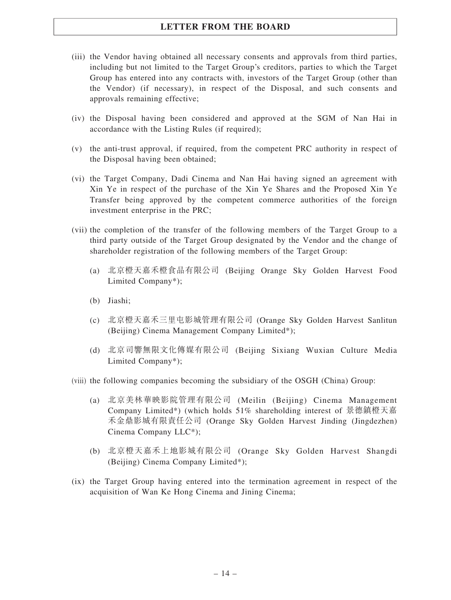- (iii) the Vendor having obtained all necessary consents and approvals from third parties, including but not limited to the Target Group's creditors, parties to which the Target Group has entered into any contracts with, investors of the Target Group (other than the Vendor) (if necessary), in respect of the Disposal, and such consents and approvals remaining effective;
- (iv) the Disposal having been considered and approved at the SGM of Nan Hai in accordance with the Listing Rules (if required);
- (v) the anti-trust approval, if required, from the competent PRC authority in respect of the Disposal having been obtained;
- (vi) the Target Company, Dadi Cinema and Nan Hai having signed an agreement with Xin Ye in respect of the purchase of the Xin Ye Shares and the Proposed Xin Ye Transfer being approved by the competent commerce authorities of the foreign investment enterprise in the PRC;
- (vii) the completion of the transfer of the following members of the Target Group to a third party outside of the Target Group designated by the Vendor and the change of shareholder registration of the following members of the Target Group:
	- (a) 北京橙天嘉禾橙食品有限公司 (Beijing Orange Sky Golden Harvest Food Limited Company\*);
	- (b) Jiashi;
	- (c) 北京橙天嘉禾三里屯影城管理有限公司 (Orange Sky Golden Harvest Sanlitun (Beijing) Cinema Management Company Limited\*);
	- (d) 北京司響無限文化傳媒有限公司 (Beijing Sixiang Wuxian Culture Media Limited Company\*);
- (viii) the following companies becoming the subsidiary of the OSGH (China) Group:
	- (a) 北京美林華映影院管理有限公司 (Meilin (Beijing) Cinema Management Company Limited\*) (which holds 51% shareholding interest of 景德鎮橙天嘉 禾金鼎影城有限責任公司 (Orange Sky Golden Harvest Jinding (Jingdezhen) Cinema Company LLC\*);
	- (b) 北京橙天嘉禾上地影城有限公司 (Orange Sky Golden Harvest Shangdi (Beijing) Cinema Company Limited\*);
- (ix) the Target Group having entered into the termination agreement in respect of the acquisition of Wan Ke Hong Cinema and Jining Cinema;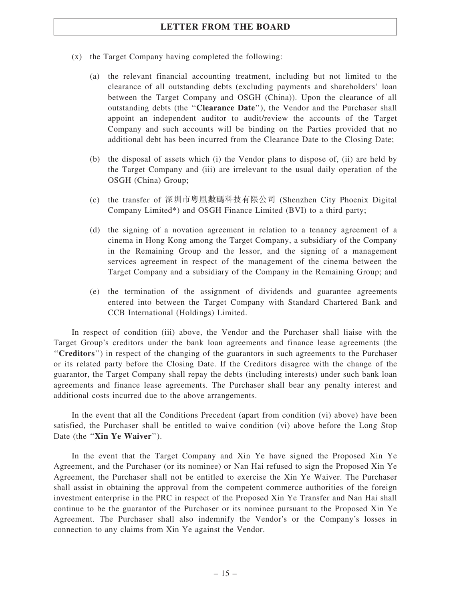- (x) the Target Company having completed the following:
	- (a) the relevant financial accounting treatment, including but not limited to the clearance of all outstanding debts (excluding payments and shareholders' loan between the Target Company and OSGH (China)). Upon the clearance of all outstanding debts (the "Clearance Date"), the Vendor and the Purchaser shall appoint an independent auditor to audit/review the accounts of the Target Company and such accounts will be binding on the Parties provided that no additional debt has been incurred from the Clearance Date to the Closing Date;
	- (b) the disposal of assets which (i) the Vendor plans to dispose of, (ii) are held by the Target Company and (iii) are irrelevant to the usual daily operation of the OSGH (China) Group;
	- (c) the transfer of 深圳市粵凰數碼科技有限公司 (Shenzhen City Phoenix Digital Company Limited\*) and OSGH Finance Limited (BVI) to a third party;
	- (d) the signing of a novation agreement in relation to a tenancy agreement of a cinema in Hong Kong among the Target Company, a subsidiary of the Company in the Remaining Group and the lessor, and the signing of a management services agreement in respect of the management of the cinema between the Target Company and a subsidiary of the Company in the Remaining Group; and
	- (e) the termination of the assignment of dividends and guarantee agreements entered into between the Target Company with Standard Chartered Bank and CCB International (Holdings) Limited.

In respect of condition (iii) above, the Vendor and the Purchaser shall liaise with the Target Group's creditors under the bank loan agreements and finance lease agreements (the ''Creditors'') in respect of the changing of the guarantors in such agreements to the Purchaser or its related party before the Closing Date. If the Creditors disagree with the change of the guarantor, the Target Company shall repay the debts (including interests) under such bank loan agreements and finance lease agreements. The Purchaser shall bear any penalty interest and additional costs incurred due to the above arrangements.

In the event that all the Conditions Precedent (apart from condition (vi) above) have been satisfied, the Purchaser shall be entitled to waive condition (vi) above before the Long Stop Date (the "Xin Ye Waiver").

In the event that the Target Company and Xin Ye have signed the Proposed Xin Ye Agreement, and the Purchaser (or its nominee) or Nan Hai refused to sign the Proposed Xin Ye Agreement, the Purchaser shall not be entitled to exercise the Xin Ye Waiver. The Purchaser shall assist in obtaining the approval from the competent commerce authorities of the foreign investment enterprise in the PRC in respect of the Proposed Xin Ye Transfer and Nan Hai shall continue to be the guarantor of the Purchaser or its nominee pursuant to the Proposed Xin Ye Agreement. The Purchaser shall also indemnify the Vendor's or the Company's losses in connection to any claims from Xin Ye against the Vendor.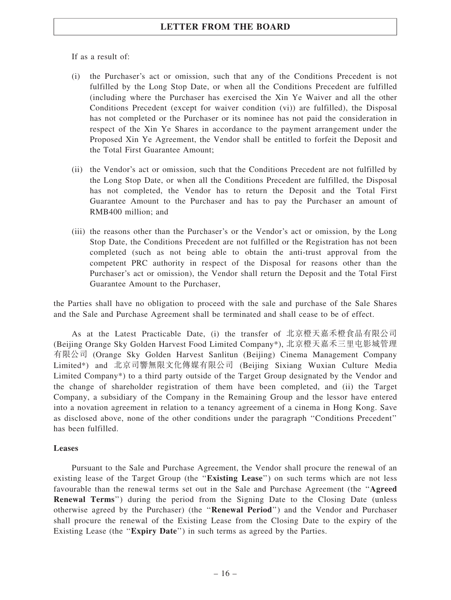If as a result of:

- (i) the Purchaser's act or omission, such that any of the Conditions Precedent is not fulfilled by the Long Stop Date, or when all the Conditions Precedent are fulfilled (including where the Purchaser has exercised the Xin Ye Waiver and all the other Conditions Precedent (except for waiver condition (vi)) are fulfilled), the Disposal has not completed or the Purchaser or its nominee has not paid the consideration in respect of the Xin Ye Shares in accordance to the payment arrangement under the Proposed Xin Ye Agreement, the Vendor shall be entitled to forfeit the Deposit and the Total First Guarantee Amount;
- (ii) the Vendor's act or omission, such that the Conditions Precedent are not fulfilled by the Long Stop Date, or when all the Conditions Precedent are fulfilled, the Disposal has not completed, the Vendor has to return the Deposit and the Total First Guarantee Amount to the Purchaser and has to pay the Purchaser an amount of RMB400 million; and
- (iii) the reasons other than the Purchaser's or the Vendor's act or omission, by the Long Stop Date, the Conditions Precedent are not fulfilled or the Registration has not been completed (such as not being able to obtain the anti-trust approval from the competent PRC authority in respect of the Disposal for reasons other than the Purchaser's act or omission), the Vendor shall return the Deposit and the Total First Guarantee Amount to the Purchaser,

the Parties shall have no obligation to proceed with the sale and purchase of the Sale Shares and the Sale and Purchase Agreement shall be terminated and shall cease to be of effect.

As at the Latest Practicable Date, (i) the transfer of 北京橙天嘉禾橙食品有限公司 (Beijing Orange Sky Golden Harvest Food Limited Company\*), 北京橙天嘉禾三里屯影城管理 有限公司 (Orange Sky Golden Harvest Sanlitun (Beijing) Cinema Management Company Limited\*) and 北京司響無限文化傳媒有限公司 (Beijing Sixiang Wuxian Culture Media Limited Company\*) to a third party outside of the Target Group designated by the Vendor and the change of shareholder registration of them have been completed, and (ii) the Target Company, a subsidiary of the Company in the Remaining Group and the lessor have entered into a novation agreement in relation to a tenancy agreement of a cinema in Hong Kong. Save as disclosed above, none of the other conditions under the paragraph ''Conditions Precedent'' has been fulfilled.

## Leases

Pursuant to the Sale and Purchase Agreement, the Vendor shall procure the renewal of an existing lease of the Target Group (the ''Existing Lease'') on such terms which are not less favourable than the renewal terms set out in the Sale and Purchase Agreement (the ''Agreed Renewal Terms'') during the period from the Signing Date to the Closing Date (unless otherwise agreed by the Purchaser) (the ''Renewal Period'') and the Vendor and Purchaser shall procure the renewal of the Existing Lease from the Closing Date to the expiry of the Existing Lease (the ''Expiry Date'') in such terms as agreed by the Parties.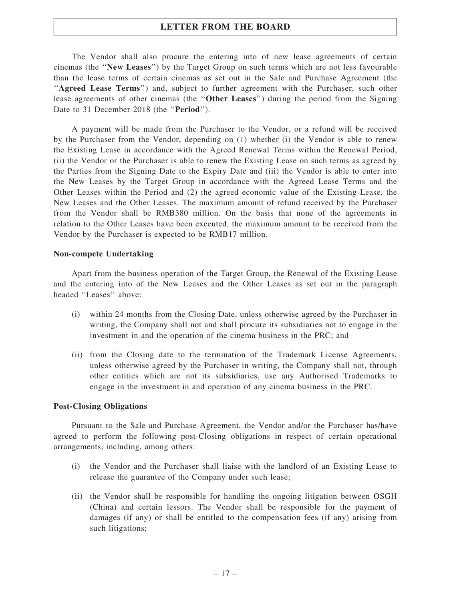The Vendor shall also procure the entering into of new lease agreements of certain cinemas (the ''New Leases'') by the Target Group on such terms which are not less favourable than the lease terms of certain cinemas as set out in the Sale and Purchase Agreement (the "Agreed Lease Terms") and, subject to further agreement with the Purchaser, such other lease agreements of other cinemas (the ''Other Leases'') during the period from the Signing Date to 31 December 2018 (the "**Period**").

A payment will be made from the Purchaser to the Vendor, or a refund will be received by the Purchaser from the Vendor, depending on (1) whether (i) the Vendor is able to renew the Existing Lease in accordance with the Agreed Renewal Terms within the Renewal Period, (ii) the Vendor or the Purchaser is able to renew the Existing Lease on such terms as agreed by the Parties from the Signing Date to the Expiry Date and (iii) the Vendor is able to enter into the New Leases by the Target Group in accordance with the Agreed Lease Terms and the Other Leases within the Period and (2) the agreed economic value of the Existing Lease, the New Leases and the Other Leases. The maximum amount of refund received by the Purchaser from the Vendor shall be RMB380 million. On the basis that none of the agreements in relation to the Other Leases have been executed, the maximum amount to be received from the Vendor by the Purchaser is expected to be RMB17 million.

## Non-compete Undertaking

Apart from the business operation of the Target Group, the Renewal of the Existing Lease and the entering into of the New Leases and the Other Leases as set out in the paragraph headed ''Leases'' above:

- (i) within 24 months from the Closing Date, unless otherwise agreed by the Purchaser in writing, the Company shall not and shall procure its subsidiaries not to engage in the investment in and the operation of the cinema business in the PRC; and
- (ii) from the Closing date to the termination of the Trademark License Agreements, unless otherwise agreed by the Purchaser in writing, the Company shall not, through other entities which are not its subsidiaries, use any Authorised Trademarks to engage in the investment in and operation of any cinema business in the PRC.

#### Post-Closing Obligations

Pursuant to the Sale and Purchase Agreement, the Vendor and/or the Purchaser has/have agreed to perform the following post-Closing obligations in respect of certain operational arrangements, including, among others:

- (i) the Vendor and the Purchaser shall liaise with the landlord of an Existing Lease to release the guarantee of the Company under such lease;
- (ii) the Vendor shall be responsible for handling the ongoing litigation between OSGH (China) and certain lessors. The Vendor shall be responsible for the payment of damages (if any) or shall be entitled to the compensation fees (if any) arising from such litigations;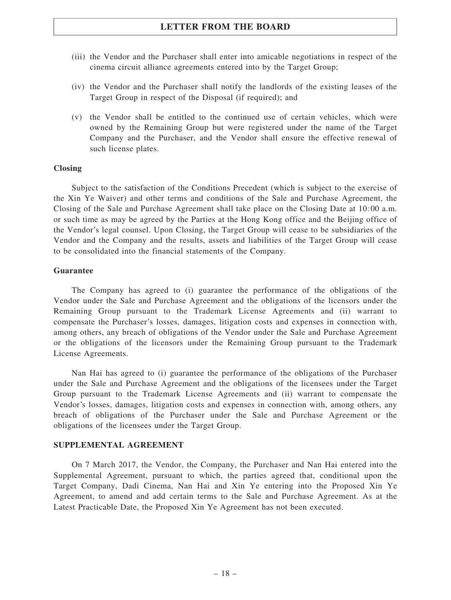- (iii) the Vendor and the Purchaser shall enter into amicable negotiations in respect of the cinema circuit alliance agreements entered into by the Target Group;
- (iv) the Vendor and the Purchaser shall notify the landlords of the existing leases of the Target Group in respect of the Disposal (if required); and
- (v) the Vendor shall be entitled to the continued use of certain vehicles, which were owned by the Remaining Group but were registered under the name of the Target Company and the Purchaser, and the Vendor shall ensure the effective renewal of such license plates.

### Closing

Subject to the satisfaction of the Conditions Precedent (which is subject to the exercise of the Xin Ye Waiver) and other terms and conditions of the Sale and Purchase Agreement, the Closing of the Sale and Purchase Agreement shall take place on the Closing Date at 10:00 a.m. or such time as may be agreed by the Parties at the Hong Kong office and the Beijing office of the Vendor's legal counsel. Upon Closing, the Target Group will cease to be subsidiaries of the Vendor and the Company and the results, assets and liabilities of the Target Group will cease to be consolidated into the financial statements of the Company.

#### Guarantee

The Company has agreed to (i) guarantee the performance of the obligations of the Vendor under the Sale and Purchase Agreement and the obligations of the licensors under the Remaining Group pursuant to the Trademark License Agreements and (ii) warrant to compensate the Purchaser's losses, damages, litigation costs and expenses in connection with, among others, any breach of obligations of the Vendor under the Sale and Purchase Agreement or the obligations of the licensors under the Remaining Group pursuant to the Trademark License Agreements.

Nan Hai has agreed to (i) guarantee the performance of the obligations of the Purchaser under the Sale and Purchase Agreement and the obligations of the licensees under the Target Group pursuant to the Trademark License Agreements and (ii) warrant to compensate the Vendor's losses, damages, litigation costs and expenses in connection with, among others, any breach of obligations of the Purchaser under the Sale and Purchase Agreement or the obligations of the licensees under the Target Group.

#### SUPPLEMENTAL AGREEMENT

On 7 March 2017, the Vendor, the Company, the Purchaser and Nan Hai entered into the Supplemental Agreement, pursuant to which, the parties agreed that, conditional upon the Target Company, Dadi Cinema, Nan Hai and Xin Ye entering into the Proposed Xin Ye Agreement, to amend and add certain terms to the Sale and Purchase Agreement. As at the Latest Practicable Date, the Proposed Xin Ye Agreement has not been executed.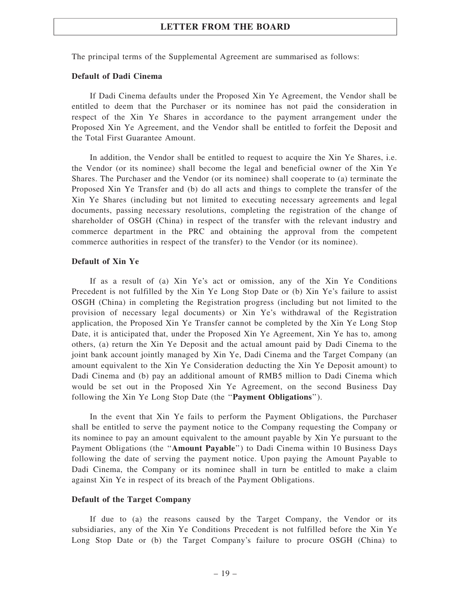The principal terms of the Supplemental Agreement are summarised as follows:

#### Default of Dadi Cinema

If Dadi Cinema defaults under the Proposed Xin Ye Agreement, the Vendor shall be entitled to deem that the Purchaser or its nominee has not paid the consideration in respect of the Xin Ye Shares in accordance to the payment arrangement under the Proposed Xin Ye Agreement, and the Vendor shall be entitled to forfeit the Deposit and the Total First Guarantee Amount.

In addition, the Vendor shall be entitled to request to acquire the Xin Ye Shares, i.e. the Vendor (or its nominee) shall become the legal and beneficial owner of the Xin Ye Shares. The Purchaser and the Vendor (or its nominee) shall cooperate to (a) terminate the Proposed Xin Ye Transfer and (b) do all acts and things to complete the transfer of the Xin Ye Shares (including but not limited to executing necessary agreements and legal documents, passing necessary resolutions, completing the registration of the change of shareholder of OSGH (China) in respect of the transfer with the relevant industry and commerce department in the PRC and obtaining the approval from the competent commerce authorities in respect of the transfer) to the Vendor (or its nominee).

#### Default of Xin Ye

If as a result of (a) Xin Ye's act or omission, any of the Xin Ye Conditions Precedent is not fulfilled by the Xin Ye Long Stop Date or (b) Xin Ye's failure to assist OSGH (China) in completing the Registration progress (including but not limited to the provision of necessary legal documents) or Xin Ye's withdrawal of the Registration application, the Proposed Xin Ye Transfer cannot be completed by the Xin Ye Long Stop Date, it is anticipated that, under the Proposed Xin Ye Agreement, Xin Ye has to, among others, (a) return the Xin Ye Deposit and the actual amount paid by Dadi Cinema to the joint bank account jointly managed by Xin Ye, Dadi Cinema and the Target Company (an amount equivalent to the Xin Ye Consideration deducting the Xin Ye Deposit amount) to Dadi Cinema and (b) pay an additional amount of RMB5 million to Dadi Cinema which would be set out in the Proposed Xin Ye Agreement, on the second Business Day following the Xin Ye Long Stop Date (the ''Payment Obligations'').

In the event that Xin Ye fails to perform the Payment Obligations, the Purchaser shall be entitled to serve the payment notice to the Company requesting the Company or its nominee to pay an amount equivalent to the amount payable by Xin Ye pursuant to the Payment Obligations (the ''Amount Payable'') to Dadi Cinema within 10 Business Days following the date of serving the payment notice. Upon paying the Amount Payable to Dadi Cinema, the Company or its nominee shall in turn be entitled to make a claim against Xin Ye in respect of its breach of the Payment Obligations.

#### Default of the Target Company

If due to (a) the reasons caused by the Target Company, the Vendor or its subsidiaries, any of the Xin Ye Conditions Precedent is not fulfilled before the Xin Ye Long Stop Date or (b) the Target Company's failure to procure OSGH (China) to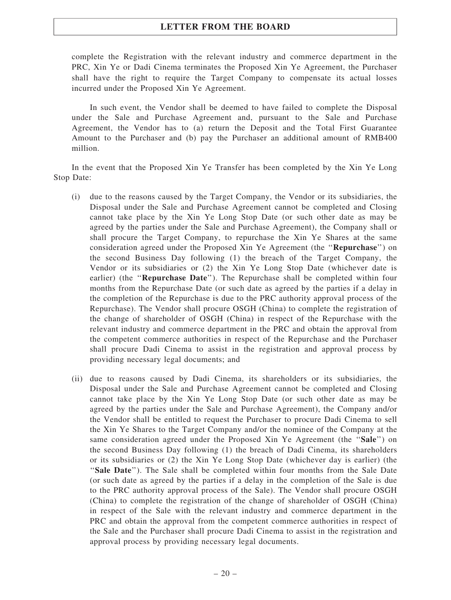complete the Registration with the relevant industry and commerce department in the PRC, Xin Ye or Dadi Cinema terminates the Proposed Xin Ye Agreement, the Purchaser shall have the right to require the Target Company to compensate its actual losses incurred under the Proposed Xin Ye Agreement.

In such event, the Vendor shall be deemed to have failed to complete the Disposal under the Sale and Purchase Agreement and, pursuant to the Sale and Purchase Agreement, the Vendor has to (a) return the Deposit and the Total First Guarantee Amount to the Purchaser and (b) pay the Purchaser an additional amount of RMB400 million.

In the event that the Proposed Xin Ye Transfer has been completed by the Xin Ye Long Stop Date:

- (i) due to the reasons caused by the Target Company, the Vendor or its subsidiaries, the Disposal under the Sale and Purchase Agreement cannot be completed and Closing cannot take place by the Xin Ye Long Stop Date (or such other date as may be agreed by the parties under the Sale and Purchase Agreement), the Company shall or shall procure the Target Company, to repurchase the Xin Ye Shares at the same consideration agreed under the Proposed Xin Ye Agreement (the "Repurchase") on the second Business Day following (1) the breach of the Target Company, the Vendor or its subsidiaries or (2) the Xin Ye Long Stop Date (whichever date is earlier) (the "**Repurchase Date**"). The Repurchase shall be completed within four months from the Repurchase Date (or such date as agreed by the parties if a delay in the completion of the Repurchase is due to the PRC authority approval process of the Repurchase). The Vendor shall procure OSGH (China) to complete the registration of the change of shareholder of OSGH (China) in respect of the Repurchase with the relevant industry and commerce department in the PRC and obtain the approval from the competent commerce authorities in respect of the Repurchase and the Purchaser shall procure Dadi Cinema to assist in the registration and approval process by providing necessary legal documents; and
- (ii) due to reasons caused by Dadi Cinema, its shareholders or its subsidiaries, the Disposal under the Sale and Purchase Agreement cannot be completed and Closing cannot take place by the Xin Ye Long Stop Date (or such other date as may be agreed by the parties under the Sale and Purchase Agreement), the Company and/or the Vendor shall be entitled to request the Purchaser to procure Dadi Cinema to sell the Xin Ye Shares to the Target Company and/or the nominee of the Company at the same consideration agreed under the Proposed Xin Ye Agreement (the "Sale") on the second Business Day following (1) the breach of Dadi Cinema, its shareholders or its subsidiaries or (2) the Xin Ye Long Stop Date (whichever day is earlier) (the ''Sale Date''). The Sale shall be completed within four months from the Sale Date (or such date as agreed by the parties if a delay in the completion of the Sale is due to the PRC authority approval process of the Sale). The Vendor shall procure OSGH (China) to complete the registration of the change of shareholder of OSGH (China) in respect of the Sale with the relevant industry and commerce department in the PRC and obtain the approval from the competent commerce authorities in respect of the Sale and the Purchaser shall procure Dadi Cinema to assist in the registration and approval process by providing necessary legal documents.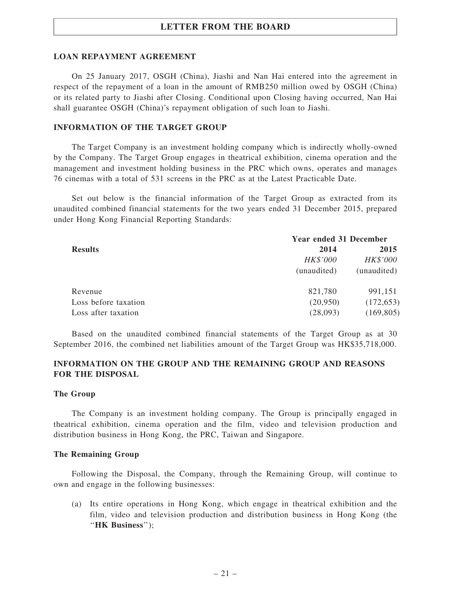## LOAN REPAYMENT AGREEMENT

On 25 January 2017, OSGH (China), Jiashi and Nan Hai entered into the agreement in respect of the repayment of a loan in the amount of RMB250 million owed by OSGH (China) or its related party to Jiashi after Closing. Conditional upon Closing having occurred, Nan Hai shall guarantee OSGH (China)'s repayment obligation of such loan to Jiashi.

## INFORMATION OF THE TARGET GROUP

The Target Company is an investment holding company which is indirectly wholly-owned by the Company. The Target Group engages in theatrical exhibition, cinema operation and the management and investment holding business in the PRC which owns, operates and manages 76 cinemas with a total of 531 screens in the PRC as at the Latest Practicable Date.

Set out below is the financial information of the Target Group as extracted from its unaudited combined financial statements for the two years ended 31 December 2015, prepared under Hong Kong Financial Reporting Standards:

|                      | <b>Year ended 31 December</b> |             |  |  |
|----------------------|-------------------------------|-------------|--|--|
| <b>Results</b>       | 2014                          | 2015        |  |  |
|                      | HK\$'000                      | HK\$'000    |  |  |
|                      | (unaudited)                   | (unaudited) |  |  |
| Revenue              | 821,780                       | 991,151     |  |  |
| Loss before taxation | (20,950)                      | (172, 653)  |  |  |
| Loss after taxation  | (28,093)                      | (169, 805)  |  |  |

Based on the unaudited combined financial statements of the Target Group as at 30 September 2016, the combined net liabilities amount of the Target Group was HK\$35,718,000.

## INFORMATION ON THE GROUP AND THE REMAINING GROUP AND REASONS FOR THE DISPOSAL

#### The Group

The Company is an investment holding company. The Group is principally engaged in theatrical exhibition, cinema operation and the film, video and television production and distribution business in Hong Kong, the PRC, Taiwan and Singapore.

#### The Remaining Group

Following the Disposal, the Company, through the Remaining Group, will continue to own and engage in the following businesses:

(a) Its entire operations in Hong Kong, which engage in theatrical exhibition and the film, video and television production and distribution business in Hong Kong (the "HK Business");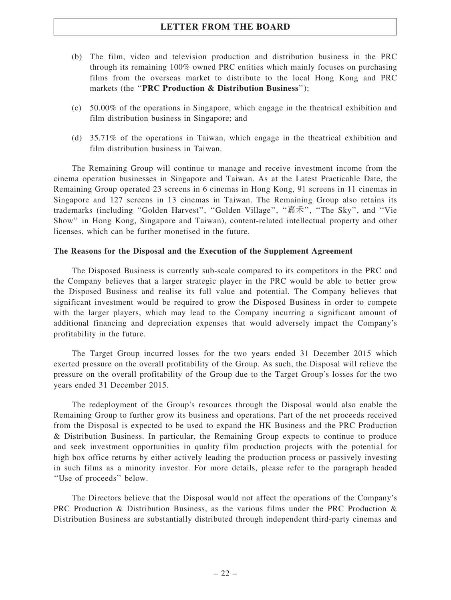- (b) The film, video and television production and distribution business in the PRC through its remaining 100% owned PRC entities which mainly focuses on purchasing films from the overseas market to distribute to the local Hong Kong and PRC markets (the "PRC Production & Distribution Business");
- (c) 50.00% of the operations in Singapore, which engage in the theatrical exhibition and film distribution business in Singapore; and
- (d) 35.71% of the operations in Taiwan, which engage in the theatrical exhibition and film distribution business in Taiwan.

The Remaining Group will continue to manage and receive investment income from the cinema operation businesses in Singapore and Taiwan. As at the Latest Practicable Date, the Remaining Group operated 23 screens in 6 cinemas in Hong Kong, 91 screens in 11 cinemas in Singapore and 127 screens in 13 cinemas in Taiwan. The Remaining Group also retains its trademarks (including ''Golden Harvest'', ''Golden Village'', ''嘉禾'', ''The Sky'', and ''Vie Show'' in Hong Kong, Singapore and Taiwan), content-related intellectual property and other licenses, which can be further monetised in the future.

## The Reasons for the Disposal and the Execution of the Supplement Agreement

The Disposed Business is currently sub-scale compared to its competitors in the PRC and the Company believes that a larger strategic player in the PRC would be able to better grow the Disposed Business and realise its full value and potential. The Company believes that significant investment would be required to grow the Disposed Business in order to compete with the larger players, which may lead to the Company incurring a significant amount of additional financing and depreciation expenses that would adversely impact the Company's profitability in the future.

The Target Group incurred losses for the two years ended 31 December 2015 which exerted pressure on the overall profitability of the Group. As such, the Disposal will relieve the pressure on the overall profitability of the Group due to the Target Group's losses for the two years ended 31 December 2015.

The redeployment of the Group's resources through the Disposal would also enable the Remaining Group to further grow its business and operations. Part of the net proceeds received from the Disposal is expected to be used to expand the HK Business and the PRC Production & Distribution Business. In particular, the Remaining Group expects to continue to produce and seek investment opportunities in quality film production projects with the potential for high box office returns by either actively leading the production process or passively investing in such films as a minority investor. For more details, please refer to the paragraph headed ''Use of proceeds'' below.

The Directors believe that the Disposal would not affect the operations of the Company's PRC Production & Distribution Business, as the various films under the PRC Production & Distribution Business are substantially distributed through independent third-party cinemas and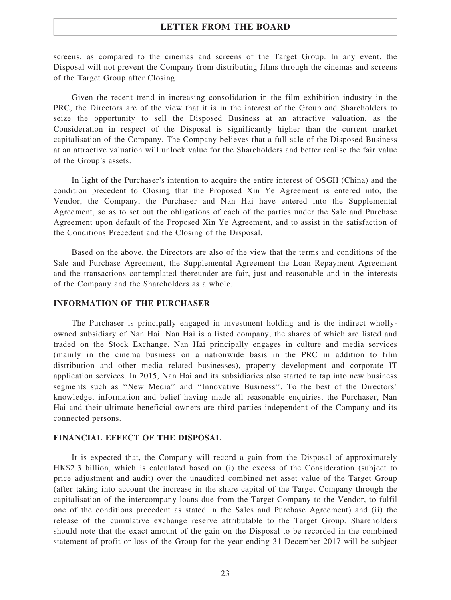screens, as compared to the cinemas and screens of the Target Group. In any event, the Disposal will not prevent the Company from distributing films through the cinemas and screens of the Target Group after Closing.

Given the recent trend in increasing consolidation in the film exhibition industry in the PRC, the Directors are of the view that it is in the interest of the Group and Shareholders to seize the opportunity to sell the Disposed Business at an attractive valuation, as the Consideration in respect of the Disposal is significantly higher than the current market capitalisation of the Company. The Company believes that a full sale of the Disposed Business at an attractive valuation will unlock value for the Shareholders and better realise the fair value of the Group's assets.

In light of the Purchaser's intention to acquire the entire interest of OSGH (China) and the condition precedent to Closing that the Proposed Xin Ye Agreement is entered into, the Vendor, the Company, the Purchaser and Nan Hai have entered into the Supplemental Agreement, so as to set out the obligations of each of the parties under the Sale and Purchase Agreement upon default of the Proposed Xin Ye Agreement, and to assist in the satisfaction of the Conditions Precedent and the Closing of the Disposal.

Based on the above, the Directors are also of the view that the terms and conditions of the Sale and Purchase Agreement, the Supplemental Agreement the Loan Repayment Agreement and the transactions contemplated thereunder are fair, just and reasonable and in the interests of the Company and the Shareholders as a whole.

## INFORMATION OF THE PURCHASER

The Purchaser is principally engaged in investment holding and is the indirect whollyowned subsidiary of Nan Hai. Nan Hai is a listed company, the shares of which are listed and traded on the Stock Exchange. Nan Hai principally engages in culture and media services (mainly in the cinema business on a nationwide basis in the PRC in addition to film distribution and other media related businesses), property development and corporate IT application services. In 2015, Nan Hai and its subsidiaries also started to tap into new business segments such as ''New Media'' and ''Innovative Business''. To the best of the Directors' knowledge, information and belief having made all reasonable enquiries, the Purchaser, Nan Hai and their ultimate beneficial owners are third parties independent of the Company and its connected persons.

#### FINANCIAL EFFECT OF THE DISPOSAL

It is expected that, the Company will record a gain from the Disposal of approximately HK\$2.3 billion, which is calculated based on (i) the excess of the Consideration (subject to price adjustment and audit) over the unaudited combined net asset value of the Target Group (after taking into account the increase in the share capital of the Target Company through the capitalisation of the intercompany loans due from the Target Company to the Vendor, to fulfil one of the conditions precedent as stated in the Sales and Purchase Agreement) and (ii) the release of the cumulative exchange reserve attributable to the Target Group. Shareholders should note that the exact amount of the gain on the Disposal to be recorded in the combined statement of profit or loss of the Group for the year ending 31 December 2017 will be subject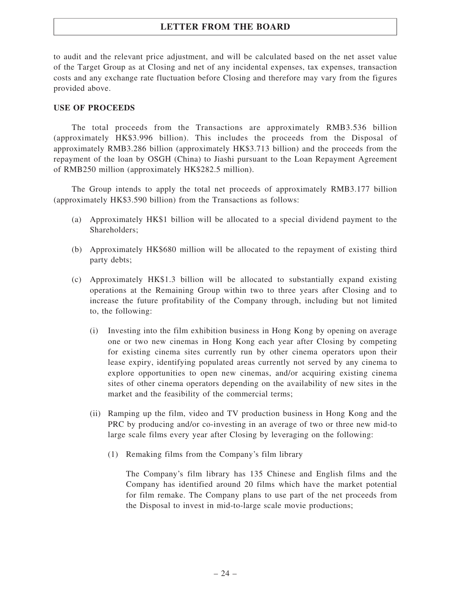to audit and the relevant price adjustment, and will be calculated based on the net asset value of the Target Group as at Closing and net of any incidental expenses, tax expenses, transaction costs and any exchange rate fluctuation before Closing and therefore may vary from the figures provided above.

## USE OF PROCEEDS

The total proceeds from the Transactions are approximately RMB3.536 billion (approximately HK\$3.996 billion). This includes the proceeds from the Disposal of approximately RMB3.286 billion (approximately HK\$3.713 billion) and the proceeds from the repayment of the loan by OSGH (China) to Jiashi pursuant to the Loan Repayment Agreement of RMB250 million (approximately HK\$282.5 million).

The Group intends to apply the total net proceeds of approximately RMB3.177 billion (approximately HK\$3.590 billion) from the Transactions as follows:

- (a) Approximately HK\$1 billion will be allocated to a special dividend payment to the Shareholders;
- (b) Approximately HK\$680 million will be allocated to the repayment of existing third party debts;
- (c) Approximately HK\$1.3 billion will be allocated to substantially expand existing operations at the Remaining Group within two to three years after Closing and to increase the future profitability of the Company through, including but not limited to, the following:
	- (i) Investing into the film exhibition business in Hong Kong by opening on average one or two new cinemas in Hong Kong each year after Closing by competing for existing cinema sites currently run by other cinema operators upon their lease expiry, identifying populated areas currently not served by any cinema to explore opportunities to open new cinemas, and/or acquiring existing cinema sites of other cinema operators depending on the availability of new sites in the market and the feasibility of the commercial terms;
	- (ii) Ramping up the film, video and TV production business in Hong Kong and the PRC by producing and/or co-investing in an average of two or three new mid-to large scale films every year after Closing by leveraging on the following:
		- (1) Remaking films from the Company's film library

The Company's film library has 135 Chinese and English films and the Company has identified around 20 films which have the market potential for film remake. The Company plans to use part of the net proceeds from the Disposal to invest in mid-to-large scale movie productions;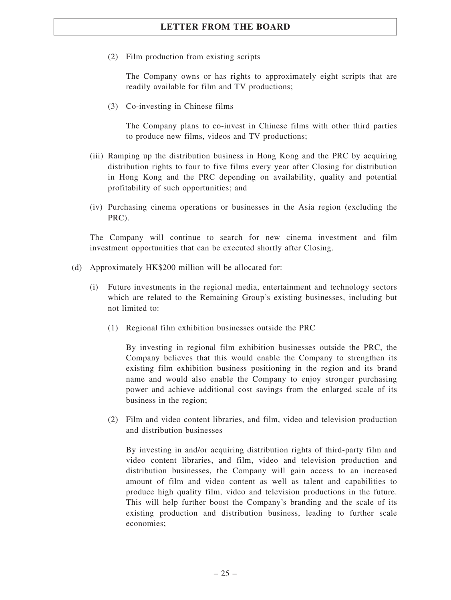(2) Film production from existing scripts

The Company owns or has rights to approximately eight scripts that are readily available for film and TV productions;

(3) Co-investing in Chinese films

The Company plans to co-invest in Chinese films with other third parties to produce new films, videos and TV productions;

- (iii) Ramping up the distribution business in Hong Kong and the PRC by acquiring distribution rights to four to five films every year after Closing for distribution in Hong Kong and the PRC depending on availability, quality and potential profitability of such opportunities; and
- (iv) Purchasing cinema operations or businesses in the Asia region (excluding the PRC).

The Company will continue to search for new cinema investment and film investment opportunities that can be executed shortly after Closing.

- (d) Approximately HK\$200 million will be allocated for:
	- (i) Future investments in the regional media, entertainment and technology sectors which are related to the Remaining Group's existing businesses, including but not limited to:
		- (1) Regional film exhibition businesses outside the PRC

By investing in regional film exhibition businesses outside the PRC, the Company believes that this would enable the Company to strengthen its existing film exhibition business positioning in the region and its brand name and would also enable the Company to enjoy stronger purchasing power and achieve additional cost savings from the enlarged scale of its business in the region;

(2) Film and video content libraries, and film, video and television production and distribution businesses

By investing in and/or acquiring distribution rights of third-party film and video content libraries, and film, video and television production and distribution businesses, the Company will gain access to an increased amount of film and video content as well as talent and capabilities to produce high quality film, video and television productions in the future. This will help further boost the Company's branding and the scale of its existing production and distribution business, leading to further scale economies;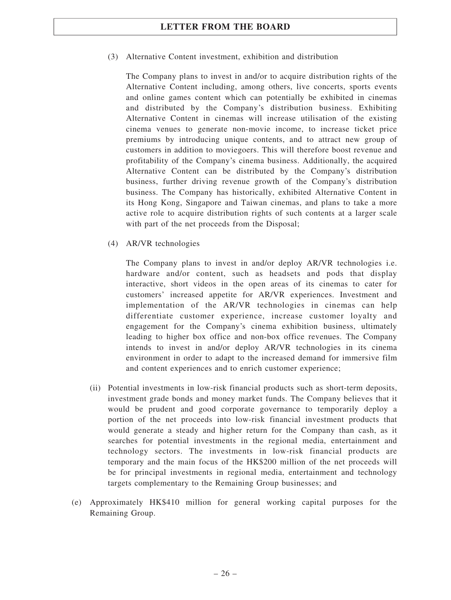(3) Alternative Content investment, exhibition and distribution

The Company plans to invest in and/or to acquire distribution rights of the Alternative Content including, among others, live concerts, sports events and online games content which can potentially be exhibited in cinemas and distributed by the Company's distribution business. Exhibiting Alternative Content in cinemas will increase utilisation of the existing cinema venues to generate non-movie income, to increase ticket price premiums by introducing unique contents, and to attract new group of customers in addition to moviegoers. This will therefore boost revenue and profitability of the Company's cinema business. Additionally, the acquired Alternative Content can be distributed by the Company's distribution business, further driving revenue growth of the Company's distribution business. The Company has historically, exhibited Alternative Content in its Hong Kong, Singapore and Taiwan cinemas, and plans to take a more active role to acquire distribution rights of such contents at a larger scale with part of the net proceeds from the Disposal;

(4) AR/VR technologies

The Company plans to invest in and/or deploy AR/VR technologies i.e. hardware and/or content, such as headsets and pods that display interactive, short videos in the open areas of its cinemas to cater for customers' increased appetite for AR/VR experiences. Investment and implementation of the AR/VR technologies in cinemas can help differentiate customer experience, increase customer loyalty and engagement for the Company's cinema exhibition business, ultimately leading to higher box office and non-box office revenues. The Company intends to invest in and/or deploy AR/VR technologies in its cinema environment in order to adapt to the increased demand for immersive film and content experiences and to enrich customer experience;

- (ii) Potential investments in low-risk financial products such as short-term deposits, investment grade bonds and money market funds. The Company believes that it would be prudent and good corporate governance to temporarily deploy a portion of the net proceeds into low-risk financial investment products that would generate a steady and higher return for the Company than cash, as it searches for potential investments in the regional media, entertainment and technology sectors. The investments in low-risk financial products are temporary and the main focus of the HK\$200 million of the net proceeds will be for principal investments in regional media, entertainment and technology targets complementary to the Remaining Group businesses; and
- (e) Approximately HK\$410 million for general working capital purposes for the Remaining Group.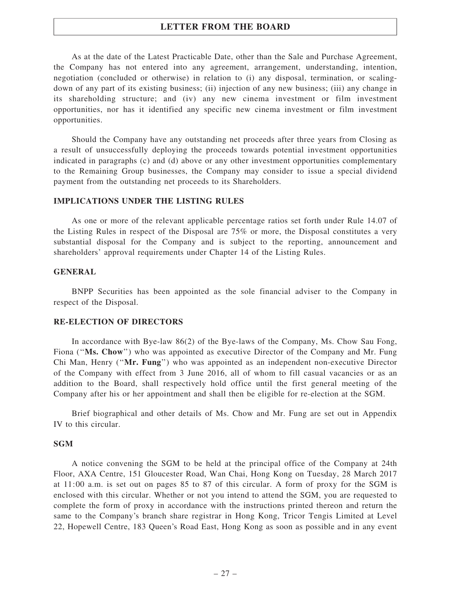As at the date of the Latest Practicable Date, other than the Sale and Purchase Agreement, the Company has not entered into any agreement, arrangement, understanding, intention, negotiation (concluded or otherwise) in relation to (i) any disposal, termination, or scalingdown of any part of its existing business; (ii) injection of any new business; (iii) any change in its shareholding structure; and (iv) any new cinema investment or film investment opportunities, nor has it identified any specific new cinema investment or film investment opportunities.

Should the Company have any outstanding net proceeds after three years from Closing as a result of unsuccessfully deploying the proceeds towards potential investment opportunities indicated in paragraphs (c) and (d) above or any other investment opportunities complementary to the Remaining Group businesses, the Company may consider to issue a special dividend payment from the outstanding net proceeds to its Shareholders.

#### IMPLICATIONS UNDER THE LISTING RULES

As one or more of the relevant applicable percentage ratios set forth under Rule 14.07 of the Listing Rules in respect of the Disposal are 75% or more, the Disposal constitutes a very substantial disposal for the Company and is subject to the reporting, announcement and shareholders' approval requirements under Chapter 14 of the Listing Rules.

#### GENERAL

BNPP Securities has been appointed as the sole financial adviser to the Company in respect of the Disposal.

#### RE-ELECTION OF DIRECTORS

In accordance with Bye-law 86(2) of the Bye-laws of the Company, Ms. Chow Sau Fong, Fiona ("Ms. Chow") who was appointed as executive Director of the Company and Mr. Fung Chi Man, Henry (''Mr. Fung'') who was appointed as an independent non-executive Director of the Company with effect from 3 June 2016, all of whom to fill casual vacancies or as an addition to the Board, shall respectively hold office until the first general meeting of the Company after his or her appointment and shall then be eligible for re-election at the SGM.

Brief biographical and other details of Ms. Chow and Mr. Fung are set out in Appendix IV to this circular.

## **SGM**

A notice convening the SGM to be held at the principal office of the Company at 24th Floor, AXA Centre, 151 Gloucester Road, Wan Chai, Hong Kong on Tuesday, 28 March 2017 at 11:00 a.m. is set out on pages 85 to 87 of this circular. A form of proxy for the SGM is enclosed with this circular. Whether or not you intend to attend the SGM, you are requested to complete the form of proxy in accordance with the instructions printed thereon and return the same to the Company's branch share registrar in Hong Kong, Tricor Tengis Limited at Level 22, Hopewell Centre, 183 Queen's Road East, Hong Kong as soon as possible and in any event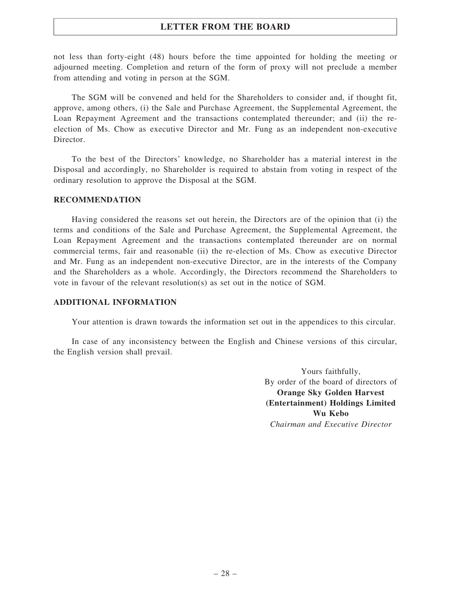not less than forty-eight (48) hours before the time appointed for holding the meeting or adjourned meeting. Completion and return of the form of proxy will not preclude a member from attending and voting in person at the SGM.

The SGM will be convened and held for the Shareholders to consider and, if thought fit, approve, among others, (i) the Sale and Purchase Agreement, the Supplemental Agreement, the Loan Repayment Agreement and the transactions contemplated thereunder; and (ii) the reelection of Ms. Chow as executive Director and Mr. Fung as an independent non-executive Director.

To the best of the Directors' knowledge, no Shareholder has a material interest in the Disposal and accordingly, no Shareholder is required to abstain from voting in respect of the ordinary resolution to approve the Disposal at the SGM.

## RECOMMENDATION

Having considered the reasons set out herein, the Directors are of the opinion that (i) the terms and conditions of the Sale and Purchase Agreement, the Supplemental Agreement, the Loan Repayment Agreement and the transactions contemplated thereunder are on normal commercial terms, fair and reasonable (ii) the re-election of Ms. Chow as executive Director and Mr. Fung as an independent non-executive Director, are in the interests of the Company and the Shareholders as a whole. Accordingly, the Directors recommend the Shareholders to vote in favour of the relevant resolution(s) as set out in the notice of SGM.

## ADDITIONAL INFORMATION

Your attention is drawn towards the information set out in the appendices to this circular.

In case of any inconsistency between the English and Chinese versions of this circular, the English version shall prevail.

> Yours faithfully, By order of the board of directors of Orange Sky Golden Harvest (Entertainment) Holdings Limited Wu Kebo Chairman and Executive Director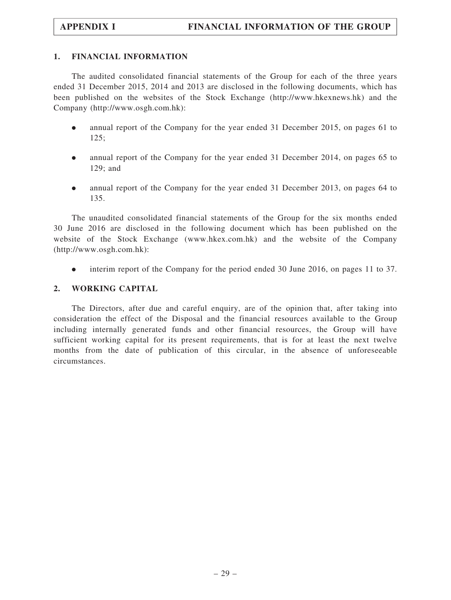## 1. FINANCIAL INFORMATION

The audited consolidated financial statements of the Group for each of the three years ended 31 December 2015, 2014 and 2013 are disclosed in the following documents, which has been published on the websites of the Stock Exchange (http://www.hkexnews.hk) and the Company (http://www.osgh.com.hk):

- . annual report of the Company for the year ended 31 December 2015, on pages 61 to 125;
- . annual report of the Company for the year ended 31 December 2014, on pages 65 to 129; and
- . annual report of the Company for the year ended 31 December 2013, on pages 64 to 135.

The unaudited consolidated financial statements of the Group for the six months ended 30 June 2016 are disclosed in the following document which has been published on the website of the Stock Exchange (www.hkex.com.hk) and the website of the Company (http://www.osgh.com.hk):

. interim report of the Company for the period ended 30 June 2016, on pages 11 to 37.

## 2. WORKING CAPITAL

The Directors, after due and careful enquiry, are of the opinion that, after taking into consideration the effect of the Disposal and the financial resources available to the Group including internally generated funds and other financial resources, the Group will have sufficient working capital for its present requirements, that is for at least the next twelve months from the date of publication of this circular, in the absence of unforeseeable circumstances.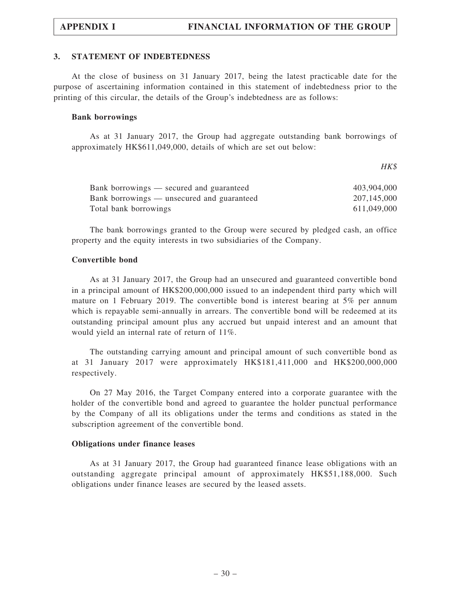## 3. STATEMENT OF INDEBTEDNESS

At the close of business on 31 January 2017, being the latest practicable date for the purpose of ascertaining information contained in this statement of indebtedness prior to the printing of this circular, the details of the Group's indebtedness are as follows:

#### Bank borrowings

As at 31 January 2017, the Group had aggregate outstanding bank borrowings of approximately HK\$611,049,000, details of which are set out below:

HK\$

| Bank borrowings — secured and guaranteed   | 403,904,000 |
|--------------------------------------------|-------------|
| Bank borrowings — unsecured and guaranteed | 207,145,000 |
| Total bank borrowings                      | 611,049,000 |

The bank borrowings granted to the Group were secured by pledged cash, an office property and the equity interests in two subsidiaries of the Company.

## Convertible bond

As at 31 January 2017, the Group had an unsecured and guaranteed convertible bond in a principal amount of HK\$200,000,000 issued to an independent third party which will mature on 1 February 2019. The convertible bond is interest bearing at 5% per annum which is repayable semi-annually in arrears. The convertible bond will be redeemed at its outstanding principal amount plus any accrued but unpaid interest and an amount that would yield an internal rate of return of 11%.

The outstanding carrying amount and principal amount of such convertible bond as at 31 January 2017 were approximately HK\$181,411,000 and HK\$200,000,000 respectively.

On 27 May 2016, the Target Company entered into a corporate guarantee with the holder of the convertible bond and agreed to guarantee the holder punctual performance by the Company of all its obligations under the terms and conditions as stated in the subscription agreement of the convertible bond.

## Obligations under finance leases

As at 31 January 2017, the Group had guaranteed finance lease obligations with an outstanding aggregate principal amount of approximately HK\$51,188,000. Such obligations under finance leases are secured by the leased assets.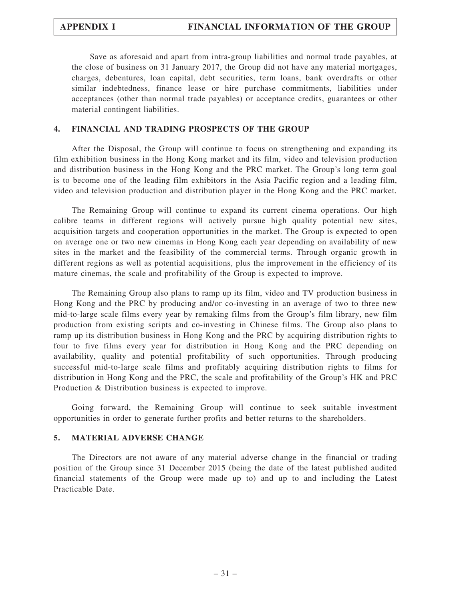Save as aforesaid and apart from intra-group liabilities and normal trade payables, at the close of business on 31 January 2017, the Group did not have any material mortgages, charges, debentures, loan capital, debt securities, term loans, bank overdrafts or other similar indebtedness, finance lease or hire purchase commitments, liabilities under acceptances (other than normal trade payables) or acceptance credits, guarantees or other material contingent liabilities.

## 4. FINANCIAL AND TRADING PROSPECTS OF THE GROUP

After the Disposal, the Group will continue to focus on strengthening and expanding its film exhibition business in the Hong Kong market and its film, video and television production and distribution business in the Hong Kong and the PRC market. The Group's long term goal is to become one of the leading film exhibitors in the Asia Pacific region and a leading film, video and television production and distribution player in the Hong Kong and the PRC market.

The Remaining Group will continue to expand its current cinema operations. Our high calibre teams in different regions will actively pursue high quality potential new sites, acquisition targets and cooperation opportunities in the market. The Group is expected to open on average one or two new cinemas in Hong Kong each year depending on availability of new sites in the market and the feasibility of the commercial terms. Through organic growth in different regions as well as potential acquisitions, plus the improvement in the efficiency of its mature cinemas, the scale and profitability of the Group is expected to improve.

The Remaining Group also plans to ramp up its film, video and TV production business in Hong Kong and the PRC by producing and/or co-investing in an average of two to three new mid-to-large scale films every year by remaking films from the Group's film library, new film production from existing scripts and co-investing in Chinese films. The Group also plans to ramp up its distribution business in Hong Kong and the PRC by acquiring distribution rights to four to five films every year for distribution in Hong Kong and the PRC depending on availability, quality and potential profitability of such opportunities. Through producing successful mid-to-large scale films and profitably acquiring distribution rights to films for distribution in Hong Kong and the PRC, the scale and profitability of the Group's HK and PRC Production & Distribution business is expected to improve.

Going forward, the Remaining Group will continue to seek suitable investment opportunities in order to generate further profits and better returns to the shareholders.

## 5. MATERIAL ADVERSE CHANGE

The Directors are not aware of any material adverse change in the financial or trading position of the Group since 31 December 2015 (being the date of the latest published audited financial statements of the Group were made up to) and up to and including the Latest Practicable Date.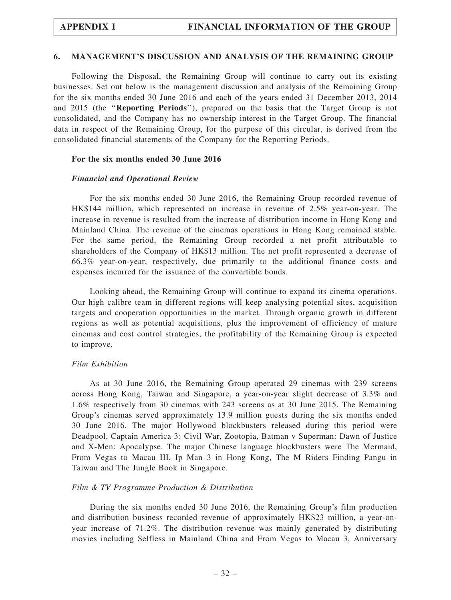#### 6. MANAGEMENT'S DISCUSSION AND ANALYSIS OF THE REMAINING GROUP

Following the Disposal, the Remaining Group will continue to carry out its existing businesses. Set out below is the management discussion and analysis of the Remaining Group for the six months ended 30 June 2016 and each of the years ended 31 December 2013, 2014 and 2015 (the ''Reporting Periods''), prepared on the basis that the Target Group is not consolidated, and the Company has no ownership interest in the Target Group. The financial data in respect of the Remaining Group, for the purpose of this circular, is derived from the consolidated financial statements of the Company for the Reporting Periods.

#### For the six months ended 30 June 2016

#### Financial and Operational Review

For the six months ended 30 June 2016, the Remaining Group recorded revenue of HK\$144 million, which represented an increase in revenue of 2.5% year-on-year. The increase in revenue is resulted from the increase of distribution income in Hong Kong and Mainland China. The revenue of the cinemas operations in Hong Kong remained stable. For the same period, the Remaining Group recorded a net profit attributable to shareholders of the Company of HK\$13 million. The net profit represented a decrease of 66.3% year-on-year, respectively, due primarily to the additional finance costs and expenses incurred for the issuance of the convertible bonds.

Looking ahead, the Remaining Group will continue to expand its cinema operations. Our high calibre team in different regions will keep analysing potential sites, acquisition targets and cooperation opportunities in the market. Through organic growth in different regions as well as potential acquisitions, plus the improvement of efficiency of mature cinemas and cost control strategies, the profitability of the Remaining Group is expected to improve.

#### Film Exhibition

As at 30 June 2016, the Remaining Group operated 29 cinemas with 239 screens across Hong Kong, Taiwan and Singapore, a year-on-year slight decrease of 3.3% and 1.6% respectively from 30 cinemas with 243 screens as at 30 June 2015. The Remaining Group's cinemas served approximately 13.9 million guests during the six months ended 30 June 2016. The major Hollywood blockbusters released during this period were Deadpool, Captain America 3: Civil War, Zootopia, Batman v Superman: Dawn of Justice and X-Men: Apocalypse. The major Chinese language blockbusters were The Mermaid, From Vegas to Macau III, Ip Man 3 in Hong Kong, The M Riders Finding Pangu in Taiwan and The Jungle Book in Singapore.

#### Film & TV Programme Production & Distribution

During the six months ended 30 June 2016, the Remaining Group's film production and distribution business recorded revenue of approximately HK\$23 million, a year-onyear increase of 71.2%. The distribution revenue was mainly generated by distributing movies including Selfless in Mainland China and From Vegas to Macau 3, Anniversary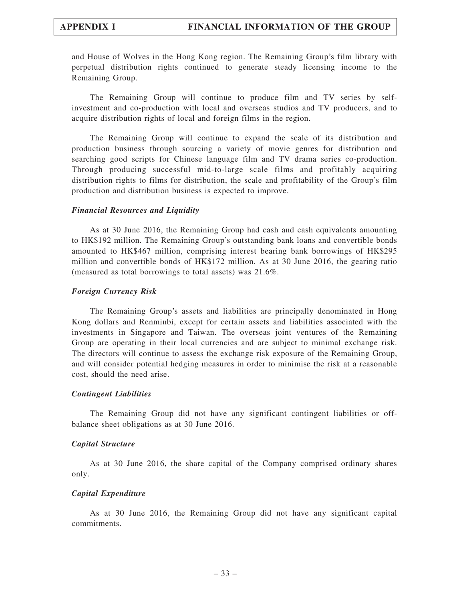and House of Wolves in the Hong Kong region. The Remaining Group's film library with perpetual distribution rights continued to generate steady licensing income to the Remaining Group.

The Remaining Group will continue to produce film and TV series by selfinvestment and co-production with local and overseas studios and TV producers, and to acquire distribution rights of local and foreign films in the region.

The Remaining Group will continue to expand the scale of its distribution and production business through sourcing a variety of movie genres for distribution and searching good scripts for Chinese language film and TV drama series co-production. Through producing successful mid-to-large scale films and profitably acquiring distribution rights to films for distribution, the scale and profitability of the Group's film production and distribution business is expected to improve.

#### Financial Resources and Liquidity

As at 30 June 2016, the Remaining Group had cash and cash equivalents amounting to HK\$192 million. The Remaining Group's outstanding bank loans and convertible bonds amounted to HK\$467 million, comprising interest bearing bank borrowings of HK\$295 million and convertible bonds of HK\$172 million. As at 30 June 2016, the gearing ratio (measured as total borrowings to total assets) was 21.6%.

#### Foreign Currency Risk

The Remaining Group's assets and liabilities are principally denominated in Hong Kong dollars and Renminbi, except for certain assets and liabilities associated with the investments in Singapore and Taiwan. The overseas joint ventures of the Remaining Group are operating in their local currencies and are subject to minimal exchange risk. The directors will continue to assess the exchange risk exposure of the Remaining Group, and will consider potential hedging measures in order to minimise the risk at a reasonable cost, should the need arise.

#### Contingent Liabilities

The Remaining Group did not have any significant contingent liabilities or offbalance sheet obligations as at 30 June 2016.

#### Capital Structure

As at 30 June 2016, the share capital of the Company comprised ordinary shares only.

#### Capital Expenditure

As at 30 June 2016, the Remaining Group did not have any significant capital commitments.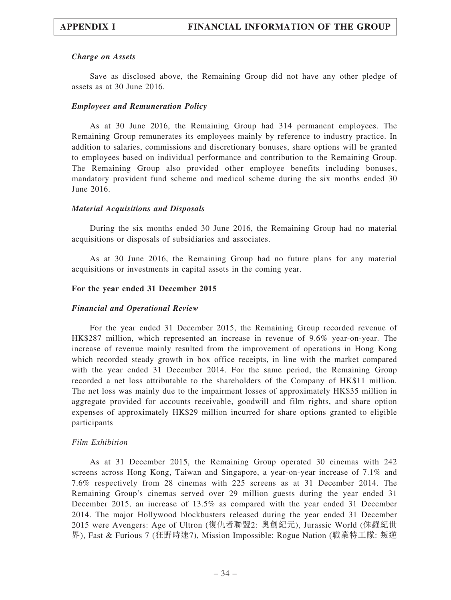## Charge on Assets

Save as disclosed above, the Remaining Group did not have any other pledge of assets as at 30 June 2016.

## Employees and Remuneration Policy

As at 30 June 2016, the Remaining Group had 314 permanent employees. The Remaining Group remunerates its employees mainly by reference to industry practice. In addition to salaries, commissions and discretionary bonuses, share options will be granted to employees based on individual performance and contribution to the Remaining Group. The Remaining Group also provided other employee benefits including bonuses, mandatory provident fund scheme and medical scheme during the six months ended 30 June 2016.

## Material Acquisitions and Disposals

During the six months ended 30 June 2016, the Remaining Group had no material acquisitions or disposals of subsidiaries and associates.

As at 30 June 2016, the Remaining Group had no future plans for any material acquisitions or investments in capital assets in the coming year.

## For the year ended 31 December 2015

#### Financial and Operational Review

For the year ended 31 December 2015, the Remaining Group recorded revenue of HK\$287 million, which represented an increase in revenue of 9.6% year-on-year. The increase of revenue mainly resulted from the improvement of operations in Hong Kong which recorded steady growth in box office receipts, in line with the market compared with the year ended 31 December 2014. For the same period, the Remaining Group recorded a net loss attributable to the shareholders of the Company of HK\$11 million. The net loss was mainly due to the impairment losses of approximately HK\$35 million in aggregate provided for accounts receivable, goodwill and film rights, and share option expenses of approximately HK\$29 million incurred for share options granted to eligible participants

#### Film Exhibition

As at 31 December 2015, the Remaining Group operated 30 cinemas with 242 screens across Hong Kong, Taiwan and Singapore, a year-on-year increase of 7.1% and 7.6% respectively from 28 cinemas with 225 screens as at 31 December 2014. The Remaining Group's cinemas served over 29 million guests during the year ended 31 December 2015, an increase of 13.5% as compared with the year ended 31 December 2014. The major Hollywood blockbusters released during the year ended 31 December 2015 were Avengers: Age of Ultron (復仇者聯盟2: 奧創紀元), Jurassic World (侏羅紀世 界), Fast & Furious 7 (狂野時速7), Mission Impossible: Rogue Nation (職業特工隊: 叛逆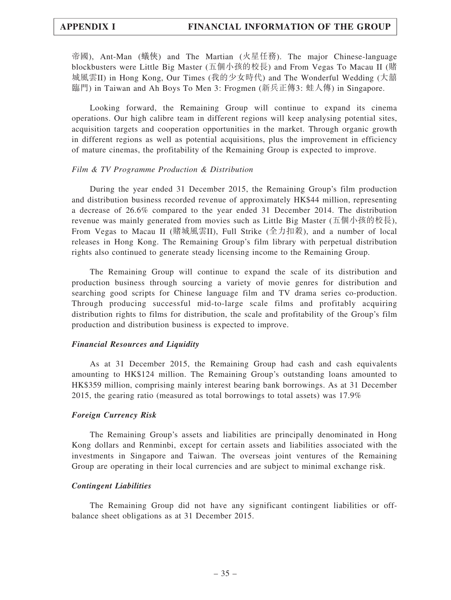帝國), Ant-Man (蟻俠) and The Martian (火星任務). The major Chinese-language blockbusters were Little Big Master (五個小孩的校長) and From Vegas To Macau II (賭 城風雲II) in Hong Kong, Our Times (我的少女時代) and The Wonderful Wedding (大囍 臨門) in Taiwan and Ah Boys To Men 3: Frogmen (新兵正傳3: 蛙人傳) in Singapore.

Looking forward, the Remaining Group will continue to expand its cinema operations. Our high calibre team in different regions will keep analysing potential sites, acquisition targets and cooperation opportunities in the market. Through organic growth in different regions as well as potential acquisitions, plus the improvement in efficiency of mature cinemas, the profitability of the Remaining Group is expected to improve.

#### Film & TV Programme Production & Distribution

During the year ended 31 December 2015, the Remaining Group's film production and distribution business recorded revenue of approximately HK\$44 million, representing a decrease of 26.6% compared to the year ended 31 December 2014. The distribution revenue was mainly generated from movies such as Little Big Master (五個小孩的校長), From Vegas to Macau II (賭城風雲II), Full Strike (全力扣殺), and a number of local releases in Hong Kong. The Remaining Group's film library with perpetual distribution rights also continued to generate steady licensing income to the Remaining Group.

The Remaining Group will continue to expand the scale of its distribution and production business through sourcing a variety of movie genres for distribution and searching good scripts for Chinese language film and TV drama series co-production. Through producing successful mid-to-large scale films and profitably acquiring distribution rights to films for distribution, the scale and profitability of the Group's film production and distribution business is expected to improve.

#### Financial Resources and Liquidity

As at 31 December 2015, the Remaining Group had cash and cash equivalents amounting to HK\$124 million. The Remaining Group's outstanding loans amounted to HK\$359 million, comprising mainly interest bearing bank borrowings. As at 31 December 2015, the gearing ratio (measured as total borrowings to total assets) was 17.9%

#### Foreign Currency Risk

The Remaining Group's assets and liabilities are principally denominated in Hong Kong dollars and Renminbi, except for certain assets and liabilities associated with the investments in Singapore and Taiwan. The overseas joint ventures of the Remaining Group are operating in their local currencies and are subject to minimal exchange risk.

#### Contingent Liabilities

The Remaining Group did not have any significant contingent liabilities or offbalance sheet obligations as at 31 December 2015.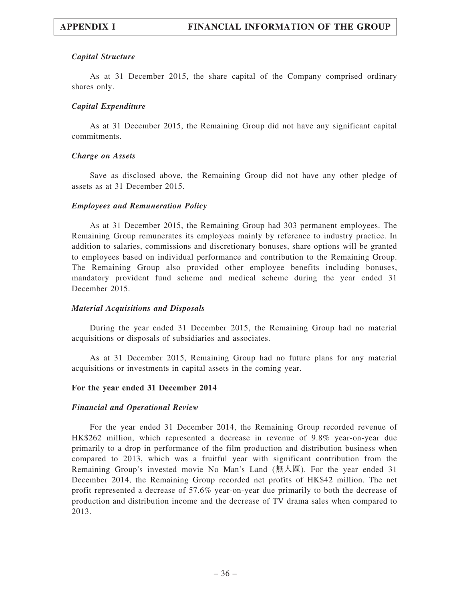## Capital Structure

As at 31 December 2015, the share capital of the Company comprised ordinary shares only.

## Capital Expenditure

As at 31 December 2015, the Remaining Group did not have any significant capital commitments.

### Charge on Assets

Save as disclosed above, the Remaining Group did not have any other pledge of assets as at 31 December 2015.

## Employees and Remuneration Policy

As at 31 December 2015, the Remaining Group had 303 permanent employees. The Remaining Group remunerates its employees mainly by reference to industry practice. In addition to salaries, commissions and discretionary bonuses, share options will be granted to employees based on individual performance and contribution to the Remaining Group. The Remaining Group also provided other employee benefits including bonuses, mandatory provident fund scheme and medical scheme during the year ended 31 December 2015.

### Material Acquisitions and Disposals

During the year ended 31 December 2015, the Remaining Group had no material acquisitions or disposals of subsidiaries and associates.

As at 31 December 2015, Remaining Group had no future plans for any material acquisitions or investments in capital assets in the coming year.

### For the year ended 31 December 2014

### Financial and Operational Review

For the year ended 31 December 2014, the Remaining Group recorded revenue of HK\$262 million, which represented a decrease in revenue of 9.8% year-on-year due primarily to a drop in performance of the film production and distribution business when compared to 2013, which was a fruitful year with significant contribution from the Remaining Group's invested movie No Man's Land (無人區). For the year ended 31 December 2014, the Remaining Group recorded net profits of HK\$42 million. The net profit represented a decrease of 57.6% year-on-year due primarily to both the decrease of production and distribution income and the decrease of TV drama sales when compared to 2013.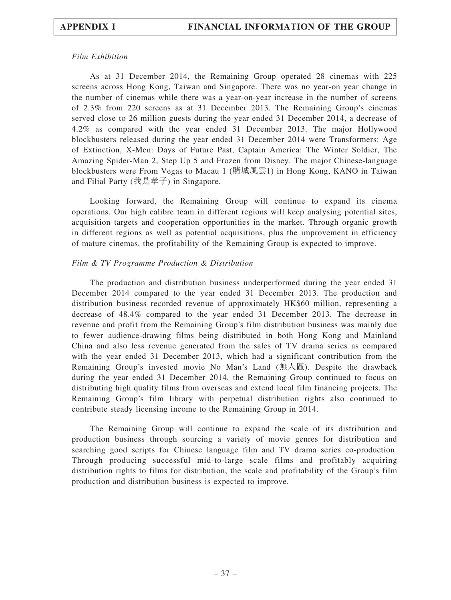## Film Exhibition

As at 31 December 2014, the Remaining Group operated 28 cinemas with 225 screens across Hong Kong, Taiwan and Singapore. There was no year-on year change in the number of cinemas while there was a year-on-year increase in the number of screens of 2.3% from 220 screens as at 31 December 2013. The Remaining Group's cinemas served close to 26 million guests during the year ended 31 December 2014, a decrease of 4.2% as compared with the year ended 31 December 2013. The major Hollywood blockbusters released during the year ended 31 December 2014 were Transformers: Age of Extinction, X-Men: Days of Future Past, Captain America: The Winter Soldier, The Amazing Spider-Man 2, Step Up 5 and Frozen from Disney. The major Chinese-language blockbusters were From Vegas to Macau 1 (賭城風雲1) in Hong Kong, KANO in Taiwan and Filial Party (我是孝子) in Singapore.

Looking forward, the Remaining Group will continue to expand its cinema operations. Our high calibre team in different regions will keep analysing potential sites, acquisition targets and cooperation opportunities in the market. Through organic growth in different regions as well as potential acquisitions, plus the improvement in efficiency of mature cinemas, the profitability of the Remaining Group is expected to improve.

## Film & TV Programme Production & Distribution

The production and distribution business underperformed during the year ended 31 December 2014 compared to the year ended 31 December 2013. The production and distribution business recorded revenue of approximately HK\$60 million, representing a decrease of 48.4% compared to the year ended 31 December 2013. The decrease in revenue and profit from the Remaining Group's film distribution business was mainly due to fewer audience-drawing films being distributed in both Hong Kong and Mainland China and also less revenue generated from the sales of TV drama series as compared with the year ended 31 December 2013, which had a significant contribution from the Remaining Group's invested movie No Man's Land (無人區). Despite the drawback during the year ended 31 December 2014, the Remaining Group continued to focus on distributing high quality films from overseas and extend local film financing projects. The Remaining Group's film library with perpetual distribution rights also continued to contribute steady licensing income to the Remaining Group in 2014.

The Remaining Group will continue to expand the scale of its distribution and production business through sourcing a variety of movie genres for distribution and searching good scripts for Chinese language film and TV drama series co-production. Through producing successful mid-to-large scale films and profitably acquiring distribution rights to films for distribution, the scale and profitability of the Group's film production and distribution business is expected to improve.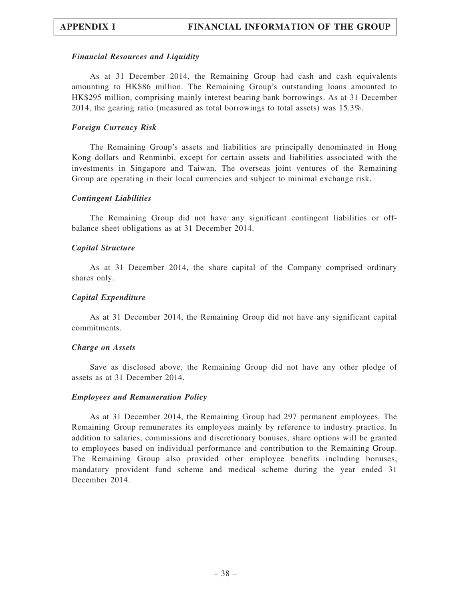#### Financial Resources and Liquidity

As at 31 December 2014, the Remaining Group had cash and cash equivalents amounting to HK\$86 million. The Remaining Group's outstanding loans amounted to HK\$295 million, comprising mainly interest bearing bank borrowings. As at 31 December 2014, the gearing ratio (measured as total borrowings to total assets) was 15.3%.

#### Foreign Currency Risk

The Remaining Group's assets and liabilities are principally denominated in Hong Kong dollars and Renminbi, except for certain assets and liabilities associated with the investments in Singapore and Taiwan. The overseas joint ventures of the Remaining Group are operating in their local currencies and subject to minimal exchange risk.

#### Contingent Liabilities

The Remaining Group did not have any significant contingent liabilities or offbalance sheet obligations as at 31 December 2014.

#### Capital Structure

As at 31 December 2014, the share capital of the Company comprised ordinary shares only.

#### Capital Expenditure

As at 31 December 2014, the Remaining Group did not have any significant capital commitments.

#### Charge on Assets

Save as disclosed above, the Remaining Group did not have any other pledge of assets as at 31 December 2014.

#### Employees and Remuneration Policy

As at 31 December 2014, the Remaining Group had 297 permanent employees. The Remaining Group remunerates its employees mainly by reference to industry practice. In addition to salaries, commissions and discretionary bonuses, share options will be granted to employees based on individual performance and contribution to the Remaining Group. The Remaining Group also provided other employee benefits including bonuses, mandatory provident fund scheme and medical scheme during the year ended 31 December 2014.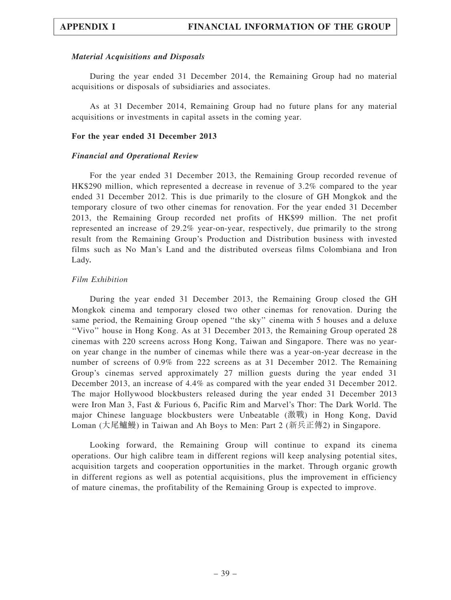#### Material Acquisitions and Disposals

During the year ended 31 December 2014, the Remaining Group had no material acquisitions or disposals of subsidiaries and associates.

As at 31 December 2014, Remaining Group had no future plans for any material acquisitions or investments in capital assets in the coming year.

#### For the year ended 31 December 2013

#### Financial and Operational Review

For the year ended 31 December 2013, the Remaining Group recorded revenue of HK\$290 million, which represented a decrease in revenue of 3.2% compared to the year ended 31 December 2012. This is due primarily to the closure of GH Mongkok and the temporary closure of two other cinemas for renovation. For the year ended 31 December 2013, the Remaining Group recorded net profits of HK\$99 million. The net profit represented an increase of 29.2% year-on-year, respectively, due primarily to the strong result from the Remaining Group's Production and Distribution business with invested films such as No Man's Land and the distributed overseas films Colombiana and Iron Lady.

#### Film Exhibition

During the year ended 31 December 2013, the Remaining Group closed the GH Mongkok cinema and temporary closed two other cinemas for renovation. During the same period, the Remaining Group opened ''the sky'' cinema with 5 houses and a deluxe ''Vivo'' house in Hong Kong. As at 31 December 2013, the Remaining Group operated 28 cinemas with 220 screens across Hong Kong, Taiwan and Singapore. There was no yearon year change in the number of cinemas while there was a year-on-year decrease in the number of screens of 0.9% from 222 screens as at 31 December 2012. The Remaining Group's cinemas served approximately 27 million guests during the year ended 31 December 2013, an increase of 4.4% as compared with the year ended 31 December 2012. The major Hollywood blockbusters released during the year ended 31 December 2013 were Iron Man 3, Fast & Furious 6, Pacific Rim and Marvel's Thor: The Dark World. The major Chinese language blockbusters were Unbeatable (激戰) in Hong Kong, David Loman (大尾鱸鰻) in Taiwan and Ah Boys to Men: Part 2 (新兵正傳2) in Singapore.

Looking forward, the Remaining Group will continue to expand its cinema operations. Our high calibre team in different regions will keep analysing potential sites, acquisition targets and cooperation opportunities in the market. Through organic growth in different regions as well as potential acquisitions, plus the improvement in efficiency of mature cinemas, the profitability of the Remaining Group is expected to improve.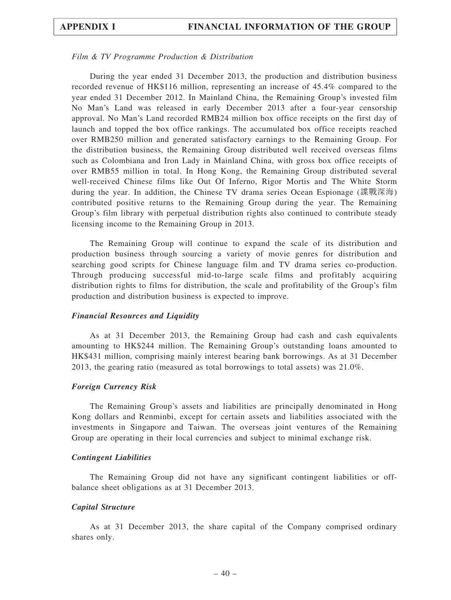#### Film & TV Programme Production & Distribution

During the year ended 31 December 2013, the production and distribution business recorded revenue of HK\$116 million, representing an increase of 45.4% compared to the year ended 31 December 2012. In Mainland China, the Remaining Group's invested film No Man's Land was released in early December 2013 after a four-year censorship approval. No Man's Land recorded RMB24 million box office receipts on the first day of launch and topped the box office rankings. The accumulated box office receipts reached over RMB250 million and generated satisfactory earnings to the Remaining Group. For the distribution business, the Remaining Group distributed well received overseas films such as Colombiana and Iron Lady in Mainland China, with gross box office receipts of over RMB55 million in total. In Hong Kong, the Remaining Group distributed several well-received Chinese films like Out Of Inferno, Rigor Mortis and The White Storm during the year. In addition, the Chinese TV drama series Ocean Espionage (諜戰深海) contributed positive returns to the Remaining Group during the year. The Remaining Group's film library with perpetual distribution rights also continued to contribute steady licensing income to the Remaining Group in 2013.

The Remaining Group will continue to expand the scale of its distribution and production business through sourcing a variety of movie genres for distribution and searching good scripts for Chinese language film and TV drama series co-production. Through producing successful mid-to-large scale films and profitably acquiring distribution rights to films for distribution, the scale and profitability of the Group's film production and distribution business is expected to improve.

#### Financial Resources and Liquidity

As at 31 December 2013, the Remaining Group had cash and cash equivalents amounting to HK\$244 million. The Remaining Group's outstanding loans amounted to HK\$431 million, comprising mainly interest bearing bank borrowings. As at 31 December 2013, the gearing ratio (measured as total borrowings to total assets) was 21.0%.

#### Foreign Currency Risk

The Remaining Group's assets and liabilities are principally denominated in Hong Kong dollars and Renminbi, except for certain assets and liabilities associated with the investments in Singapore and Taiwan. The overseas joint ventures of the Remaining Group are operating in their local currencies and subject to minimal exchange risk.

#### Contingent Liabilities

The Remaining Group did not have any significant contingent liabilities or offbalance sheet obligations as at 31 December 2013.

#### Capital Structure

As at 31 December 2013, the share capital of the Company comprised ordinary shares only.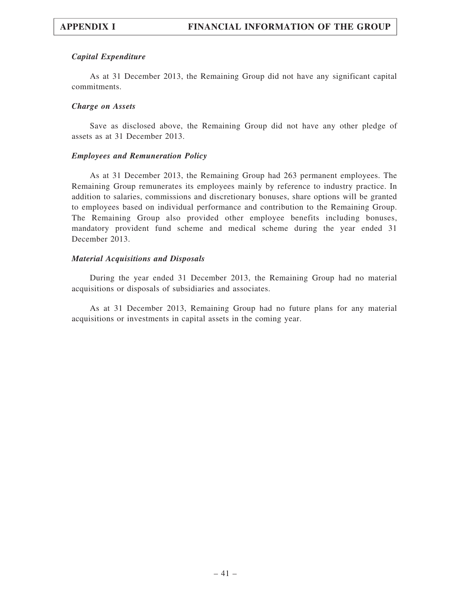## Capital Expenditure

As at 31 December 2013, the Remaining Group did not have any significant capital commitments.

### Charge on Assets

Save as disclosed above, the Remaining Group did not have any other pledge of assets as at 31 December 2013.

### Employees and Remuneration Policy

As at 31 December 2013, the Remaining Group had 263 permanent employees. The Remaining Group remunerates its employees mainly by reference to industry practice. In addition to salaries, commissions and discretionary bonuses, share options will be granted to employees based on individual performance and contribution to the Remaining Group. The Remaining Group also provided other employee benefits including bonuses, mandatory provident fund scheme and medical scheme during the year ended 31 December 2013.

### Material Acquisitions and Disposals

During the year ended 31 December 2013, the Remaining Group had no material acquisitions or disposals of subsidiaries and associates.

As at 31 December 2013, Remaining Group had no future plans for any material acquisitions or investments in capital assets in the coming year.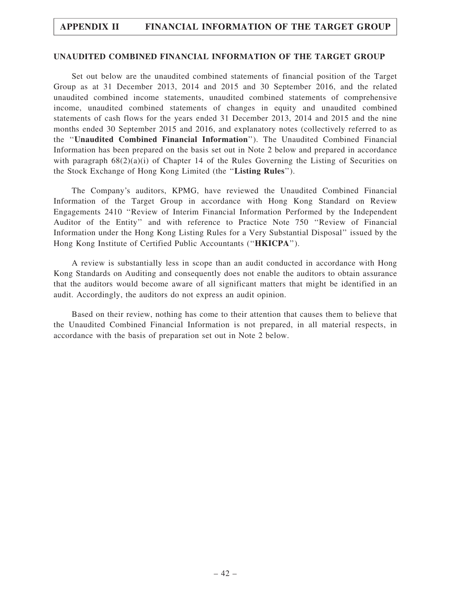#### UNAUDITED COMBINED FINANCIAL INFORMATION OF THE TARGET GROUP

Set out below are the unaudited combined statements of financial position of the Target Group as at 31 December 2013, 2014 and 2015 and 30 September 2016, and the related unaudited combined income statements, unaudited combined statements of comprehensive income, unaudited combined statements of changes in equity and unaudited combined statements of cash flows for the years ended 31 December 2013, 2014 and 2015 and the nine months ended 30 September 2015 and 2016, and explanatory notes (collectively referred to as the ''Unaudited Combined Financial Information''). The Unaudited Combined Financial Information has been prepared on the basis set out in Note 2 below and prepared in accordance with paragraph  $68(2)(a)(i)$  of Chapter 14 of the Rules Governing the Listing of Securities on the Stock Exchange of Hong Kong Limited (the ''Listing Rules'').

The Company's auditors, KPMG, have reviewed the Unaudited Combined Financial Information of the Target Group in accordance with Hong Kong Standard on Review Engagements 2410 ''Review of Interim Financial Information Performed by the Independent Auditor of the Entity'' and with reference to Practice Note 750 ''Review of Financial Information under the Hong Kong Listing Rules for a Very Substantial Disposal'' issued by the Hong Kong Institute of Certified Public Accountants (''HKICPA'').

A review is substantially less in scope than an audit conducted in accordance with Hong Kong Standards on Auditing and consequently does not enable the auditors to obtain assurance that the auditors would become aware of all significant matters that might be identified in an audit. Accordingly, the auditors do not express an audit opinion.

Based on their review, nothing has come to their attention that causes them to believe that the Unaudited Combined Financial Information is not prepared, in all material respects, in accordance with the basis of preparation set out in Note 2 below.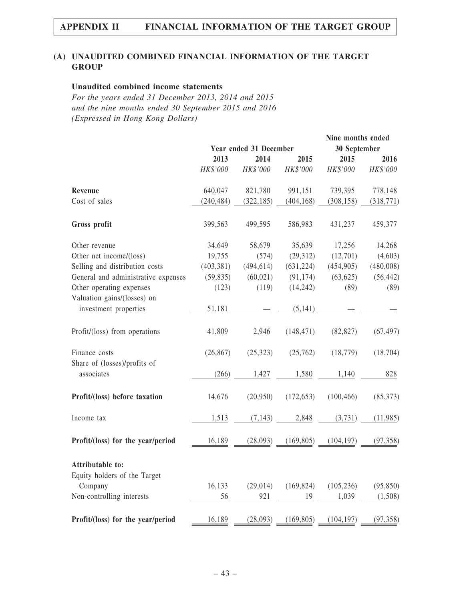## (A) UNAUDITED COMBINED FINANCIAL INFORMATION OF THE TARGET **GROUP**

#### Unaudited combined income statements

For the years ended 31 December 2013, 2014 and 2015 and the nine months ended 30 September 2015 and 2016 (Expressed in Hong Kong Dollars)

|                                                      |            |                        |            | Nine months ended |            |
|------------------------------------------------------|------------|------------------------|------------|-------------------|------------|
|                                                      |            | Year ended 31 December |            | 30 September      |            |
|                                                      | 2013       | 2014                   | 2015       | 2015              | 2016       |
|                                                      | HK\$'000   | HK\$'000               | HK\$'000   | HK\$'000          | HK\$'000   |
| Revenue                                              | 640,047    | 821,780                | 991,151    | 739,395           | 778,148    |
| Cost of sales                                        | (240, 484) | (322, 185)             | (404, 168) | (308, 158)        | (318, 771) |
| Gross profit                                         | 399,563    | 499,595                | 586,983    | 431,237           | 459,377    |
| Other revenue                                        | 34,649     | 58,679                 | 35,639     | 17,256            | 14,268     |
| Other net income/(loss)                              | 19,755     | (574)                  | (29, 312)  | (12,701)          | (4,603)    |
| Selling and distribution costs                       | (403, 381) | (494, 614)             | (631, 224) | (454, 905)        | (480,008)  |
| General and administrative expenses                  | (59, 835)  | (60, 021)              | (91, 174)  | (63, 625)         | (56, 442)  |
| Other operating expenses                             | (123)      | (119)                  | (14, 242)  | (89)              | (89)       |
| Valuation gains/(losses) on<br>investment properties | 51,181     |                        | (5, 141)   |                   |            |
| Profit/(loss) from operations                        | 41,809     | 2,946                  | (148, 471) | (82, 827)         | (67, 497)  |
| Finance costs                                        | (26, 867)  | (25, 323)              | (25,762)   | (18, 779)         | (18, 704)  |
| Share of (losses)/profits of<br>associates           | (266)      | 1,427                  | 1,580      | 1,140             | 828        |
| Profit/(loss) before taxation                        | 14,676     | (20,950)               | (172, 653) | (100, 466)        | (85,373)   |
| Income tax                                           | 1,513      | (7, 143)               | 2,848      | (3,731)           | (11,985)   |
| Profit/(loss) for the year/period                    | 16,189     | (28,093)               | (169, 805) | (104, 197)        | (97, 358)  |
| Attributable to:                                     |            |                        |            |                   |            |
| Equity holders of the Target                         |            |                        |            |                   |            |
| Company                                              | 16,133     | (29, 014)              | (169, 824) | (105, 236)        | (95, 850)  |
| Non-controlling interests                            | 56         | 921                    | 19         | 1,039             | (1,508)    |
| Profit/(loss) for the year/period                    | 16,189     | (28,093)               | (169, 805) | (104, 197)        | (97, 358)  |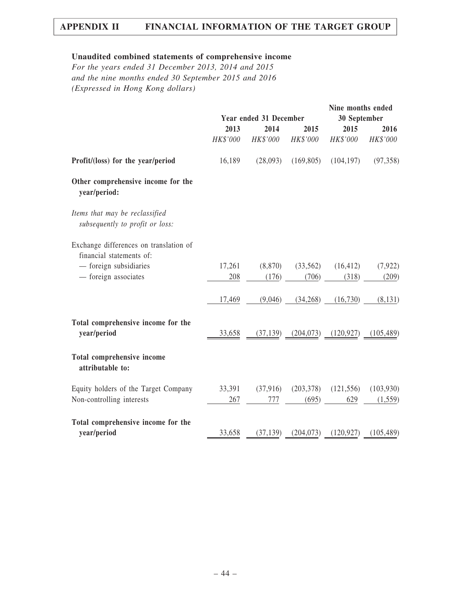# Unaudited combined statements of comprehensive income

For the years ended 31 December 2013, 2014 and 2015 and the nine months ended 30 September 2015 and 2016 (Expressed in Hong Kong dollars)

|                                                                   |          | Year ended 31 December                                                                |                                    | Nine months ended<br>30 September |            |
|-------------------------------------------------------------------|----------|---------------------------------------------------------------------------------------|------------------------------------|-----------------------------------|------------|
|                                                                   | 2013     | 2014                                                                                  | 2015                               | 2015                              | 2016       |
|                                                                   | HK\$'000 | HK\$'000                                                                              | HK\$'000                           | HK\$'000                          | HK\$'000   |
| Profit/(loss) for the year/period                                 | 16,189   | (28,093)                                                                              | (169, 805)                         | (104, 197)                        | (97, 358)  |
| Other comprehensive income for the<br>year/period:                |          |                                                                                       |                                    |                                   |            |
| Items that may be reclassified<br>subsequently to profit or loss: |          |                                                                                       |                                    |                                   |            |
| Exchange differences on translation of                            |          |                                                                                       |                                    |                                   |            |
| financial statements of:                                          |          |                                                                                       |                                    |                                   |            |
| - foreign subsidiaries                                            | 17,261   | (8, 870)                                                                              | (33,562)                           | (16, 412)                         | (7, 922)   |
| - foreign associates                                              | 208      | (176)                                                                                 | (706)                              | (318)                             | (209)      |
|                                                                   | 17,469   | (9,046)                                                                               | (34,268)                           | (16,730)                          | (8, 131)   |
| Total comprehensive income for the                                |          |                                                                                       |                                    |                                   |            |
| year/period                                                       |          | $\frac{33,658}{(37,139)}$ $\frac{(204,073)}{(120,927)}$ $\frac{(105,489)}{(105,489)}$ |                                    |                                   |            |
| Total comprehensive income<br>attributable to:                    |          |                                                                                       |                                    |                                   |            |
| Equity holders of the Target Company                              |          | 33,391 (37,916) (203,378) (121,556)                                                   |                                    |                                   | (103,930)  |
| Non-controlling interests                                         | 267      | 777                                                                                   | (695)                              | 629                               | (1, 559)   |
| Total comprehensive income for the                                |          |                                                                                       |                                    |                                   |            |
| year/period                                                       | 33,658   |                                                                                       | $(37,139)$ $(204,073)$ $(120,927)$ |                                   | (105, 489) |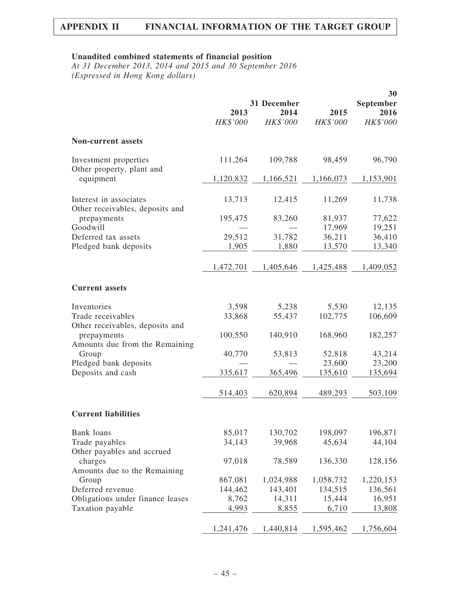## Unaudited combined statements of financial position

At 31 December 2013, 2014 and 2015 and 30 September 2016 (Expressed in Hong Kong dollars)

|                                                           |           |             |                  | 30               |
|-----------------------------------------------------------|-----------|-------------|------------------|------------------|
|                                                           |           | 31 December |                  | September        |
|                                                           | 2013      | 2014        | 2015             | 2016             |
|                                                           | HK\$'000  | HK\$'000    | HK\$'000         | HK\$'000         |
| <b>Non-current assets</b>                                 |           |             |                  |                  |
| Investment properties<br>Other property, plant and        | 111,264   | 109,788     | 98,459           | 96,790           |
| equipment                                                 | 1,120,832 | 1,166,521   | 1,166,073        | 1,153,901        |
| Interest in associates<br>Other receivables, deposits and | 13,713    | 12,415      | 11,269           | 11,738           |
| prepayments<br>Goodwill                                   | 195,475   | 83,260      | 81,937<br>17,969 | 77,622<br>19,251 |
| Deferred tax assets                                       | 29,512    | 31,782      | 36,211           | 36,410           |
| Pledged bank deposits                                     | 1,905     | 1,880       | 13,570           | 13,340           |
|                                                           | 1,472,701 | 1,405,646   | 1,425,488        | 1,409,052        |
| <b>Current assets</b>                                     |           |             |                  |                  |
| Inventories                                               | 3,598     | 5,238       | 5,530            | 12,135           |
| Trade receivables<br>Other receivables, deposits and      | 33,868    | 55,437      | 102,775          | 106,609          |
| prepayments                                               | 100,550   | 140,910     | 168,960          | 182,257          |
| Amounts due from the Remaining<br>Group                   | 40,770    | 53,813      | 52,818           | 43,214           |
| Pledged bank deposits                                     |           |             | 23,600           | 23,200           |
| Deposits and cash                                         | 335,617   | 365,496     | 135,610          | 135,694          |
|                                                           | 514,403   | 620,894     | 489,293          | 503,109          |
| <b>Current liabilities</b>                                |           |             |                  |                  |
| Bank loans                                                | 85,017    | 130,702     | 198,097          | 196,871          |
| Trade payables<br>Other payables and accrued              | 34,143    | 39,968      | 45,634           | 44,104           |
| charges<br>Amounts due to the Remaining                   | 97,018    | 78,589      | 136,330          | 128,156          |
| Group                                                     | 867,081   | 1,024,988   | 1,058,732        | 1,220,153        |
| Deferred revenue                                          | 144,462   | 143,401     | 134,515          | 136,561          |
| Obligations under finance leases                          | 8,762     | 14,311      | 15,444           | 16,951           |
| Taxation payable                                          | 4,993     | 8,855       | 6,710            | 13,808           |
|                                                           | 1,241,476 | 1,440,814   | 1,595,462        | 1,756,604        |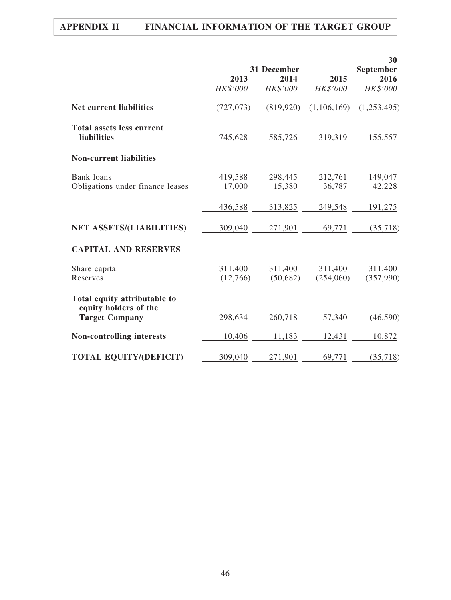|                                                        |                     | 31 December         |                      | 30                            |
|--------------------------------------------------------|---------------------|---------------------|----------------------|-------------------------------|
|                                                        | 2013<br>HK\$'000    | 2014<br>HK\$'000    | 2015<br>HK\$'000     | September<br>2016<br>HK\$'000 |
| <b>Net current liabilities</b>                         | (727, 073)          | (819, 920)          | (1,106,169)          | (1,253,495)                   |
| <b>Total assets less current</b><br><b>liabilities</b> | 745,628             | 585,726             | 319,319              | 155,557                       |
| <b>Non-current liabilities</b>                         |                     |                     |                      |                               |
| <b>Bank</b> loans<br>Obligations under finance leases  | 419,588<br>17,000   | 298,445<br>15,380   | 212,761<br>36,787    | 149,047<br>42,228             |
|                                                        | 436,588             | 313,825             | 249,548              | 191,275                       |
| <b>NET ASSETS/(LIABILITIES)</b>                        | 309,040             | 271,901             | 69,771               | (35, 718)                     |
| <b>CAPITAL AND RESERVES</b>                            |                     |                     |                      |                               |
| Share capital<br>Reserves                              | 311,400<br>(12,766) | 311,400<br>(50,682) | 311,400<br>(254,060) | 311,400<br>(357,990)          |
| Total equity attributable to<br>equity holders of the  |                     |                     |                      |                               |
| <b>Target Company</b>                                  | 298,634             | 260,718             | 57,340               | (46, 590)                     |
| <b>Non-controlling interests</b>                       | 10,406              | 11,183              | 12,431               | 10,872                        |
| <b>TOTAL EQUITY/(DEFICIT)</b>                          | 309,040             | 271,901             | 69,771               | (35,718)                      |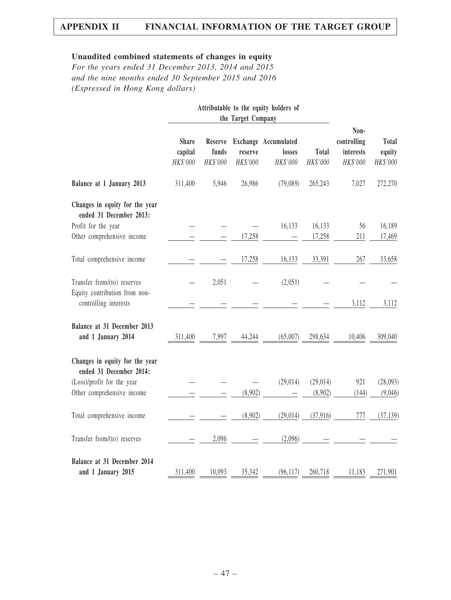## Unaudited combined statements of changes in equity

For the years ended 31 December 2013, 2014 and 2015 and the nine months ended 30 September 2015 and 2016 (Expressed in Hong Kong dollars)

|                                                           | Attributable to the equity holders of<br>the Target Company |                              |                     |                                            |                   |                                              |                             |
|-----------------------------------------------------------|-------------------------------------------------------------|------------------------------|---------------------|--------------------------------------------|-------------------|----------------------------------------------|-----------------------------|
|                                                           | <b>Share</b><br>capital<br>HK\$'000                         | Reserve<br>funds<br>HK\$'000 | reserve<br>HK\$'000 | Exchange Accumulated<br>losses<br>HK\$'000 | Total<br>HK\$'000 | Non-<br>controlling<br>interests<br>HK\$'000 | Total<br>equity<br>HK\$'000 |
| Balance at 1 January 2013                                 | 311,400                                                     | 5,946                        | 26,986              | (79,089)                                   | 265,243           | 7,027                                        | 272,270                     |
| Changes in equity for the year<br>ended 31 December 2013: |                                                             |                              |                     |                                            |                   |                                              |                             |
| Profit for the year                                       |                                                             |                              |                     | 16,133                                     | 16,133            | 56                                           | 16,189                      |
| Other comprehensive income                                |                                                             |                              | 17,258              |                                            | 17,258            | 211                                          | 17,469                      |
| Total comprehensive income                                |                                                             |                              | 17,258              | 16,133                                     | 33,391            | 267                                          | 33,658                      |
| Transfer from/(to) reserves                               |                                                             | 2,051                        |                     | (2,051)                                    |                   |                                              |                             |
| Equity contribution from non-<br>controlling interests    |                                                             |                              |                     |                                            |                   | 3,112                                        | 3,112                       |
| Balance at 31 December 2013<br>and 1 January 2014         | 311,400                                                     | 7,997                        | 44,244              | (65,007)                                   | 298,634           | 10,406                                       | 309,040                     |
| Changes in equity for the year<br>ended 31 December 2014: |                                                             |                              |                     |                                            |                   |                                              |                             |
| (Loss)/profit for the year                                |                                                             |                              |                     | (29, 014)                                  | (29, 014)         | 921                                          | (28,093)                    |
| Other comprehensive income                                |                                                             |                              | (8,902)             |                                            | (8,902)           | (144)                                        | (9,046)                     |
| Total comprehensive income                                |                                                             |                              | (8,902)             | (29, 014)                                  | (37,916)          | 777                                          | (37, 139)                   |
| Transfer from/(to) reserves                               |                                                             | 2,096                        |                     | (2,096)                                    |                   |                                              |                             |
| Balance at 31 December 2014<br>and 1 January 2015         | 311,400                                                     | 10,093                       | 35,342              | (96, 117)                                  | 260,718           | 11,183                                       | 271,901                     |
|                                                           |                                                             |                              |                     |                                            |                   |                                              |                             |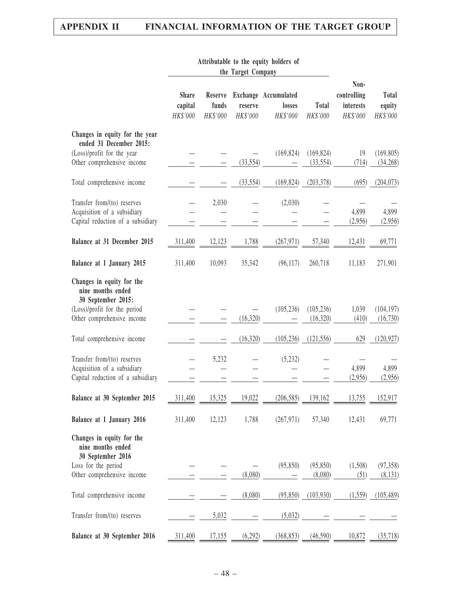|                                                                                                                                    |                                     |                              | the Target Company  |                                            |                          |                                                     |                                    |
|------------------------------------------------------------------------------------------------------------------------------------|-------------------------------------|------------------------------|---------------------|--------------------------------------------|--------------------------|-----------------------------------------------------|------------------------------------|
|                                                                                                                                    | <b>Share</b><br>capital<br>HK\$'000 | Reserve<br>funds<br>HK\$'000 | reserve<br>HK\$'000 | Exchange Accumulated<br>losses<br>HK\$'000 | <b>Total</b><br>HK\$'000 | Non-<br>controlling<br><b>interests</b><br>HK\$'000 | <b>Total</b><br>equity<br>HK\$'000 |
| Changes in equity for the year<br>ended 31 December 2015:<br>(Loss)/profit for the year<br>Other comprehensive income              |                                     |                              | (33, 554)           | (169, 824)                                 | (169, 824)<br>(33, 554)  | 19<br>(714)                                         | (169, 805)<br>(34, 268)            |
| Total comprehensive income                                                                                                         |                                     |                              | (33, 554)           | (169, 824)                                 | (203, 378)               | (695)                                               | (204, 073)                         |
| Transfer from/(to) reserves<br>Acquisition of a subsidiary<br>Capital reduction of a subsidiary                                    |                                     | 2,030                        |                     | (2,030)                                    |                          | 4,899<br>(2,956)                                    | 4,899<br>(2,956)                   |
| Balance at 31 December 2015                                                                                                        | 311,400                             | 12,123                       | 1,788               | (267, 971)                                 | 57,340                   | 12,431                                              | 69,771                             |
| Balance at 1 January 2015                                                                                                          | 311,400                             | 10,093                       | 35,342              | (96,117)                                   | 260,718                  | 11,183                                              | 271,901                            |
| Changes in equity for the<br>nine months ended<br>30 September 2015:<br>(Loss)/profit for the period<br>Other comprehensive income |                                     |                              | (16,320)            | (105, 236)                                 | (105, 236)<br>(16, 320)  | 1,039<br>(410)                                      | (104, 197)<br>(16, 730)            |
| Total comprehensive income                                                                                                         |                                     |                              | (16,320)            | (105, 236)                                 | (121, 556)               | 629                                                 | (120, 927)                         |
| Transfer from/(to) reserves<br>Acquisition of a subsidiary<br>Capital reduction of a subsidiary                                    |                                     | 5,232                        |                     | (5,232)                                    |                          | 4,899<br>(2,956)                                    | 4,899<br>(2,956)                   |
| Balance at 30 September 2015                                                                                                       | 311,400                             | 15,325                       | 19,022              | (206, 585)                                 | 139,162                  | 13,755                                              | 152,917                            |
| Balance at 1 January 2016                                                                                                          | 311,400                             | 12,123                       | 1,788               | (267, 971)                                 | 57,340                   | 12,431                                              | 69,771                             |
| Changes in equity for the<br>nine months ended<br>30 September 2016<br>Loss for the period<br>Other comprehensive income           |                                     |                              | (8,080)             | (95, 850)                                  | (95, 850)<br>(8,080)     | (1,508)<br>(51)                                     | (97, 358)<br>(8,131)               |
| Total comprehensive income                                                                                                         |                                     |                              | (8,080)             | (95, 850)                                  | (103, 930)               | (1, 559)                                            | (105, 489)                         |
| Transfer from/(to) reserves                                                                                                        |                                     | 5,032                        |                     | (5,032)                                    |                          |                                                     |                                    |
| Balance at 30 September 2016                                                                                                       | 311,400                             | 17,155                       | (6,292)             | (368, 853)                                 | (46,590)                 | 10,872                                              | (35,718)                           |

# Attributable to the equity holders of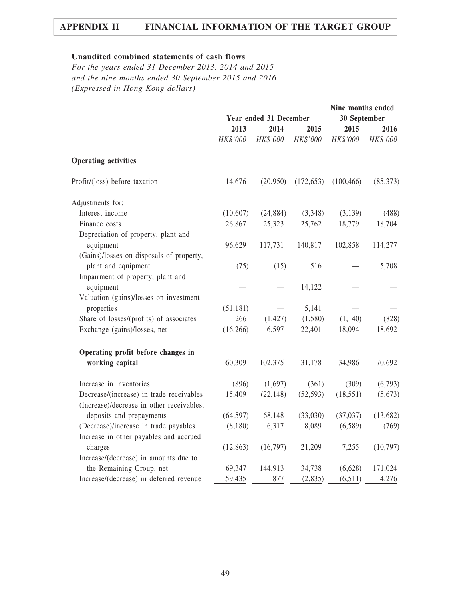## Unaudited combined statements of cash flows

For the years ended 31 December 2013, 2014 and 2015 and the nine months ended 30 September 2015 and 2016 (Expressed in Hong Kong dollars)

|                                           |           | Year ended 31 December |            | Nine months ended<br>30 September |            |
|-------------------------------------------|-----------|------------------------|------------|-----------------------------------|------------|
|                                           | 2013      | 2014                   | 2015       | 2015                              | 2016       |
|                                           | HK\$'000  | HK\$'000               | HK\$'000   | HK\$'000                          | $HK\$ '000 |
| <b>Operating activities</b>               |           |                        |            |                                   |            |
| Profit/(loss) before taxation             | 14,676    | (20,950)               | (172, 653) | (100, 466)                        | (85,373)   |
| Adjustments for:                          |           |                        |            |                                   |            |
| Interest income                           | (10,607)  | (24, 884)              | (3,348)    | (3,139)                           | (488)      |
| Finance costs                             | 26,867    | 25,323                 | 25,762     | 18,779                            | 18,704     |
| Depreciation of property, plant and       |           |                        |            |                                   |            |
| equipment                                 | 96,629    | 117,731                | 140,817    | 102,858                           | 114,277    |
| (Gains)/losses on disposals of property,  |           |                        |            |                                   |            |
| plant and equipment                       | (75)      | (15)                   | 516        |                                   | 5,708      |
| Impairment of property, plant and         |           |                        |            |                                   |            |
| equipment                                 |           |                        | 14,122     |                                   |            |
| Valuation (gains)/losses on investment    |           |                        |            |                                   |            |
| properties                                | (51, 181) |                        | 5,141      |                                   |            |
| Share of losses/(profits) of associates   | 266       | (1, 427)               | (1,580)    | (1,140)                           | (828)      |
| Exchange (gains)/losses, net              | (16, 266) | 6,597                  | 22,401     | 18,094                            | 18,692     |
| Operating profit before changes in        |           |                        |            |                                   |            |
| working capital                           | 60,309    | 102,375                | 31,178     | 34,986                            | 70,692     |
| Increase in inventories                   | (896)     | (1,697)                | (361)      | (309)                             | (6,793)    |
| Decrease/(increase) in trade receivables  | 15,409    | (22, 148)              | (52, 593)  | (18, 551)                         | (5,673)    |
| (Increase)/decrease in other receivables, |           |                        |            |                                   |            |
| deposits and prepayments                  | (64, 597) | 68,148                 | (33,030)   | (37, 037)                         | (13,682)   |
| (Decrease)/increase in trade payables     | (8,180)   | 6,317                  | 8,089      | (6,589)                           | (769)      |
| Increase in other payables and accrued    |           |                        |            |                                   |            |
| charges                                   | (12, 863) | (16,797)               | 21,209     | 7,255                             | (10,797)   |
| Increase/(decrease) in amounts due to     |           |                        |            |                                   |            |
| the Remaining Group, net                  | 69,347    | 144,913                | 34,738     | (6,628)                           | 171,024    |
| Increase/(decrease) in deferred revenue   | 59,435    | 877                    | (2, 835)   | (6,511)                           | 4,276      |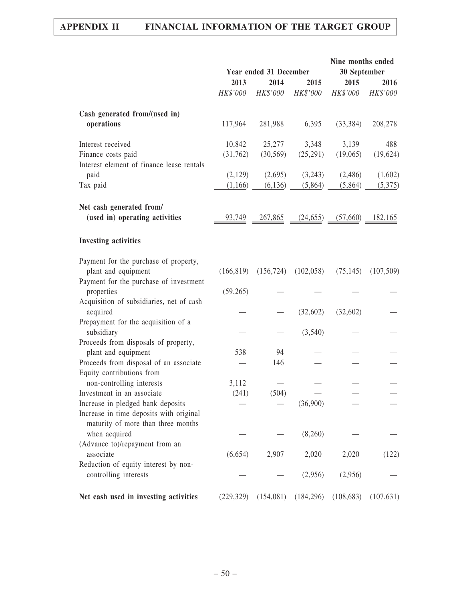|                                                                               |            | Year ended 31 December |            | Nine months ended<br>30 September |            |
|-------------------------------------------------------------------------------|------------|------------------------|------------|-----------------------------------|------------|
|                                                                               | 2013       | 2014                   | 2015       | 2015                              | 2016       |
|                                                                               | HK\$'000   | HK\$'000               | HK\$'000   | HK\$'000                          | HK\$'000   |
| Cash generated from/(used in)                                                 |            |                        |            |                                   |            |
| operations                                                                    | 117,964    | 281,988                | 6,395      | (33, 384)                         | 208,278    |
| Interest received                                                             | 10,842     | 25,277                 | 3,348      | 3,139                             | 488        |
| Finance costs paid                                                            | (31,762)   | (30, 569)              | (25,291)   | (19,065)                          | (19,624)   |
| Interest element of finance lease rentals                                     |            |                        |            |                                   |            |
| paid                                                                          | (2,129)    | (2,695)                | (3,243)    | (2,486)                           | (1,602)    |
| Tax paid                                                                      | (1,166)    | (6, 136)               | (5,864)    | (5,864)                           | (5,375)    |
| Net cash generated from/                                                      |            |                        |            |                                   |            |
| (used in) operating activities                                                | 93,749     | <u>267,865</u>         | (24, 655)  | (57,660)                          | 182,165    |
| <b>Investing activities</b>                                                   |            |                        |            |                                   |            |
| Payment for the purchase of property,                                         |            |                        |            |                                   |            |
| plant and equipment                                                           | (166, 819) | (156, 724)             | (102, 058) | (75, 145)                         | (107, 509) |
| Payment for the purchase of investment                                        |            |                        |            |                                   |            |
| properties                                                                    | (59,265)   |                        |            |                                   |            |
| Acquisition of subsidiaries, net of cash<br>acquired                          |            |                        | (32,602)   | (32,602)                          |            |
| Prepayment for the acquisition of a                                           |            |                        |            |                                   |            |
| subsidiary                                                                    |            |                        | (3,540)    |                                   |            |
| Proceeds from disposals of property,                                          |            |                        |            |                                   |            |
| plant and equipment                                                           | 538        | 94                     |            |                                   |            |
| Proceeds from disposal of an associate                                        |            | 146                    |            |                                   |            |
| Equity contributions from                                                     |            |                        |            |                                   |            |
| non-controlling interests                                                     | 3,112      |                        |            |                                   |            |
| Investment in an associate                                                    | (241)      | (504)                  |            |                                   |            |
| Increase in pledged bank deposits                                             |            |                        | (36,900)   |                                   |            |
| Increase in time deposits with original<br>maturity of more than three months |            |                        |            |                                   |            |
| when acquired                                                                 |            |                        | (8,260)    |                                   |            |
| (Advance to)/repayment from an                                                |            |                        |            |                                   |            |
| associate                                                                     | (6,654)    | 2,907                  | 2,020      | 2,020                             | (122)      |
| Reduction of equity interest by non-                                          |            |                        |            |                                   |            |
| controlling interests                                                         |            |                        | (2,956)    | (2,956)                           |            |
| Net cash used in investing activities                                         | (229, 329) | (154,081)              | (184, 296) | (108, 683)                        | (107, 631) |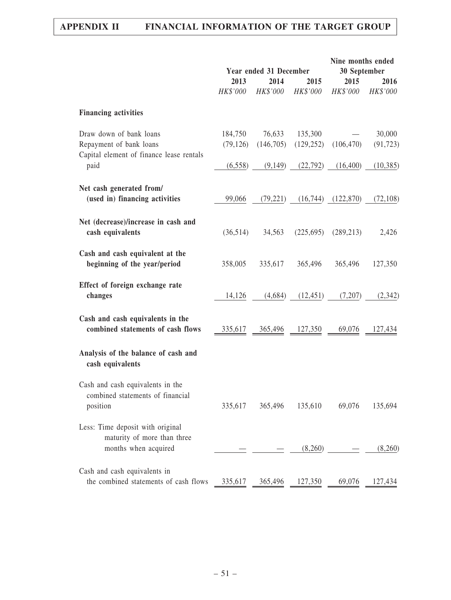|                                                                                                |                      | Year ended 31 December |                       | Nine months ended<br>30 September |                     |
|------------------------------------------------------------------------------------------------|----------------------|------------------------|-----------------------|-----------------------------------|---------------------|
|                                                                                                | 2013<br>HK\$'000     | 2014<br>HK\$'000       | 2015<br>HK\$'000      | 2015<br>HK\$'000                  | 2016<br>HK\$'000    |
| <b>Financing activities</b>                                                                    |                      |                        |                       |                                   |                     |
| Draw down of bank loans<br>Repayment of bank loans<br>Capital element of finance lease rentals | 184,750<br>(79, 126) | 76,633<br>(146,705)    | 135,300<br>(129, 252) | (106, 470)                        | 30,000<br>(91, 723) |
| paid                                                                                           | (6,558)              | (9,149)                | (22, 792)             | (16,400)                          | (10, 385)           |
| Net cash generated from/<br>(used in) financing activities                                     | 99,066               | (79,221)               |                       | $(16,744)$ $(122,870)$            | (72, 108)           |
| Net (decrease)/increase in cash and<br>cash equivalents                                        | (36,514)             | 34,563                 | (225,695)             | (289, 213)                        | 2,426               |
| Cash and cash equivalent at the<br>beginning of the year/period                                | 358,005              | 335,617                | 365,496               | 365,496                           | 127,350             |
| Effect of foreign exchange rate<br>changes                                                     | 14,126               | (4,684)                | (12, 451)             | (7,207)                           | (2,342)             |
| Cash and cash equivalents in the<br>combined statements of cash flows                          | 335,617              | 365,496                | 127,350               | 69,076                            | 127,434             |
| Analysis of the balance of cash and<br>cash equivalents                                        |                      |                        |                       |                                   |                     |
| Cash and cash equivalents in the<br>combined statements of financial<br>position               | 335,617              | 365,496                | 135,610               | 69,076                            | 135,694             |
| Less: Time deposit with original<br>maturity of more than three<br>months when acquired        |                      |                        | (8,260)               |                                   | (8,260)             |
| Cash and cash equivalents in<br>the combined statements of cash flows                          | 335,617              | 365,496                | 127,350               | 69,076                            | 127,434             |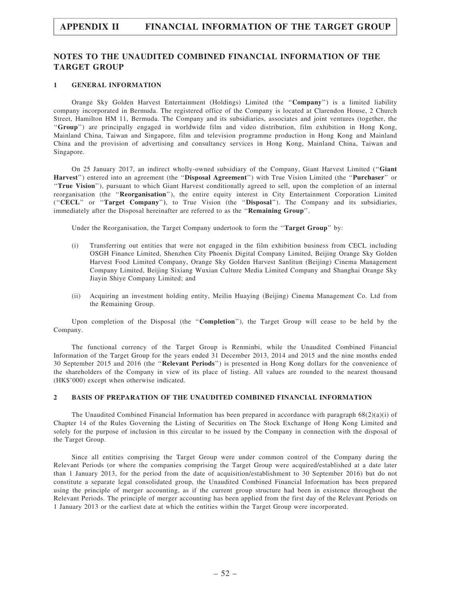### NOTES TO THE UNAUDITED COMBINED FINANCIAL INFORMATION OF THE TARGET GROUP

#### 1 GENERAL INFORMATION

Orange Sky Golden Harvest Entertainment (Holdings) Limited (the ''Company'') is a limited liability company incorporated in Bermuda. The registered office of the Company is located at Clarendon House, 2 Church Street, Hamilton HM 11, Bermuda. The Company and its subsidiaries, associates and joint ventures (together, the ''Group'') are principally engaged in worldwide film and video distribution, film exhibition in Hong Kong, Mainland China, Taiwan and Singapore, film and television programme production in Hong Kong and Mainland China and the provision of advertising and consultancy services in Hong Kong, Mainland China, Taiwan and Singapore.

On 25 January 2017, an indirect wholly-owned subsidiary of the Company, Giant Harvest Limited (''Giant Harvest'') entered into an agreement (the ''Disposal Agreement'') with True Vision Limited (the ''Purchaser'' or ''True Vision''), pursuant to which Giant Harvest conditionally agreed to sell, upon the completion of an internal reorganisation (the ''Reorganisation''), the entire equity interest in City Entertainment Corporation Limited (''CECL'' or ''Target Company''), to True Vision (the ''Disposal''). The Company and its subsidiaries, immediately after the Disposal hereinafter are referred to as the ''Remaining Group''.

Under the Reorganisation, the Target Company undertook to form the "Target Group" by:

- (i) Transferring out entities that were not engaged in the film exhibition business from CECL including OSGH Finance Limited, Shenzhen City Phoenix Digital Company Limited, Beijing Orange Sky Golden Harvest Food Limited Company, Orange Sky Golden Harvest Sanlitun (Beijing) Cinema Management Company Limited, Beijing Sixiang Wuxian Culture Media Limited Company and Shanghai Orange Sky Jiayin Shiye Company Limited; and
- (ii) Acquiring an investment holding entity, Meilin Huaying (Beijing) Cinema Management Co. Ltd from the Remaining Group.

Upon completion of the Disposal (the ''Completion''), the Target Group will cease to be held by the Company.

The functional currency of the Target Group is Renminbi, while the Unaudited Combined Financial Information of the Target Group for the years ended 31 December 2013, 2014 and 2015 and the nine months ended 30 September 2015 and 2016 (the ''Relevant Periods'') is presented in Hong Kong dollars for the convenience of the shareholders of the Company in view of its place of listing. All values are rounded to the nearest thousand (HK\$'000) except when otherwise indicated.

#### 2 BASIS OF PREPARATION OF THE UNAUDITED COMBINED FINANCIAL INFORMATION

The Unaudited Combined Financial Information has been prepared in accordance with paragraph  $68(2)(a)(i)$  of Chapter 14 of the Rules Governing the Listing of Securities on The Stock Exchange of Hong Kong Limited and solely for the purpose of inclusion in this circular to be issued by the Company in connection with the disposal of the Target Group.

Since all entities comprising the Target Group were under common control of the Company during the Relevant Periods (or where the companies comprising the Target Group were acquired/established at a date later than 1 January 2013, for the period from the date of acquisition/establishment to 30 September 2016) but do not constitute a separate legal consolidated group, the Unaudited Combined Financial Information has been prepared using the principle of merger accounting, as if the current group structure had been in existence throughout the Relevant Periods. The principle of merger accounting has been applied from the first day of the Relevant Periods on 1 January 2013 or the earliest date at which the entities within the Target Group were incorporated.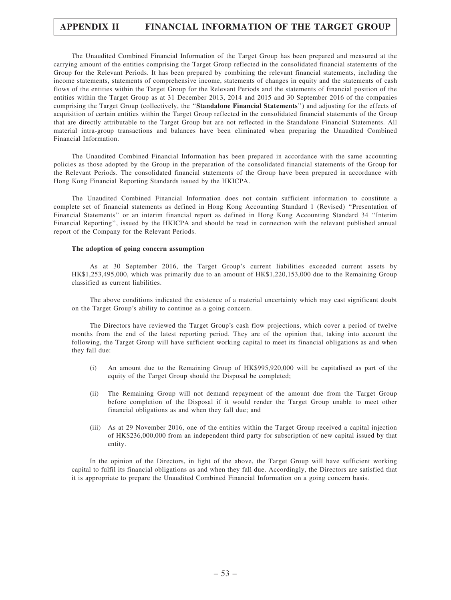The Unaudited Combined Financial Information of the Target Group has been prepared and measured at the carrying amount of the entities comprising the Target Group reflected in the consolidated financial statements of the Group for the Relevant Periods. It has been prepared by combining the relevant financial statements, including the income statements, statements of comprehensive income, statements of changes in equity and the statements of cash flows of the entities within the Target Group for the Relevant Periods and the statements of financial position of the entities within the Target Group as at 31 December 2013, 2014 and 2015 and 30 September 2016 of the companies comprising the Target Group (collectively, the ''Standalone Financial Statements'') and adjusting for the effects of acquisition of certain entities within the Target Group reflected in the consolidated financial statements of the Group that are directly attributable to the Target Group but are not reflected in the Standalone Financial Statements. All material intra-group transactions and balances have been eliminated when preparing the Unaudited Combined Financial Information.

The Unaudited Combined Financial Information has been prepared in accordance with the same accounting policies as those adopted by the Group in the preparation of the consolidated financial statements of the Group for the Relevant Periods. The consolidated financial statements of the Group have been prepared in accordance with Hong Kong Financial Reporting Standards issued by the HKICPA.

The Unaudited Combined Financial Information does not contain sufficient information to constitute a complete set of financial statements as defined in Hong Kong Accounting Standard 1 (Revised) ''Presentation of Financial Statements'' or an interim financial report as defined in Hong Kong Accounting Standard 34 ''Interim Financial Reporting'', issued by the HKICPA and should be read in connection with the relevant published annual report of the Company for the Relevant Periods.

#### The adoption of going concern assumption

As at 30 September 2016, the Target Group's current liabilities exceeded current assets by HK\$1,253,495,000, which was primarily due to an amount of HK\$1,220,153,000 due to the Remaining Group classified as current liabilities.

The above conditions indicated the existence of a material uncertainty which may cast significant doubt on the Target Group's ability to continue as a going concern.

The Directors have reviewed the Target Group's cash flow projections, which cover a period of twelve months from the end of the latest reporting period. They are of the opinion that, taking into account the following, the Target Group will have sufficient working capital to meet its financial obligations as and when they fall due:

- (i) An amount due to the Remaining Group of HK\$995,920,000 will be capitalised as part of the equity of the Target Group should the Disposal be completed;
- (ii) The Remaining Group will not demand repayment of the amount due from the Target Group before completion of the Disposal if it would render the Target Group unable to meet other financial obligations as and when they fall due; and
- (iii) As at 29 November 2016, one of the entities within the Target Group received a capital injection of HK\$236,000,000 from an independent third party for subscription of new capital issued by that entity.

In the opinion of the Directors, in light of the above, the Target Group will have sufficient working capital to fulfil its financial obligations as and when they fall due. Accordingly, the Directors are satisfied that it is appropriate to prepare the Unaudited Combined Financial Information on a going concern basis.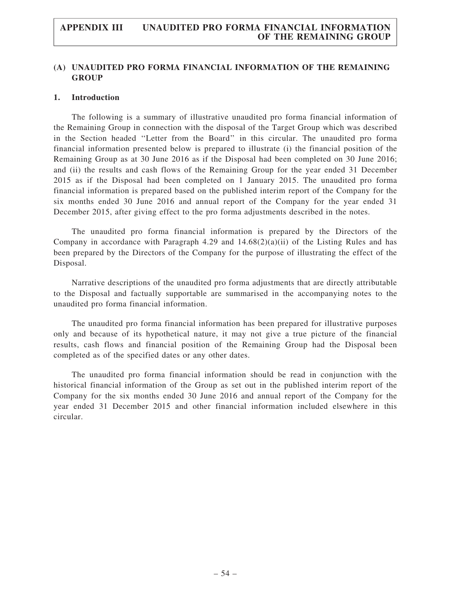## (A) UNAUDITED PRO FORMA FINANCIAL INFORMATION OF THE REMAINING **GROUP**

#### 1. Introduction

The following is a summary of illustrative unaudited pro forma financial information of the Remaining Group in connection with the disposal of the Target Group which was described in the Section headed ''Letter from the Board'' in this circular. The unaudited pro forma financial information presented below is prepared to illustrate (i) the financial position of the Remaining Group as at 30 June 2016 as if the Disposal had been completed on 30 June 2016; and (ii) the results and cash flows of the Remaining Group for the year ended 31 December 2015 as if the Disposal had been completed on 1 January 2015. The unaudited pro forma financial information is prepared based on the published interim report of the Company for the six months ended 30 June 2016 and annual report of the Company for the year ended 31 December 2015, after giving effect to the pro forma adjustments described in the notes.

The unaudited pro forma financial information is prepared by the Directors of the Company in accordance with Paragraph 4.29 and  $14.68(2)(a)(ii)$  of the Listing Rules and has been prepared by the Directors of the Company for the purpose of illustrating the effect of the Disposal.

Narrative descriptions of the unaudited pro forma adjustments that are directly attributable to the Disposal and factually supportable are summarised in the accompanying notes to the unaudited pro forma financial information.

The unaudited pro forma financial information has been prepared for illustrative purposes only and because of its hypothetical nature, it may not give a true picture of the financial results, cash flows and financial position of the Remaining Group had the Disposal been completed as of the specified dates or any other dates.

The unaudited pro forma financial information should be read in conjunction with the historical financial information of the Group as set out in the published interim report of the Company for the six months ended 30 June 2016 and annual report of the Company for the year ended 31 December 2015 and other financial information included elsewhere in this circular.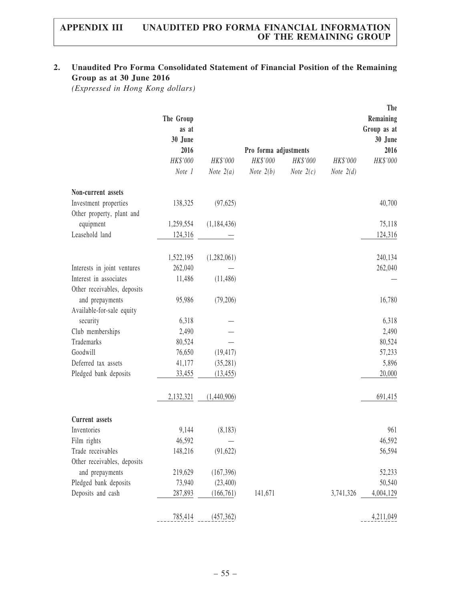# 2. Unaudited Pro Forma Consolidated Statement of Financial Position of the Remaining Group as at 30 June 2016

(Expressed in Hong Kong dollars)

|                                                       | The Group<br>as at<br>30 June |               |                       |             |             | The<br>Remaining<br>Group as at<br>30 June |
|-------------------------------------------------------|-------------------------------|---------------|-----------------------|-------------|-------------|--------------------------------------------|
|                                                       | 2016                          |               | Pro forma adjustments |             |             | 2016                                       |
|                                                       | HK\$'000                      | HK\$'000      | HK\$'000              | HK\$'000    | HK\$'000    | HK\$'000                                   |
|                                                       | Note 1                        | Note $2(a)$   | Note $2(b)$           | Note $2(c)$ | Note $2(d)$ |                                            |
| Non-current assets                                    |                               |               |                       |             |             |                                            |
| Investment properties<br>Other property, plant and    | 138,325                       | (97, 625)     |                       |             |             | 40,700                                     |
| equipment                                             | 1,259,554                     | (1, 184, 436) |                       |             |             | 75,118                                     |
| Leasehold land                                        | 124,316                       |               |                       |             |             | 124,316                                    |
|                                                       | 1,522,195                     | (1,282,061)   |                       |             |             | 240,134                                    |
| Interests in joint ventures                           | 262,040                       |               |                       |             |             | 262,040                                    |
| Interest in associates<br>Other receivables, deposits | 11,486                        | (11, 486)     |                       |             |             |                                            |
| and prepayments<br>Available-for-sale equity          | 95,986                        | (79,206)      |                       |             |             | 16,780                                     |
| security                                              | 6,318                         |               |                       |             |             | 6,318                                      |
| Club memberships                                      | 2,490                         |               |                       |             |             | 2,490                                      |
| Trademarks                                            | 80,524                        |               |                       |             |             | 80,524                                     |
| Goodwill                                              | 76,650                        | (19, 417)     |                       |             |             | 57,233                                     |
| Deferred tax assets                                   | 41,177                        | (35, 281)     |                       |             |             | 5,896                                      |
| Pledged bank deposits                                 | 33,455                        | (13, 455)     |                       |             |             | 20,000                                     |
|                                                       | 2,132,321                     | (1,440,906)   |                       |             |             | 691,415                                    |
| <b>Current</b> assets                                 |                               |               |                       |             |             |                                            |
| Inventories                                           | 9,144                         | (8,183)       |                       |             |             | 961                                        |
| Film rights                                           | 46,592                        |               |                       |             |             | 46,592                                     |
| Trade receivables                                     | 148,216                       | (91, 622)     |                       |             |             | 56,594                                     |
| Other receivables, deposits                           |                               |               |                       |             |             |                                            |
| and prepayments                                       | 219,629                       | (167,396)     |                       |             |             | 52,233                                     |
| Pledged bank deposits                                 | 73,940                        | (23,400)      |                       |             |             | 50,540                                     |
| Deposits and cash                                     | 287,893                       | (166, 761)    | 141,671               |             | 3,741,326   | 4,004,129                                  |
|                                                       | 785,414                       | (457, 362)    |                       |             |             | 4,211,049                                  |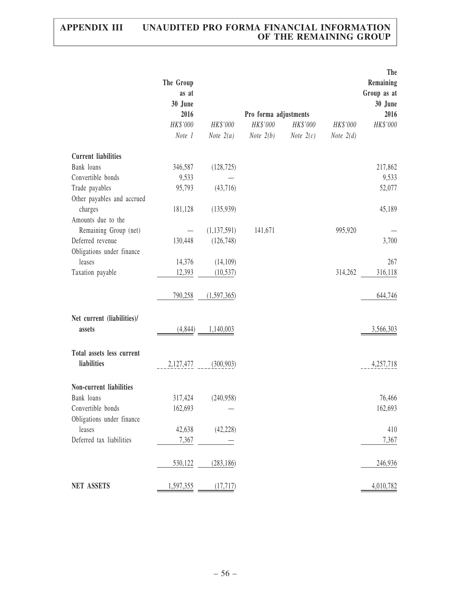|                                      | The Group<br>as at<br>30 June |               |                       |                    |             | The<br>Remaining<br>Group as at<br>30 June |
|--------------------------------------|-------------------------------|---------------|-----------------------|--------------------|-------------|--------------------------------------------|
|                                      | 2016                          |               | Pro forma adjustments |                    |             | 2016                                       |
|                                      | HK\$'000                      | HK\$'000      | $HK\$ '000            | HK\$'000           | HK\$'000    | HK\$'000                                   |
|                                      | Note 1                        | Note $2(a)$   | <i>Note</i> $2(b)$    | <i>Note</i> $2(c)$ | Note $2(d)$ |                                            |
| <b>Current liabilities</b>           |                               |               |                       |                    |             |                                            |
| Bank loans                           | 346,587                       | (128, 725)    |                       |                    |             | 217,862                                    |
| Convertible bonds                    | 9,533                         |               |                       |                    |             | 9,533                                      |
| Trade payables                       | 95,793                        | (43,716)      |                       |                    |             | 52,077                                     |
| Other payables and accrued           |                               |               |                       |                    |             |                                            |
| charges                              | 181,128                       | (135,939)     |                       |                    |             | 45,189                                     |
| Amounts due to the                   |                               |               |                       |                    |             |                                            |
| Remaining Group (net)                | $\overline{\phantom{m}}$      | (1, 137, 591) | 141,671               |                    | 995,920     |                                            |
| Deferred revenue                     | 130,448                       | (126, 748)    |                       |                    |             | 3,700                                      |
| Obligations under finance            |                               |               |                       |                    |             |                                            |
| leases                               | 14,376                        | (14,109)      |                       |                    |             | 267                                        |
| Taxation payable                     | 12,393                        | (10, 537)     |                       |                    | 314,262     | 316,118                                    |
|                                      | 790,258                       | (1,597,365)   |                       |                    |             | 644,746                                    |
| Net current (liabilities)/<br>assets | (4, 844)                      | 1,140,003     |                       |                    |             | 3,566,303                                  |
| Total assets less current            |                               |               |                       |                    |             |                                            |
| liabilities                          | 2,127,477                     | (300, 903)    |                       |                    |             | 4,257,718                                  |
| Non-current liabilities              |                               |               |                       |                    |             |                                            |
| Bank loans                           | 317,424                       | (240,958)     |                       |                    |             | 76,466                                     |
| Convertible bonds                    | 162,693                       |               |                       |                    |             | 162,693                                    |
| Obligations under finance            |                               |               |                       |                    |             |                                            |
| leases                               | 42,638                        | (42, 228)     |                       |                    |             | 410                                        |
| Deferred tax liabilities             | 7,367                         |               |                       |                    |             | 7,367                                      |
|                                      |                               |               |                       |                    |             |                                            |
|                                      | 530,122                       | (283, 186)    |                       |                    |             | 246,936                                    |
| <b>NET ASSETS</b>                    | 1,597,355                     | (17, 717)     |                       |                    |             | 4,010,782                                  |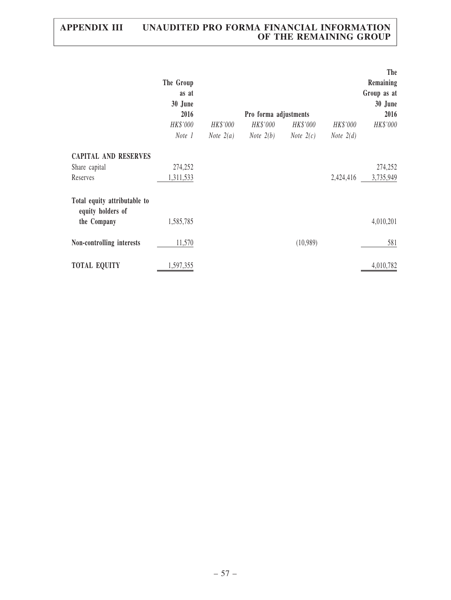|                                                                  | The Group<br>as at<br>30 June<br>2016 |                                | Pro forma adjustments          |                                |                                | The<br>Remaining<br>Group as at<br>30 June<br>2016 |
|------------------------------------------------------------------|---------------------------------------|--------------------------------|--------------------------------|--------------------------------|--------------------------------|----------------------------------------------------|
|                                                                  | HK\$'000<br>Note 1                    | HK\$'000<br><i>Note</i> $2(a)$ | HK\$'000<br><i>Note</i> $2(b)$ | HK\$'000<br><i>Note</i> $2(c)$ | HK\$'000<br><i>Note</i> $2(d)$ | HK\$'000                                           |
| <b>CAPITAL AND RESERVES</b><br>Share capital<br>Reserves         | 274,252<br>1,311,533                  |                                |                                |                                | 2,424,416                      | 274,252<br>3,735,949                               |
| Total equity attributable to<br>equity holders of<br>the Company | 1,585,785                             |                                |                                |                                |                                | 4,010,201                                          |
| Non-controlling interests                                        | 11,570                                |                                |                                | (10,989)                       |                                | 581                                                |
| <b>TOTAL EQUITY</b>                                              | 1,597,355                             |                                |                                |                                |                                | 4,010,782                                          |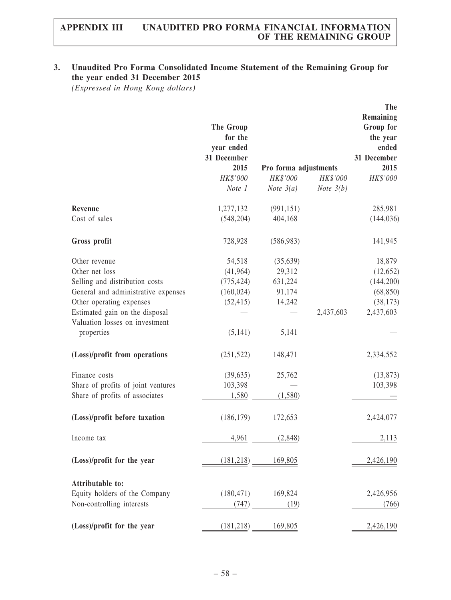# 3. Unaudited Pro Forma Consolidated Income Statement of the Remaining Group for the year ended 31 December 2015

(Expressed in Hong Kong dollars)

|                                              | The Group<br>for the<br>year ended<br>31 December<br>2015 | Pro forma adjustments |             | <b>The</b><br>Remaining<br>Group for<br>the year<br>ended<br>31 December<br>2015 |
|----------------------------------------------|-----------------------------------------------------------|-----------------------|-------------|----------------------------------------------------------------------------------|
|                                              | HK\$'000                                                  | HK\$'000              | HK\$'000    | HK\$'000                                                                         |
|                                              | Note 1                                                    | <i>Note</i> $3(a)$    | Note $3(b)$ |                                                                                  |
| Revenue                                      | 1,277,132                                                 | (991, 151)            |             | 285,981                                                                          |
| Cost of sales                                | (548, 204)                                                | 404,168               |             | (144, 036)                                                                       |
| Gross profit                                 | 728,928                                                   | (586,983)             |             | 141,945                                                                          |
| Other revenue                                | 54,518                                                    | (35,639)              |             | 18,879                                                                           |
| Other net loss                               | (41,964)                                                  | 29,312                |             | (12, 652)                                                                        |
| Selling and distribution costs               | (775, 424)                                                | 631,224               |             | (144,200)                                                                        |
| General and administrative expenses          | (160, 024)                                                | 91,174                |             | (68, 850)                                                                        |
| Other operating expenses                     | (52, 415)                                                 | 14,242                |             | (38, 173)                                                                        |
| Estimated gain on the disposal               |                                                           |                       | 2,437,603   | 2,437,603                                                                        |
| Valuation losses on investment<br>properties | (5,141)                                                   | 5,141                 |             |                                                                                  |
| (Loss)/profit from operations                | (251, 522)                                                | 148,471               |             | 2,334,552                                                                        |
| Finance costs                                | (39, 635)                                                 | 25,762                |             | (13, 873)                                                                        |
| Share of profits of joint ventures           | 103,398                                                   |                       |             | 103,398                                                                          |
| Share of profits of associates               | 1,580                                                     | (1,580)               |             |                                                                                  |
| (Loss)/profit before taxation                | (186, 179)                                                | 172,653               |             | 2,424,077                                                                        |
| Income tax                                   | 4,961                                                     | (2,848)               |             | 2,113                                                                            |
| (Loss)/profit for the year                   |                                                           | $(181,218)$ 169,805   |             | 2,426,190                                                                        |
| Attributable to:                             |                                                           |                       |             |                                                                                  |
| Equity holders of the Company                | (180, 471)                                                | 169,824               |             | 2,426,956                                                                        |
| Non-controlling interests                    | (747)                                                     | (19)                  |             | (766)                                                                            |
| (Loss)/profit for the year                   | (181, 218)                                                | 169,805               |             | 2,426,190                                                                        |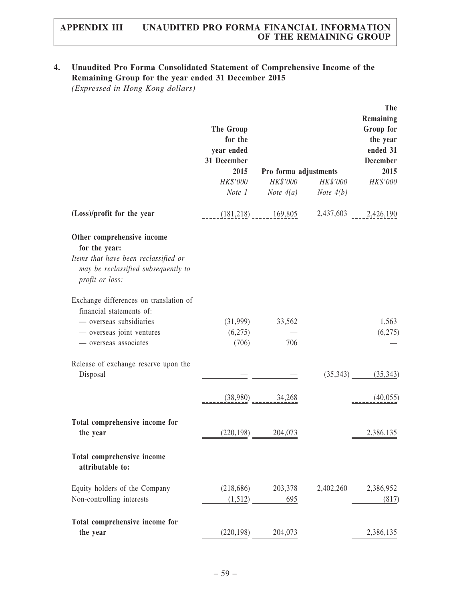## 4. Unaudited Pro Forma Consolidated Statement of Comprehensive Income of the Remaining Group for the year ended 31 December 2015

(Expressed in Hong Kong dollars)

|                                                                                                                                                     | The Group<br>for the<br>year ended<br>31 December<br>2015<br>HK\$'000<br>Note 1 | Pro forma adjustments<br>Note $4(a)$ | HK\$'000 HK\$'000<br><i>Note</i> $4(b)$ | The<br>Remaining<br>Group for<br>the year<br>ended 31<br><b>December</b><br>2015<br>HK\$'000 |
|-----------------------------------------------------------------------------------------------------------------------------------------------------|---------------------------------------------------------------------------------|--------------------------------------|-----------------------------------------|----------------------------------------------------------------------------------------------|
| (Loss)/profit for the year                                                                                                                          |                                                                                 | $(181,218)$ $169,805$                |                                         | 2,437,603 2,426,190                                                                          |
| Other comprehensive income<br>for the year:<br>Items that have been reclassified or<br>may be reclassified subsequently to<br>profit or loss:       |                                                                                 |                                      |                                         |                                                                                              |
| Exchange differences on translation of<br>financial statements of:<br>- overseas subsidiaries<br>- overseas joint ventures<br>- overseas associates | (6,275)<br>(706)                                                                | $(31,999)$ $33,562$<br>706           |                                         | 1,563<br>(6,275)                                                                             |
| Release of exchange reserve upon the<br>Disposal                                                                                                    |                                                                                 |                                      |                                         | $(35,343)$ $(35,343)$                                                                        |
|                                                                                                                                                     |                                                                                 | $(38,980)$ $34,268$                  |                                         | (40,055)                                                                                     |
| Total comprehensive income for<br>the year                                                                                                          | (220, 198)                                                                      | 204,073                              |                                         | 2,386,135                                                                                    |
| Total comprehensive income<br>attributable to:                                                                                                      |                                                                                 |                                      |                                         |                                                                                              |
| Equity holders of the Company<br>Non-controlling interests                                                                                          |                                                                                 | $(218,686)$ 203,378<br>$(1,512)$ 695 |                                         | 2,402,260 2,386,952<br>(817)                                                                 |
| Total comprehensive income for<br>the year                                                                                                          | (220, 198)                                                                      | 204,073                              |                                         | 2,386,135                                                                                    |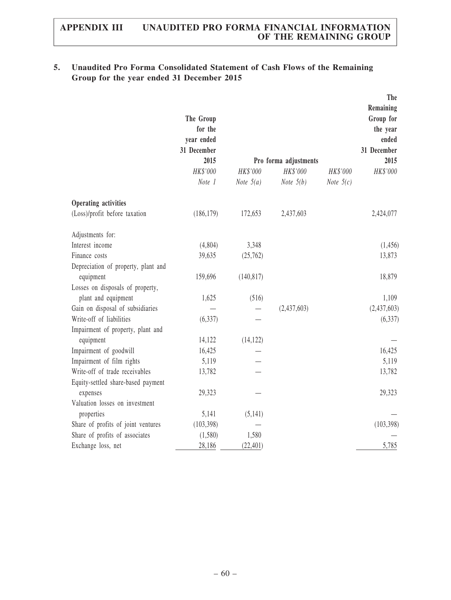## 5. Unaudited Pro Forma Consolidated Statement of Cash Flows of the Remaining Group for the year ended 31 December 2015

|                                     | The Group<br>for the<br>year ended<br>31 December<br>2015 |                         | Pro forma adjustments          |                                | The<br>Remaining<br>Group for<br>the year<br>ended<br>31 December<br>2015 |
|-------------------------------------|-----------------------------------------------------------|-------------------------|--------------------------------|--------------------------------|---------------------------------------------------------------------------|
|                                     | HK\$'000<br>Note 1                                        | HK\$'000<br>Note $5(a)$ | HK\$'000<br><i>Note</i> $5(b)$ | HK\$'000<br><i>Note</i> $5(c)$ | HK\$'000                                                                  |
|                                     |                                                           |                         |                                |                                |                                                                           |
| Operating activities                |                                                           |                         |                                |                                |                                                                           |
| (Loss)/profit before taxation       | (186, 179)                                                | 172,653                 | 2,437,603                      |                                | 2,424,077                                                                 |
| Adjustments for:                    |                                                           |                         |                                |                                |                                                                           |
| Interest income                     | (4,804)                                                   | 3,348                   |                                |                                | (1, 456)                                                                  |
| Finance costs                       | 39,635                                                    | (25,762)                |                                |                                | 13,873                                                                    |
| Depreciation of property, plant and |                                                           |                         |                                |                                |                                                                           |
| equipment                           | 159,696                                                   | (140, 817)              |                                |                                | 18,879                                                                    |
| Losses on disposals of property,    |                                                           |                         |                                |                                |                                                                           |
| plant and equipment                 | 1,625                                                     | (516)                   |                                |                                | 1,109                                                                     |
| Gain on disposal of subsidiaries    |                                                           |                         | (2,437,603)                    |                                | (2,437,603)                                                               |
| Write-off of liabilities            | (6, 337)                                                  |                         |                                |                                | (6, 337)                                                                  |
| Impairment of property, plant and   |                                                           |                         |                                |                                |                                                                           |
| equipment                           | 14,122                                                    | (14, 122)               |                                |                                |                                                                           |
| Impairment of goodwill              | 16,425                                                    |                         |                                |                                | 16,425                                                                    |
| Impairment of film rights           | 5,119                                                     |                         |                                |                                | 5,119                                                                     |
| Write-off of trade receivables      | 13,782                                                    |                         |                                |                                | 13,782                                                                    |
| Equity-settled share-based payment  |                                                           |                         |                                |                                |                                                                           |
| expenses                            | 29,323                                                    |                         |                                |                                | 29,323                                                                    |
| Valuation losses on investment      |                                                           |                         |                                |                                |                                                                           |
| properties                          | 5,141                                                     | (5,141)                 |                                |                                |                                                                           |
| Share of profits of joint ventures  | (103, 398)                                                |                         |                                |                                | (103, 398)                                                                |
| Share of profits of associates      | (1,580)                                                   | 1,580                   |                                |                                |                                                                           |
| Exchange loss, net                  | 28,186                                                    | (22, 401)               |                                |                                | 5,785                                                                     |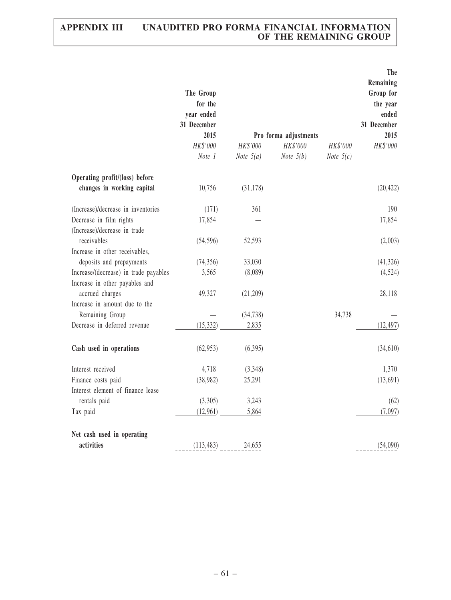|                                       |             |             |                       |             | The         |
|---------------------------------------|-------------|-------------|-----------------------|-------------|-------------|
|                                       |             |             |                       |             | Remaining   |
|                                       | The Group   |             |                       |             | Group for   |
|                                       | for the     |             |                       |             | the year    |
|                                       | year ended  |             |                       |             | ended       |
|                                       | 31 December |             |                       |             | 31 December |
|                                       | 2015        |             | Pro forma adjustments |             | 2015        |
|                                       | HK\$'000    | HK\$'000    | HK\$'000              | HK\$'000    | HK\$'000    |
|                                       | Note 1      | Note $5(a)$ | Note $5(b)$           | Note $5(c)$ |             |
| Operating profit/(loss) before        |             |             |                       |             |             |
| changes in working capital            | 10,756      | (31, 178)   |                       |             | (20, 422)   |
| (Increase)/decrease in inventories    | (171)       | 361         |                       |             | 190         |
| Decrease in film rights               | 17,854      |             |                       |             | 17,854      |
| (Increase)/decrease in trade          |             |             |                       |             |             |
| receivables                           | (54, 596)   | 52,593      |                       |             | (2,003)     |
| Increase in other receivables,        |             |             |                       |             |             |
| deposits and prepayments              | (74, 356)   | 33,030      |                       |             | (41, 326)   |
| Increase/(decrease) in trade payables | 3,565       | (8,089)     |                       |             | (4, 524)    |
| Increase in other payables and        |             |             |                       |             |             |
| accrued charges                       | 49,327      | (21,209)    |                       |             | 28,118      |
| Increase in amount due to the         |             |             |                       |             |             |
| Remaining Group                       |             | (34, 738)   |                       | 34,738      |             |
| Decrease in deferred revenue          | (15, 332)   | 2,835       |                       |             | (12, 497)   |
|                                       |             |             |                       |             |             |
| Cash used in operations               | (62, 953)   | (6,395)     |                       |             | (34, 610)   |
| Interest received                     | 4,718       | (3,348)     |                       |             | 1,370       |
| Finance costs paid                    | (38,982)    | 25,291      |                       |             | (13,691)    |
| Interest element of finance lease     |             |             |                       |             |             |
| rentals paid                          | (3,305)     | 3,243       |                       |             | (62)        |
| Tax paid                              | (12,961)    | 5,864       |                       |             | (7,097)     |
| Net cash used in operating            |             |             |                       |             |             |
| activities                            | (113, 483)  | 24,655      |                       |             | (54,090)    |
|                                       |             |             |                       |             |             |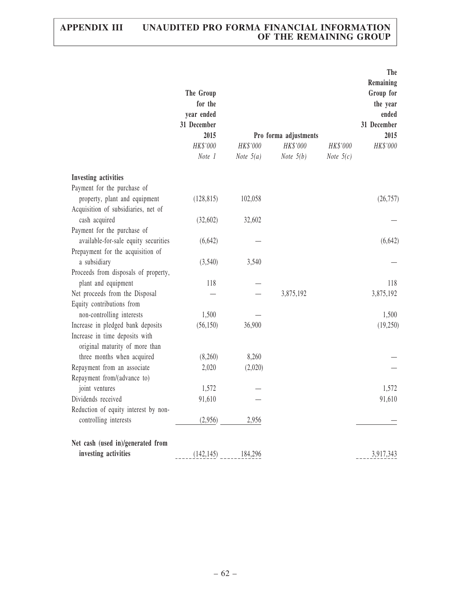|                                                       | The Group<br>for the<br>year ended<br>31 December<br>2015<br>HK\$'000<br>Note 1 | HK\$'000<br>Note $5(a)$ | Pro forma adjustments<br>HK\$'000<br>Note $5(b)$ | HK\$'000<br>Note $5(c)$ | The<br>Remaining<br>Group for<br>the year<br>ended<br>31 December<br>2015<br>HK\$'000 |
|-------------------------------------------------------|---------------------------------------------------------------------------------|-------------------------|--------------------------------------------------|-------------------------|---------------------------------------------------------------------------------------|
| <b>Investing activities</b>                           |                                                                                 |                         |                                                  |                         |                                                                                       |
| Payment for the purchase of                           |                                                                                 |                         |                                                  |                         |                                                                                       |
| property, plant and equipment                         | (128, 815)                                                                      | 102,058                 |                                                  |                         | (26, 757)                                                                             |
| Acquisition of subsidiaries, net of                   |                                                                                 |                         |                                                  |                         |                                                                                       |
| cash acquired                                         | (32,602)                                                                        | 32,602                  |                                                  |                         |                                                                                       |
| Payment for the purchase of                           |                                                                                 |                         |                                                  |                         |                                                                                       |
| available-for-sale equity securities                  | (6,642)                                                                         |                         |                                                  |                         | (6,642)                                                                               |
| Prepayment for the acquisition of                     |                                                                                 |                         |                                                  |                         |                                                                                       |
| a subsidiary                                          | (3,540)                                                                         | 3,540                   |                                                  |                         |                                                                                       |
| Proceeds from disposals of property,                  |                                                                                 |                         |                                                  |                         |                                                                                       |
| plant and equipment<br>Net proceeds from the Disposal | 118                                                                             |                         | 3,875,192                                        |                         | 118<br>3,875,192                                                                      |
| Equity contributions from                             |                                                                                 |                         |                                                  |                         |                                                                                       |
| non-controlling interests                             | 1,500                                                                           |                         |                                                  |                         | 1,500                                                                                 |
| Increase in pledged bank deposits                     | (56, 150)                                                                       | 36,900                  |                                                  |                         | (19,250)                                                                              |
| Increase in time deposits with                        |                                                                                 |                         |                                                  |                         |                                                                                       |
| original maturity of more than                        |                                                                                 |                         |                                                  |                         |                                                                                       |
| three months when acquired                            | (8,260)                                                                         | 8,260                   |                                                  |                         |                                                                                       |
| Repayment from an associate                           | 2,020                                                                           | (2,020)                 |                                                  |                         |                                                                                       |
| Repayment from/(advance to)                           |                                                                                 |                         |                                                  |                         |                                                                                       |
| joint ventures                                        | 1,572                                                                           |                         |                                                  |                         | 1,572                                                                                 |
| Dividends received                                    | 91,610                                                                          |                         |                                                  |                         | 91,610                                                                                |
| Reduction of equity interest by non-                  |                                                                                 |                         |                                                  |                         |                                                                                       |
| controlling interests                                 | (2,956)                                                                         | 2,956                   |                                                  |                         |                                                                                       |
| Net cash (used in)/generated from                     |                                                                                 |                         |                                                  |                         |                                                                                       |
| investing activities                                  | (142, 145)                                                                      | 184,296                 |                                                  |                         | 3,917,343                                                                             |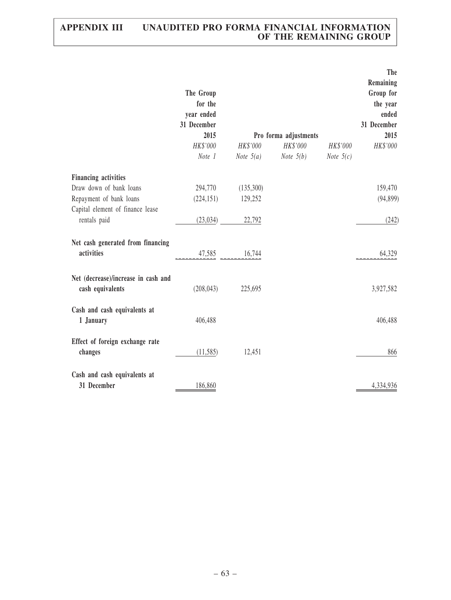|                                                         | The Group<br>for the<br>year ended<br>31 December<br>2015<br>HK\$'000<br>Note 1 | HK\$'000<br><i>Note</i> $5(a)$  | Pro forma adjustments<br>HK\$'000<br><i>Note</i> $5(b)$ | HK\$'000<br><i>Note</i> $5(c)$ | The<br>Remaining<br>Group for<br>the year<br>ended<br>31 December<br>2015<br>HK\$'000 |
|---------------------------------------------------------|---------------------------------------------------------------------------------|---------------------------------|---------------------------------------------------------|--------------------------------|---------------------------------------------------------------------------------------|
| <b>Financing activities</b>                             |                                                                                 |                                 |                                                         |                                |                                                                                       |
| Draw down of bank loans                                 | 294,770                                                                         | (135,300)                       |                                                         |                                | 159,470                                                                               |
| Repayment of bank loans                                 | (224, 151)                                                                      | 129,252                         |                                                         |                                | (94, 899)                                                                             |
| Capital element of finance lease                        |                                                                                 |                                 |                                                         |                                |                                                                                       |
| rentals paid                                            | (23,034)                                                                        | 22,792                          |                                                         |                                | (242)                                                                                 |
| Net cash generated from financing                       |                                                                                 |                                 |                                                         |                                |                                                                                       |
| activities                                              |                                                                                 | $\frac{47,585}{2}$ ------16,744 |                                                         |                                | 64,329                                                                                |
| Net (decrease)/increase in cash and<br>cash equivalents | (208, 043)                                                                      | 225,695                         |                                                         |                                | 3,927,582                                                                             |
|                                                         |                                                                                 |                                 |                                                         |                                |                                                                                       |
| Cash and cash equivalents at<br>1 January               | 406,488                                                                         |                                 |                                                         |                                | 406,488                                                                               |
| Effect of foreign exchange rate<br>changes              | (11, 585)                                                                       | 12,451                          |                                                         |                                | 866                                                                                   |
| Cash and cash equivalents at<br>31 December             | 186,860                                                                         |                                 |                                                         |                                | 4,334,936                                                                             |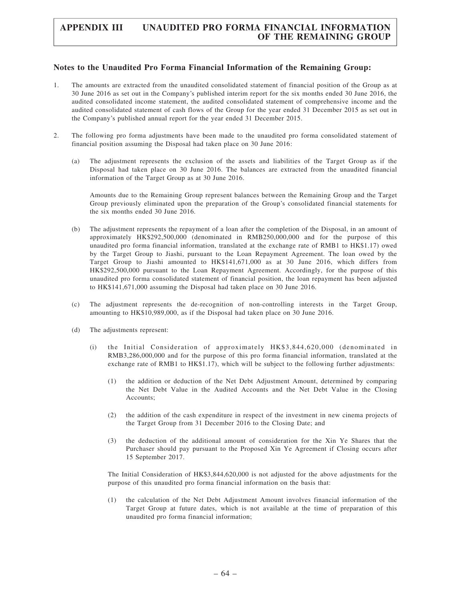#### Notes to the Unaudited Pro Forma Financial Information of the Remaining Group:

- 1. The amounts are extracted from the unaudited consolidated statement of financial position of the Group as at 30 June 2016 as set out in the Company's published interim report for the six months ended 30 June 2016, the audited consolidated income statement, the audited consolidated statement of comprehensive income and the audited consolidated statement of cash flows of the Group for the year ended 31 December 2015 as set out in the Company's published annual report for the year ended 31 December 2015.
- 2. The following pro forma adjustments have been made to the unaudited pro forma consolidated statement of financial position assuming the Disposal had taken place on 30 June 2016:
	- (a) The adjustment represents the exclusion of the assets and liabilities of the Target Group as if the Disposal had taken place on 30 June 2016. The balances are extracted from the unaudited financial information of the Target Group as at 30 June 2016.

Amounts due to the Remaining Group represent balances between the Remaining Group and the Target Group previously eliminated upon the preparation of the Group's consolidated financial statements for the six months ended 30 June 2016.

- (b) The adjustment represents the repayment of a loan after the completion of the Disposal, in an amount of approximately HK\$292,500,000 (denominated in RMB250,000,000 and for the purpose of this unaudited pro forma financial information, translated at the exchange rate of RMB1 to HK\$1.17) owed by the Target Group to Jiashi, pursuant to the Loan Repayment Agreement. The loan owed by the Target Group to Jiashi amounted to HK\$141,671,000 as at 30 June 2016, which differs from HK\$292,500,000 pursuant to the Loan Repayment Agreement. Accordingly, for the purpose of this unaudited pro forma consolidated statement of financial position, the loan repayment has been adjusted to HK\$141,671,000 assuming the Disposal had taken place on 30 June 2016.
- (c) The adjustment represents the de-recognition of non-controlling interests in the Target Group, amounting to HK\$10,989,000, as if the Disposal had taken place on 30 June 2016.
- (d) The adjustments represent:
	- (i) the Initial Consideration of approximately HK\$3,844,620,000 (denominated in RMB3,286,000,000 and for the purpose of this pro forma financial information, translated at the exchange rate of RMB1 to HK\$1.17), which will be subject to the following further adjustments:
		- (1) the addition or deduction of the Net Debt Adjustment Amount, determined by comparing the Net Debt Value in the Audited Accounts and the Net Debt Value in the Closing Accounts;
		- (2) the addition of the cash expenditure in respect of the investment in new cinema projects of the Target Group from 31 December 2016 to the Closing Date; and
		- (3) the deduction of the additional amount of consideration for the Xin Ye Shares that the Purchaser should pay pursuant to the Proposed Xin Ye Agreement if Closing occurs after 15 September 2017.

The Initial Consideration of HK\$3,844,620,000 is not adjusted for the above adjustments for the purpose of this unaudited pro forma financial information on the basis that:

(1) the calculation of the Net Debt Adjustment Amount involves financial information of the Target Group at future dates, which is not available at the time of preparation of this unaudited pro forma financial information;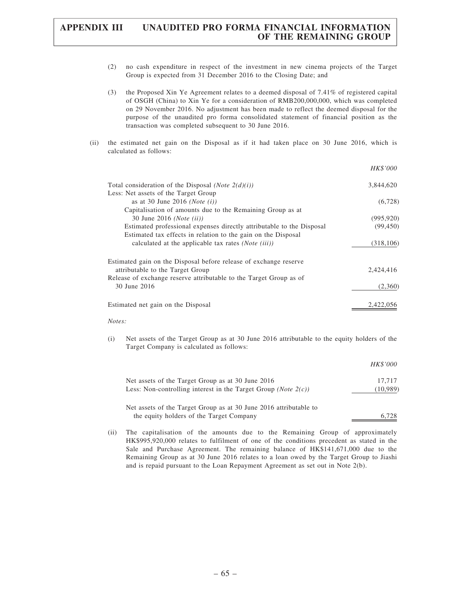- (2) no cash expenditure in respect of the investment in new cinema projects of the Target Group is expected from 31 December 2016 to the Closing Date; and
- (3) the Proposed Xin Ye Agreement relates to a deemed disposal of 7.41% of registered capital of OSGH (China) to Xin Ye for a consideration of RMB200,000,000, which was completed on 29 November 2016. No adjustment has been made to reflect the deemed disposal for the purpose of the unaudited pro forma consolidated statement of financial position as the transaction was completed subsequent to 30 June 2016.
- (ii) the estimated net gain on the Disposal as if it had taken place on 30 June 2016, which is calculated as follows:

|                                                                       | HK\$'000   |
|-----------------------------------------------------------------------|------------|
| Total consideration of the Disposal ( <i>Note</i> $2(d)(i)$ )         | 3,844,620  |
| Less: Net assets of the Target Group                                  |            |
| as at 30 June 2016 ( <i>Note</i> $(i)$ )                              | (6,728)    |
| Capitalisation of amounts due to the Remaining Group as at            |            |
| 30 June 2016 ( <i>Note (ii)</i> )                                     | (995, 920) |
| Estimated professional expenses directly attributable to the Disposal | (99, 450)  |
| Estimated tax effects in relation to the gain on the Disposal         |            |
| calculated at the applicable tax rates ( <i>Note (iii)</i> )          | (318, 106) |
| Estimated gain on the Disposal before release of exchange reserve     |            |
| attributable to the Target Group                                      | 2,424,416  |
| Release of exchange reserve attributable to the Target Group as of    |            |
| 30 June 2016                                                          | (2,360)    |
| Estimated net gain on the Disposal                                    | 2,422,056  |
|                                                                       |            |

#### Notes:

(i) Net assets of the Target Group as at 30 June 2016 attributable to the equity holders of the Target Company is calculated as follows:

|                                                                           | HK\$'000 |
|---------------------------------------------------------------------------|----------|
| Net assets of the Target Group as at 30 June 2016                         | 17.717   |
| Less: Non-controlling interest in the Target Group ( <i>Note</i> $2(c)$ ) | (10,989) |
| Net assets of the Target Group as at 30 June 2016 attributable to         |          |
| the equity holders of the Target Company                                  |          |

(ii) The capitalisation of the amounts due to the Remaining Group of approximately HK\$995,920,000 relates to fulfilment of one of the conditions precedent as stated in the Sale and Purchase Agreement. The remaining balance of HK\$141,671,000 due to the Remaining Group as at 30 June 2016 relates to a loan owed by the Target Group to Jiashi and is repaid pursuant to the Loan Repayment Agreement as set out in Note 2(b).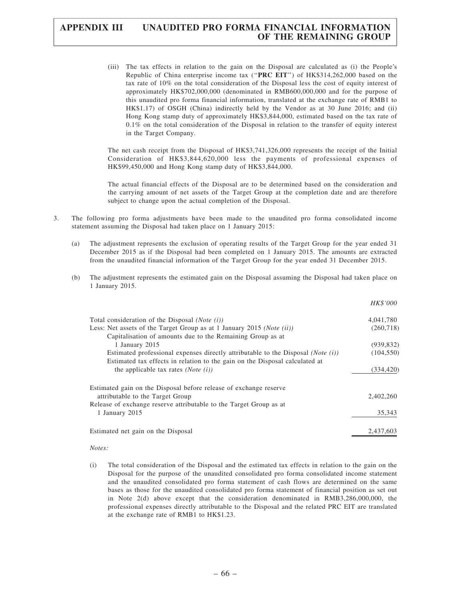(iii) The tax effects in relation to the gain on the Disposal are calculated as (i) the People's Republic of China enterprise income tax (''PRC EIT'') of HK\$314,262,000 based on the tax rate of 10% on the total consideration of the Disposal less the cost of equity interest of approximately HK\$702,000,000 (denominated in RMB600,000,000 and for the purpose of this unaudited pro forma financial information, translated at the exchange rate of RMB1 to HK\$1.17) of OSGH (China) indirectly held by the Vendor as at 30 June 2016; and (ii) Hong Kong stamp duty of approximately HK\$3,844,000, estimated based on the tax rate of  $0.1\%$  on the total consideration of the Disposal in relation to the transfer of equity interest in the Target Company.

The net cash receipt from the Disposal of HK\$3,741,326,000 represents the receipt of the Initial Consideration of HK\$3,844,620,000 less the payments of professional expenses of HK\$99,450,000 and Hong Kong stamp duty of HK\$3,844,000.

The actual financial effects of the Disposal are to be determined based on the consideration and the carrying amount of net assets of the Target Group at the completion date and are therefore subject to change upon the actual completion of the Disposal.

- 3. The following pro forma adjustments have been made to the unaudited pro forma consolidated income statement assuming the Disposal had taken place on 1 January 2015:
	- (a) The adjustment represents the exclusion of operating results of the Target Group for the year ended 31 December 2015 as if the Disposal had been completed on 1 January 2015. The amounts are extracted from the unaudited financial information of the Target Group for the year ended 31 December 2015.
	- (b) The adjustment represents the estimated gain on the Disposal assuming the Disposal had taken place on 1 January 2015.

|                                                                                             | HK\$'000   |
|---------------------------------------------------------------------------------------------|------------|
| Total consideration of the Disposal ( <i>Note</i> $(i)$ )                                   | 4,041,780  |
| Less: Net assets of the Target Group as at 1 January 2015 ( <i>Note (ii)</i> )              | (260, 718) |
| Capitalisation of amounts due to the Remaining Group as at                                  |            |
| 1 January 2015                                                                              | (939, 832) |
| Estimated professional expenses directly attributable to the Disposal ( <i>Note</i> $(i)$ ) | (104, 550) |
| Estimated tax effects in relation to the gain on the Disposal calculated at                 |            |
| the applicable tax rates ( <i>Note</i> $(i)$ )                                              | (334, 420) |
| Estimated gain on the Disposal before release of exchange reserve                           |            |
| attributable to the Target Group                                                            | 2,402,260  |
| Release of exchange reserve attributable to the Target Group as at                          |            |
| 1 January 2015                                                                              | 35,343     |
| Estimated net gain on the Disposal                                                          | 2,437,603  |

Notes:

(i) The total consideration of the Disposal and the estimated tax effects in relation to the gain on the Disposal for the purpose of the unaudited consolidated pro forma consolidated income statement and the unaudited consolidated pro forma statement of cash flows are determined on the same bases as those for the unaudited consolidated pro forma statement of financial position as set out in Note 2(d) above except that the consideration denominated in RMB3,286,000,000, the professional expenses directly attributable to the Disposal and the related PRC EIT are translated at the exchange rate of RMB1 to HK\$1.23.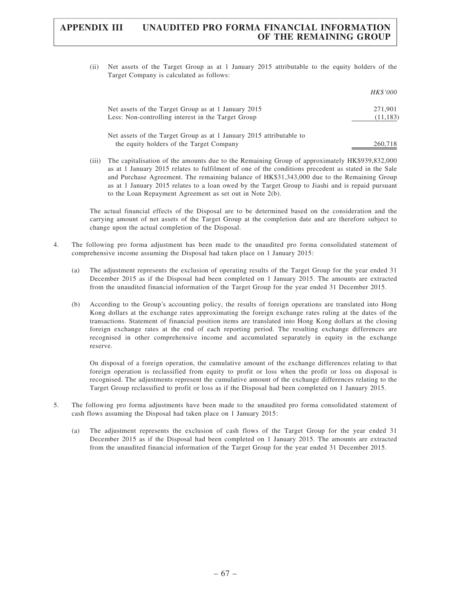(ii) Net assets of the Target Group as at 1 January 2015 attributable to the equity holders of the Target Company is calculated as follows:

|                                                                     | HK\$'000  |
|---------------------------------------------------------------------|-----------|
| Net assets of the Target Group as at 1 January 2015                 | 271,901   |
| Less: Non-controlling interest in the Target Group                  | (11, 183) |
| Net assets of the Target Group as at 1 January 2015 attributable to |           |
| the equity holders of the Target Company                            | 260.718   |

(iii) The capitalisation of the amounts due to the Remaining Group of approximately HK\$939,832,000 as at 1 January 2015 relates to fulfilment of one of the conditions precedent as stated in the Sale and Purchase Agreement. The remaining balance of HK\$31,343,000 due to the Remaining Group as at 1 January 2015 relates to a loan owed by the Target Group to Jiashi and is repaid pursuant to the Loan Repayment Agreement as set out in Note 2(b).

The actual financial effects of the Disposal are to be determined based on the consideration and the carrying amount of net assets of the Target Group at the completion date and are therefore subject to change upon the actual completion of the Disposal.

- 4. The following pro forma adjustment has been made to the unaudited pro forma consolidated statement of comprehensive income assuming the Disposal had taken place on 1 January 2015:
	- (a) The adjustment represents the exclusion of operating results of the Target Group for the year ended 31 December 2015 as if the Disposal had been completed on 1 January 2015. The amounts are extracted from the unaudited financial information of the Target Group for the year ended 31 December 2015.
	- (b) According to the Group's accounting policy, the results of foreign operations are translated into Hong Kong dollars at the exchange rates approximating the foreign exchange rates ruling at the dates of the transactions. Statement of financial position items are translated into Hong Kong dollars at the closing foreign exchange rates at the end of each reporting period. The resulting exchange differences are recognised in other comprehensive income and accumulated separately in equity in the exchange reserve.

On disposal of a foreign operation, the cumulative amount of the exchange differences relating to that foreign operation is reclassified from equity to profit or loss when the profit or loss on disposal is recognised. The adjustments represent the cumulative amount of the exchange differences relating to the Target Group reclassified to profit or loss as if the Disposal had been completed on 1 January 2015.

- 5. The following pro forma adjustments have been made to the unaudited pro forma consolidated statement of cash flows assuming the Disposal had taken place on 1 January 2015:
	- (a) The adjustment represents the exclusion of cash flows of the Target Group for the year ended 31 December 2015 as if the Disposal had been completed on 1 January 2015. The amounts are extracted from the unaudited financial information of the Target Group for the year ended 31 December 2015.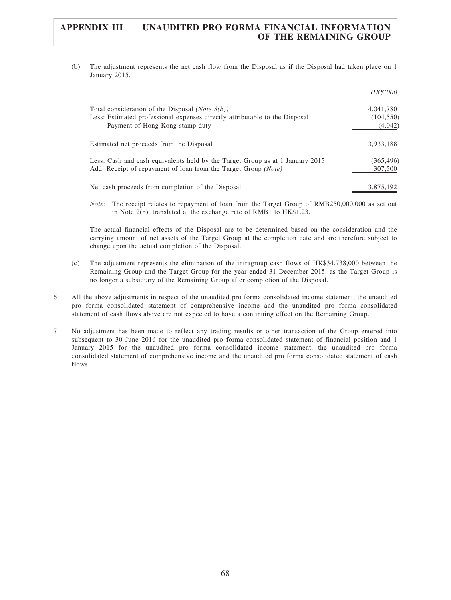(b) The adjustment represents the net cash flow from the Disposal as if the Disposal had taken place on 1 January 2015.

|                                                                                                                | <i>HK\$'000</i>       |
|----------------------------------------------------------------------------------------------------------------|-----------------------|
| Total consideration of the Disposal ( <i>Note</i> $3(b)$ )                                                     | 4,041,780             |
| Less: Estimated professional expenses directly attributable to the Disposal<br>Payment of Hong Kong stamp duty | (104, 550)<br>(4,042) |
| Estimated net proceeds from the Disposal                                                                       | 3.933.188             |
| Less: Cash and cash equivalents held by the Target Group as at 1 January 2015                                  | (365, 496)            |
| Add: Receipt of repayment of loan from the Target Group (Note)                                                 | 307,500               |
| Net cash proceeds from completion of the Disposal                                                              | 3,875,192             |

Note: The receipt relates to repayment of loan from the Target Group of RMB250,000,000 as set out in Note 2(b), translated at the exchange rate of RMB1 to HK\$1.23.

The actual financial effects of the Disposal are to be determined based on the consideration and the carrying amount of net assets of the Target Group at the completion date and are therefore subject to change upon the actual completion of the Disposal.

- (c) The adjustment represents the elimination of the intragroup cash flows of HK\$34,738,000 between the Remaining Group and the Target Group for the year ended 31 December 2015, as the Target Group is no longer a subsidiary of the Remaining Group after completion of the Disposal.
- 6. All the above adjustments in respect of the unaudited pro forma consolidated income statement, the unaudited pro forma consolidated statement of comprehensive income and the unaudited pro forma consolidated statement of cash flows above are not expected to have a continuing effect on the Remaining Group.
- 7. No adjustment has been made to reflect any trading results or other transaction of the Group entered into subsequent to 30 June 2016 for the unaudited pro forma consolidated statement of financial position and 1 January 2015 for the unaudited pro forma consolidated income statement, the unaudited pro forma consolidated statement of comprehensive income and the unaudited pro forma consolidated statement of cash flows.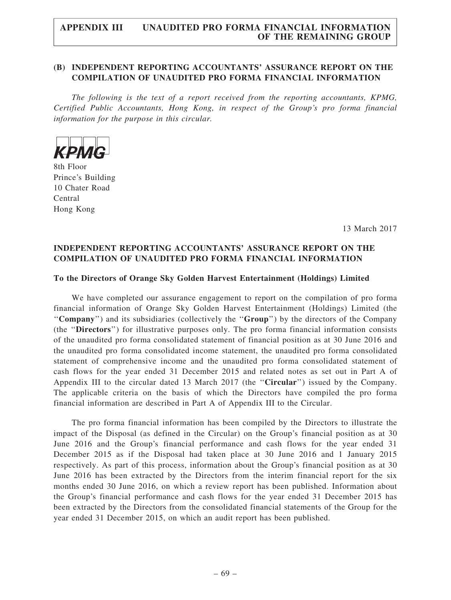## (B) INDEPENDENT REPORTING ACCOUNTANTS' ASSURANCE REPORT ON THE COMPILATION OF UNAUDITED PRO FORMA FINANCIAL INFORMATION

The following is the text of a report received from the reporting accountants, KPMG, Certified Public Accountants, Hong Kong, in respect of the Group's pro forma financial information for the purpose in this circular.



8th Floor Prince's Building 10 Chater Road Central Hong Kong

13 March 2017

## INDEPENDENT REPORTING ACCOUNTANTS' ASSURANCE REPORT ON THE COMPILATION OF UNAUDITED PRO FORMA FINANCIAL INFORMATION

### To the Directors of Orange Sky Golden Harvest Entertainment (Holdings) Limited

We have completed our assurance engagement to report on the compilation of pro forma financial information of Orange Sky Golden Harvest Entertainment (Holdings) Limited (the ''Company'') and its subsidiaries (collectively the ''Group'') by the directors of the Company (the ''Directors'') for illustrative purposes only. The pro forma financial information consists of the unaudited pro forma consolidated statement of financial position as at 30 June 2016 and the unaudited pro forma consolidated income statement, the unaudited pro forma consolidated statement of comprehensive income and the unaudited pro forma consolidated statement of cash flows for the year ended 31 December 2015 and related notes as set out in Part A of Appendix III to the circular dated 13 March 2017 (the ''Circular'') issued by the Company. The applicable criteria on the basis of which the Directors have compiled the pro forma financial information are described in Part A of Appendix III to the Circular.

The pro forma financial information has been compiled by the Directors to illustrate the impact of the Disposal (as defined in the Circular) on the Group's financial position as at 30 June 2016 and the Group's financial performance and cash flows for the year ended 31 December 2015 as if the Disposal had taken place at 30 June 2016 and 1 January 2015 respectively. As part of this process, information about the Group's financial position as at 30 June 2016 has been extracted by the Directors from the interim financial report for the six months ended 30 June 2016, on which a review report has been published. Information about the Group's financial performance and cash flows for the year ended 31 December 2015 has been extracted by the Directors from the consolidated financial statements of the Group for the year ended 31 December 2015, on which an audit report has been published.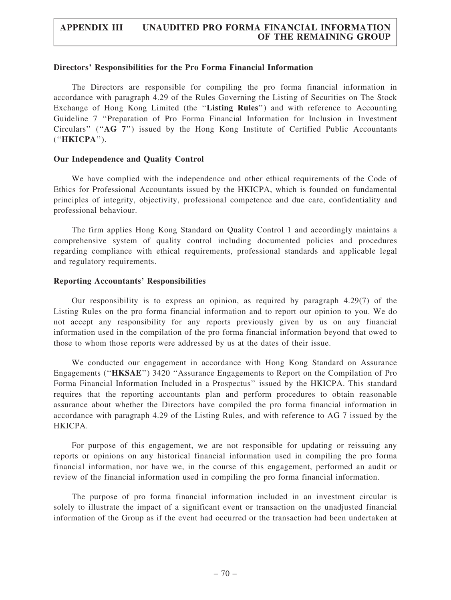#### Directors' Responsibilities for the Pro Forma Financial Information

The Directors are responsible for compiling the pro forma financial information in accordance with paragraph 4.29 of the Rules Governing the Listing of Securities on The Stock Exchange of Hong Kong Limited (the "Listing Rules") and with reference to Accounting Guideline 7 ''Preparation of Pro Forma Financial Information for Inclusion in Investment Circulars'' (''AG 7'') issued by the Hong Kong Institute of Certified Public Accountants (''HKICPA'').

### Our Independence and Quality Control

We have complied with the independence and other ethical requirements of the Code of Ethics for Professional Accountants issued by the HKICPA, which is founded on fundamental principles of integrity, objectivity, professional competence and due care, confidentiality and professional behaviour.

The firm applies Hong Kong Standard on Quality Control 1 and accordingly maintains a comprehensive system of quality control including documented policies and procedures regarding compliance with ethical requirements, professional standards and applicable legal and regulatory requirements.

## Reporting Accountants' Responsibilities

Our responsibility is to express an opinion, as required by paragraph 4.29(7) of the Listing Rules on the pro forma financial information and to report our opinion to you. We do not accept any responsibility for any reports previously given by us on any financial information used in the compilation of the pro forma financial information beyond that owed to those to whom those reports were addressed by us at the dates of their issue.

We conducted our engagement in accordance with Hong Kong Standard on Assurance Engagements (''HKSAE'') 3420 ''Assurance Engagements to Report on the Compilation of Pro Forma Financial Information Included in a Prospectus'' issued by the HKICPA. This standard requires that the reporting accountants plan and perform procedures to obtain reasonable assurance about whether the Directors have compiled the pro forma financial information in accordance with paragraph 4.29 of the Listing Rules, and with reference to AG 7 issued by the HKICPA.

For purpose of this engagement, we are not responsible for updating or reissuing any reports or opinions on any historical financial information used in compiling the pro forma financial information, nor have we, in the course of this engagement, performed an audit or review of the financial information used in compiling the pro forma financial information.

The purpose of pro forma financial information included in an investment circular is solely to illustrate the impact of a significant event or transaction on the unadjusted financial information of the Group as if the event had occurred or the transaction had been undertaken at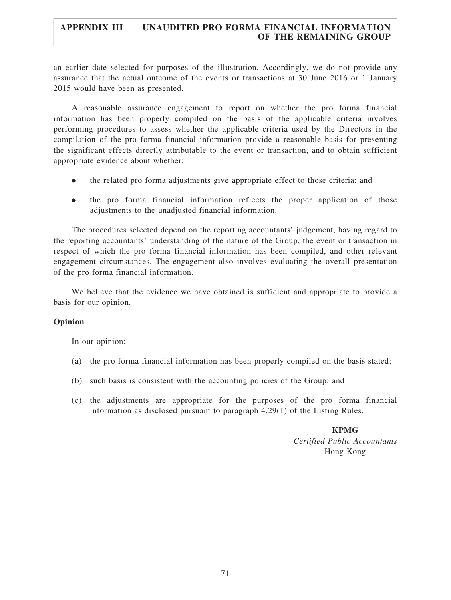# APPENDIX III UNAUDITED PRO FORMA FINANCIAL INFORMATION OF THE REMAINING GROUP

an earlier date selected for purposes of the illustration. Accordingly, we do not provide any assurance that the actual outcome of the events or transactions at 30 June 2016 or 1 January 2015 would have been as presented.

A reasonable assurance engagement to report on whether the pro forma financial information has been properly compiled on the basis of the applicable criteria involves performing procedures to assess whether the applicable criteria used by the Directors in the compilation of the pro forma financial information provide a reasonable basis for presenting the significant effects directly attributable to the event or transaction, and to obtain sufficient appropriate evidence about whether:

- . the related pro forma adjustments give appropriate effect to those criteria; and
- . the pro forma financial information reflects the proper application of those adjustments to the unadjusted financial information.

The procedures selected depend on the reporting accountants' judgement, having regard to the reporting accountants' understanding of the nature of the Group, the event or transaction in respect of which the pro forma financial information has been compiled, and other relevant engagement circumstances. The engagement also involves evaluating the overall presentation of the pro forma financial information.

We believe that the evidence we have obtained is sufficient and appropriate to provide a basis for our opinion.

## Opinion

In our opinion:

- (a) the pro forma financial information has been properly compiled on the basis stated;
- (b) such basis is consistent with the accounting policies of the Group; and
- (c) the adjustments are appropriate for the purposes of the pro forma financial information as disclosed pursuant to paragraph 4.29(1) of the Listing Rules.

KPMG Certified Public Accountants Hong Kong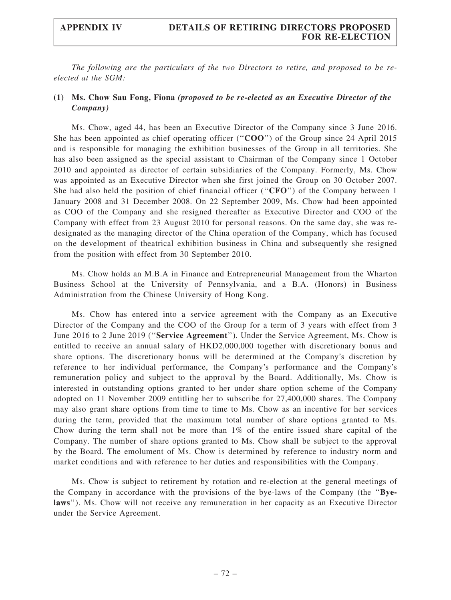The following are the particulars of the two Directors to retire, and proposed to be reelected at the SGM:

### (1) Ms. Chow Sau Fong, Fiona (proposed to be re-elected as an Executive Director of the Company)

Ms. Chow, aged 44, has been an Executive Director of the Company since 3 June 2016. She has been appointed as chief operating officer ("COO") of the Group since 24 April 2015 and is responsible for managing the exhibition businesses of the Group in all territories. She has also been assigned as the special assistant to Chairman of the Company since 1 October 2010 and appointed as director of certain subsidiaries of the Company. Formerly, Ms. Chow was appointed as an Executive Director when she first joined the Group on 30 October 2007. She had also held the position of chief financial officer ("CFO") of the Company between 1 January 2008 and 31 December 2008. On 22 September 2009, Ms. Chow had been appointed as COO of the Company and she resigned thereafter as Executive Director and COO of the Company with effect from 23 August 2010 for personal reasons. On the same day, she was redesignated as the managing director of the China operation of the Company, which has focused on the development of theatrical exhibition business in China and subsequently she resigned from the position with effect from 30 September 2010.

Ms. Chow holds an M.B.A in Finance and Entrepreneurial Management from the Wharton Business School at the University of Pennsylvania, and a B.A. (Honors) in Business Administration from the Chinese University of Hong Kong.

Ms. Chow has entered into a service agreement with the Company as an Executive Director of the Company and the COO of the Group for a term of 3 years with effect from 3 June 2016 to 2 June 2019 (''Service Agreement''). Under the Service Agreement, Ms. Chow is entitled to receive an annual salary of HKD2,000,000 together with discretionary bonus and share options. The discretionary bonus will be determined at the Company's discretion by reference to her individual performance, the Company's performance and the Company's remuneration policy and subject to the approval by the Board. Additionally, Ms. Chow is interested in outstanding options granted to her under share option scheme of the Company adopted on 11 November 2009 entitling her to subscribe for 27,400,000 shares. The Company may also grant share options from time to time to Ms. Chow as an incentive for her services during the term, provided that the maximum total number of share options granted to Ms. Chow during the term shall not be more than 1% of the entire issued share capital of the Company. The number of share options granted to Ms. Chow shall be subject to the approval by the Board. The emolument of Ms. Chow is determined by reference to industry norm and market conditions and with reference to her duties and responsibilities with the Company.

Ms. Chow is subject to retirement by rotation and re-election at the general meetings of the Company in accordance with the provisions of the bye-laws of the Company (the ''Byelaws''). Ms. Chow will not receive any remuneration in her capacity as an Executive Director under the Service Agreement.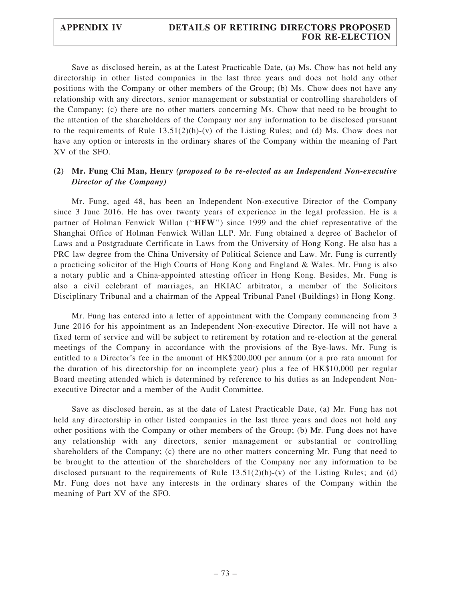Save as disclosed herein, as at the Latest Practicable Date, (a) Ms. Chow has not held any directorship in other listed companies in the last three years and does not hold any other positions with the Company or other members of the Group; (b) Ms. Chow does not have any relationship with any directors, senior management or substantial or controlling shareholders of the Company; (c) there are no other matters concerning Ms. Chow that need to be brought to the attention of the shareholders of the Company nor any information to be disclosed pursuant to the requirements of Rule  $13.51(2)(h)-(v)$  of the Listing Rules; and (d) Ms. Chow does not have any option or interests in the ordinary shares of the Company within the meaning of Part XV of the SFO.

# (2) Mr. Fung Chi Man, Henry (proposed to be re-elected as an Independent Non-executive Director of the Company)

Mr. Fung, aged 48, has been an Independent Non-executive Director of the Company since 3 June 2016. He has over twenty years of experience in the legal profession. He is a partner of Holman Fenwick Willan (''HFW'') since 1999 and the chief representative of the Shanghai Office of Holman Fenwick Willan LLP. Mr. Fung obtained a degree of Bachelor of Laws and a Postgraduate Certificate in Laws from the University of Hong Kong. He also has a PRC law degree from the China University of Political Science and Law. Mr. Fung is currently a practicing solicitor of the High Courts of Hong Kong and England & Wales. Mr. Fung is also a notary public and a China-appointed attesting officer in Hong Kong. Besides, Mr. Fung is also a civil celebrant of marriages, an HKIAC arbitrator, a member of the Solicitors Disciplinary Tribunal and a chairman of the Appeal Tribunal Panel (Buildings) in Hong Kong.

Mr. Fung has entered into a letter of appointment with the Company commencing from 3 June 2016 for his appointment as an Independent Non-executive Director. He will not have a fixed term of service and will be subject to retirement by rotation and re-election at the general meetings of the Company in accordance with the provisions of the Bye-laws. Mr. Fung is entitled to a Director's fee in the amount of HK\$200,000 per annum (or a pro rata amount for the duration of his directorship for an incomplete year) plus a fee of HK\$10,000 per regular Board meeting attended which is determined by reference to his duties as an Independent Nonexecutive Director and a member of the Audit Committee.

Save as disclosed herein, as at the date of Latest Practicable Date, (a) Mr. Fung has not held any directorship in other listed companies in the last three years and does not hold any other positions with the Company or other members of the Group; (b) Mr. Fung does not have any relationship with any directors, senior management or substantial or controlling shareholders of the Company; (c) there are no other matters concerning Mr. Fung that need to be brought to the attention of the shareholders of the Company nor any information to be disclosed pursuant to the requirements of Rule  $13.51(2)(h)-(v)$  of the Listing Rules; and (d) Mr. Fung does not have any interests in the ordinary shares of the Company within the meaning of Part XV of the SFO.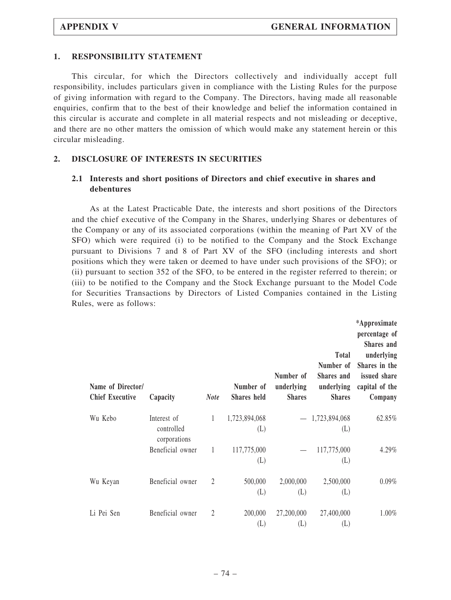#### 1. RESPONSIBILITY STATEMENT

This circular, for which the Directors collectively and individually accept full responsibility, includes particulars given in compliance with the Listing Rules for the purpose of giving information with regard to the Company. The Directors, having made all reasonable enquiries, confirm that to the best of their knowledge and belief the information contained in this circular is accurate and complete in all material respects and not misleading or deceptive, and there are no other matters the omission of which would make any statement herein or this circular misleading.

#### 2. DISCLOSURE OF INTERESTS IN SECURITIES

### 2.1 Interests and short positions of Directors and chief executive in shares and debentures

As at the Latest Practicable Date, the interests and short positions of the Directors and the chief executive of the Company in the Shares, underlying Shares or debentures of the Company or any of its associated corporations (within the meaning of Part XV of the SFO) which were required (i) to be notified to the Company and the Stock Exchange pursuant to Divisions 7 and 8 of Part XV of the SFO (including interests and short positions which they were taken or deemed to have under such provisions of the SFO); or (ii) pursuant to section 352 of the SFO, to be entered in the register referred to therein; or (iii) to be notified to the Company and the Stock Exchange pursuant to the Model Code for Securities Transactions by Directors of Listed Companies contained in the Listing Rules, were as follows:

| Name of Director/<br><b>Chief Executive</b> | Capacity                                  | <b>Note</b>  | Number of<br>Shares held | Number of<br>underlying<br><b>Shares</b> | <b>Total</b><br>Number of<br>Shares and<br>underlying<br><b>Shares</b> | *Approximate<br>percentage of<br>Shares and<br>underlying<br>Shares in the<br>issued share<br>capital of the<br>Company |
|---------------------------------------------|-------------------------------------------|--------------|--------------------------|------------------------------------------|------------------------------------------------------------------------|-------------------------------------------------------------------------------------------------------------------------|
| Wu Kebo                                     | Interest of<br>controlled<br>corporations | $\mathbf{1}$ | 1,723,894,068<br>(L)     |                                          | $-1,723,894,068$<br>(L)                                                | 62.85%                                                                                                                  |
|                                             | Beneficial owner                          | 1            | 117,775,000<br>(L)       |                                          | 117,775,000<br>(L)                                                     | 4.29%                                                                                                                   |
| Wu Keyan                                    | Beneficial owner                          | 2            | 500,000<br>(L)           | 2,000,000<br>(L)                         | 2,500,000<br>(L)                                                       | $0.09\%$                                                                                                                |
| Li Pei Sen                                  | Beneficial owner                          | 2            | 200,000<br>(L)           | 27,200,000<br>(L)                        | 27,400,000<br>(L)                                                      | 1.00%                                                                                                                   |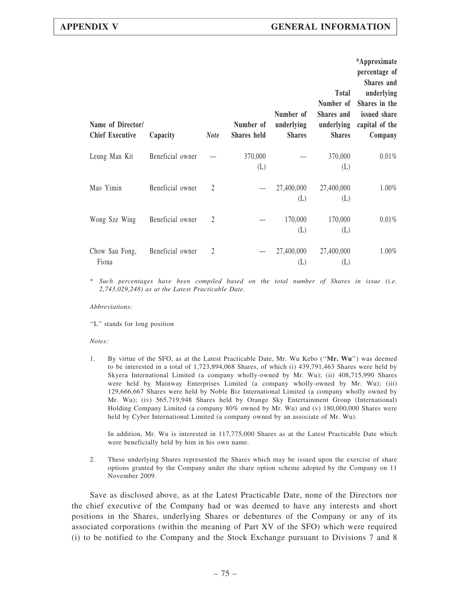| Name of Director/<br><b>Chief Executive</b> | Capacity         | <b>Note</b> | Number of<br>Shares held | Number of<br>underlying<br><b>Shares</b> | <b>Total</b><br>Number of<br>Shares and<br>underlying<br><b>Shares</b> | *Approximate<br>percentage of<br>Shares and<br>underlying<br>Shares in the<br>issued share<br>capital of the<br>Company |
|---------------------------------------------|------------------|-------------|--------------------------|------------------------------------------|------------------------------------------------------------------------|-------------------------------------------------------------------------------------------------------------------------|
| Leung Man Kit                               | Beneficial owner |             | 370,000<br>(L)           |                                          | 370,000<br>(L)                                                         | 0.01%                                                                                                                   |
| Mao Yimin                                   | Beneficial owner | 2           |                          | 27,400,000<br>(L)                        | 27,400,000<br>(L)                                                      | 1.00%                                                                                                                   |
| Wong Sze Wing                               | Beneficial owner | 2           |                          | 170,000<br>(L)                           | 170,000<br>(L)                                                         | 0.01%                                                                                                                   |
| Chow Sau Fong,<br>Fiona                     | Beneficial owner | 2           |                          | 27,400,000<br>(L)                        | 27,400,000<br>(L)                                                      | 1.00%                                                                                                                   |

\* Such percentages have been compiled based on the total number of Shares in issue (i.e. 2,743,029,248) as at the Latest Practicable Date.

Abbreviations:

"L" stands for long position

Notes:

1. By virtue of the SFO, as at the Latest Practicable Date, Mr. Wu Kebo ("Mr. Wu") was deemed to be interested in a total of 1,723,894,068 Shares, of which (i) 439,791,463 Shares were held by Skyera International Limited (a company wholly-owned by Mr. Wu); (ii) 408,715,990 Shares were held by Mainway Enterprises Limited (a company wholly-owned by Mr. Wu); (iii) 129,666,667 Shares were held by Noble Biz International Limited (a company wholly owned by Mr. Wu); (iv) 565,719,948 Shares held by Orange Sky Entertainment Group (International) Holding Company Limited (a company 80% owned by Mr. Wu) and (v) 180,000,000 Shares were held by Cyber International Limited (a company owned by an associate of Mr. Wu).

In addition, Mr. Wu is interested in 117,775,000 Shares as at the Latest Practicable Date which were beneficially held by him in his own name.

2. These underlying Shares represented the Shares which may be issued upon the exercise of share options granted by the Company under the share option scheme adopted by the Company on 11 November 2009.

Save as disclosed above, as at the Latest Practicable Date, none of the Directors nor the chief executive of the Company had or was deemed to have any interests and short positions in the Shares, underlying Shares or debentures of the Company or any of its associated corporations (within the meaning of Part XV of the SFO) which were required (i) to be notified to the Company and the Stock Exchange pursuant to Divisions 7 and 8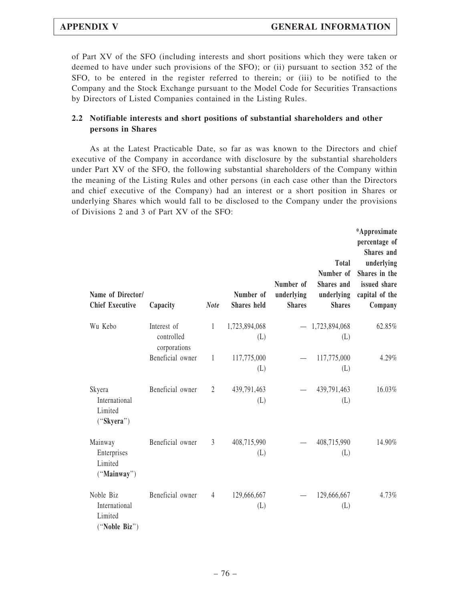of Part XV of the SFO (including interests and short positions which they were taken or deemed to have under such provisions of the SFO); or (ii) pursuant to section 352 of the SFO, to be entered in the register referred to therein; or (iii) to be notified to the Company and the Stock Exchange pursuant to the Model Code for Securities Transactions by Directors of Listed Companies contained in the Listing Rules.

### 2.2 Notifiable interests and short positions of substantial shareholders and other persons in Shares

As at the Latest Practicable Date, so far as was known to the Directors and chief executive of the Company in accordance with disclosure by the substantial shareholders under Part XV of the SFO, the following substantial shareholders of the Company within the meaning of the Listing Rules and other persons (in each case other than the Directors and chief executive of the Company) had an interest or a short position in Shares or underlying Shares which would fall to be disclosed to the Company under the provisions of Divisions 2 and 3 of Part XV of the SFO:

| Name of Director/<br><b>Chief Executive</b>            | Capacity                                  | <b>Note</b>    | Number of<br><b>Shares</b> held | Number of<br>underlying<br><b>Shares</b> | <b>Total</b><br>Number of<br>Shares and<br>underlying<br><b>Shares</b> | *Approximate<br>percentage of<br>Shares and<br>underlying<br>Shares in the<br>issued share<br>capital of the<br>Company |
|--------------------------------------------------------|-------------------------------------------|----------------|---------------------------------|------------------------------------------|------------------------------------------------------------------------|-------------------------------------------------------------------------------------------------------------------------|
| Wu Kebo                                                | Interest of<br>controlled<br>corporations | $\mathbf{1}$   | 1,723,894,068<br>(L)            |                                          | $-1,723,894,068$<br>(L)                                                | 62.85%                                                                                                                  |
|                                                        | Beneficial owner                          | $\mathbf{1}$   | 117,775,000<br>(L)              |                                          | 117,775,000<br>(L)                                                     | 4.29%                                                                                                                   |
| Skyera<br>International<br>Limited<br>("Skyera")       | Beneficial owner                          | 2              | 439,791,463<br>(L)              |                                          | 439,791,463<br>(L)                                                     | 16.03%                                                                                                                  |
| Mainway<br>Enterprises<br>Limited<br>("Mainway")       | Beneficial owner                          | $\mathfrak{Z}$ | 408,715,990<br>(L)              |                                          | 408,715,990<br>(L)                                                     | 14.90%                                                                                                                  |
| Noble Biz<br>International<br>Limited<br>("Noble Biz") | Beneficial owner                          | $\overline{4}$ | 129,666,667<br>(L)              |                                          | 129,666,667<br>(L)                                                     | 4.73%                                                                                                                   |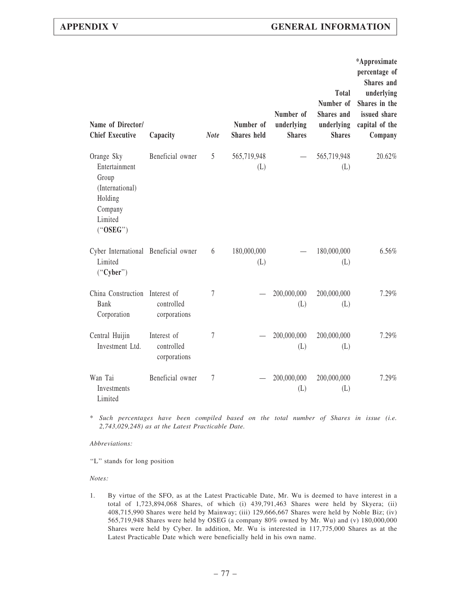| Name of Director/<br><b>Chief Executive</b>                                                          | Capacity                                  | <b>Note</b>      | Number of<br><b>Shares</b> held | Number of<br>underlying<br><b>Shares</b> | <b>Total</b><br>Number of<br>Shares and<br>underlying<br><b>Shares</b> | *Approximate<br>percentage of<br>Shares and<br>underlying<br>Shares in the<br>issued share<br>capital of the<br>Company |
|------------------------------------------------------------------------------------------------------|-------------------------------------------|------------------|---------------------------------|------------------------------------------|------------------------------------------------------------------------|-------------------------------------------------------------------------------------------------------------------------|
| Orange Sky<br>Entertainment<br>Group<br>(International)<br>Holding<br>Company<br>Limited<br>("OSEG") | Beneficial owner                          | 5                | 565,719,948<br>(L)              |                                          | 565,719,948<br>(L)                                                     | 20.62%                                                                                                                  |
| Cyber International Beneficial owner<br>Limited<br>("Cyber")                                         |                                           | 6                | 180,000,000<br>(L)              |                                          | 180,000,000<br>(L)                                                     | 6.56%                                                                                                                   |
| China Construction Interest of<br>Bank<br>Corporation                                                | controlled<br>corporations                | $\overline{7}$   |                                 | 200,000,000<br>(L)                       | 200,000,000<br>(L)                                                     | 7.29%                                                                                                                   |
| Central Huijin<br>Investment Ltd.                                                                    | Interest of<br>controlled<br>corporations | $\boldsymbol{7}$ |                                 | 200,000,000<br>(L)                       | 200,000,000<br>(L)                                                     | 7.29%                                                                                                                   |
| Wan Tai<br>Investments<br>Limited                                                                    | Beneficial owner                          | $\overline{7}$   |                                 | 200,000,000<br>(L)                       | 200,000,000<br>(L)                                                     | 7.29%                                                                                                                   |

\* Such percentages have been compiled based on the total number of Shares in issue (i.e. 2,743,029,248) as at the Latest Practicable Date.

Abbreviations:

"L" stands for long position

Notes:

1. By virtue of the SFO, as at the Latest Practicable Date, Mr. Wu is deemed to have interest in a total of 1,723,894,068 Shares, of which (i) 439,791,463 Shares were held by Skyera; (ii) 408,715,990 Shares were held by Mainway; (iii) 129,666,667 Shares were held by Noble Biz; (iv) 565,719,948 Shares were held by OSEG (a company 80% owned by Mr. Wu) and (v) 180,000,000 Shares were held by Cyber. In addition, Mr. Wu is interested in 117,775,000 Shares as at the Latest Practicable Date which were beneficially held in his own name.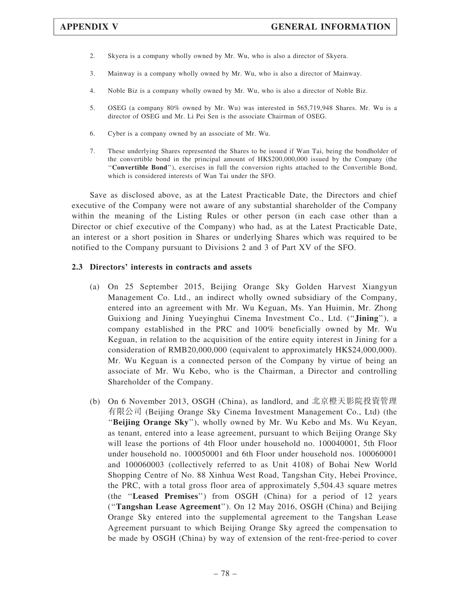- 2. Skyera is a company wholly owned by Mr. Wu, who is also a director of Skyera.
- 3. Mainway is a company wholly owned by Mr. Wu, who is also a director of Mainway.
- 4. Noble Biz is a company wholly owned by Mr. Wu, who is also a director of Noble Biz.
- 5. OSEG (a company 80% owned by Mr. Wu) was interested in 565,719,948 Shares. Mr. Wu is a director of OSEG and Mr. Li Pei Sen is the associate Chairman of OSEG.
- 6. Cyber is a company owned by an associate of Mr. Wu.
- 7. These underlying Shares represented the Shares to be issued if Wan Tai, being the bondholder of the convertible bond in the principal amount of HK\$200,000,000 issued by the Company (the ''Convertible Bond''), exercises in full the conversion rights attached to the Convertible Bond, which is considered interests of Wan Tai under the SFO.

Save as disclosed above, as at the Latest Practicable Date, the Directors and chief executive of the Company were not aware of any substantial shareholder of the Company within the meaning of the Listing Rules or other person (in each case other than a Director or chief executive of the Company) who had, as at the Latest Practicable Date, an interest or a short position in Shares or underlying Shares which was required to be notified to the Company pursuant to Divisions 2 and 3 of Part XV of the SFO.

#### 2.3 Directors' interests in contracts and assets

- (a) On 25 September 2015, Beijing Orange Sky Golden Harvest Xiangyun Management Co. Ltd., an indirect wholly owned subsidiary of the Company, entered into an agreement with Mr. Wu Keguan, Ms. Yan Huimin, Mr. Zhong Guixiong and Jining Yueyinghui Cinema Investment Co., Ltd. ("Jining"), a company established in the PRC and 100% beneficially owned by Mr. Wu Keguan, in relation to the acquisition of the entire equity interest in Jining for a consideration of RMB20,000,000 (equivalent to approximately HK\$24,000,000). Mr. Wu Keguan is a connected person of the Company by virtue of being an associate of Mr. Wu Kebo, who is the Chairman, a Director and controlling Shareholder of the Company.
- (b) On 6 November 2013, OSGH (China), as landlord, and 北京橙天影院投資管理 有限公司 (Beijing Orange Sky Cinema Investment Management Co., Ltd) (the ''Beijing Orange Sky''), wholly owned by Mr. Wu Kebo and Ms. Wu Keyan, as tenant, entered into a lease agreement, pursuant to which Beijing Orange Sky will lease the portions of 4th Floor under household no. 100040001, 5th Floor under household no. 100050001 and 6th Floor under household nos. 100060001 and 100060003 (collectively referred to as Unit 4108) of Bohai New World Shopping Centre of No. 88 Xinhua West Road, Tangshan City, Hebei Province, the PRC, with a total gross floor area of approximately 5,504.43 square metres (the "Leased Premises") from OSGH (China) for a period of 12 years (''Tangshan Lease Agreement''). On 12 May 2016, OSGH (China) and Beijing Orange Sky entered into the supplemental agreement to the Tangshan Lease Agreement pursuant to which Beijing Orange Sky agreed the compensation to be made by OSGH (China) by way of extension of the rent-free-period to cover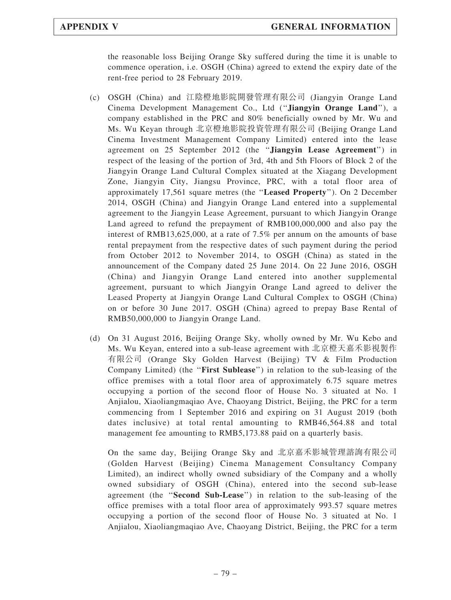the reasonable loss Beijing Orange Sky suffered during the time it is unable to commence operation, i.e. OSGH (China) agreed to extend the expiry date of the rent-free period to 28 February 2019.

- (c) OSGH (China) and 江陰橙地影院開發管理有限公司 (Jiangyin Orange Land Cinema Development Management Co., Ltd (''Jiangyin Orange Land''), a company established in the PRC and 80% beneficially owned by Mr. Wu and Ms. Wu Keyan through 北京橙地影院投資管理有限公司 (Beijing Orange Land Cinema Investment Management Company Limited) entered into the lease agreement on 25 September 2012 (the ''Jiangyin Lease Agreement'') in respect of the leasing of the portion of 3rd, 4th and 5th Floors of Block 2 of the Jiangyin Orange Land Cultural Complex situated at the Xiagang Development Zone, Jiangyin City, Jiangsu Province, PRC, with a total floor area of approximately 17,561 square metres (the ''Leased Property''). On 2 December 2014, OSGH (China) and Jiangyin Orange Land entered into a supplemental agreement to the Jiangyin Lease Agreement, pursuant to which Jiangyin Orange Land agreed to refund the prepayment of RMB100,000,000 and also pay the interest of RMB13,625,000, at a rate of 7.5% per annum on the amounts of base rental prepayment from the respective dates of such payment during the period from October 2012 to November 2014, to OSGH (China) as stated in the announcement of the Company dated 25 June 2014. On 22 June 2016, OSGH (China) and Jiangyin Orange Land entered into another supplemental agreement, pursuant to which Jiangyin Orange Land agreed to deliver the Leased Property at Jiangyin Orange Land Cultural Complex to OSGH (China) on or before 30 June 2017. OSGH (China) agreed to prepay Base Rental of RMB50,000,000 to Jiangyin Orange Land.
- (d) On 31 August 2016, Beijing Orange Sky, wholly owned by Mr. Wu Kebo and Ms. Wu Keyan, entered into a sub-lease agreement with 北京橙天嘉禾影視製作 有限公司 (Orange Sky Golden Harvest (Beijing) TV & Film Production Company Limited) (the "First Sublease") in relation to the sub-leasing of the office premises with a total floor area of approximately 6.75 square metres occupying a portion of the second floor of House No. 3 situated at No. 1 Anjialou, Xiaoliangmaqiao Ave, Chaoyang District, Beijing, the PRC for a term commencing from 1 September 2016 and expiring on 31 August 2019 (both dates inclusive) at total rental amounting to RMB46,564.88 and total management fee amounting to RMB5,173.88 paid on a quarterly basis.

On the same day, Beijing Orange Sky and 北京嘉禾影城管理諮詢有限公司 (Golden Harvest (Beijing) Cinema Management Consultancy Company Limited), an indirect wholly owned subsidiary of the Company and a wholly owned subsidiary of OSGH (China), entered into the second sub-lease agreement (the ''Second Sub-Lease'') in relation to the sub-leasing of the office premises with a total floor area of approximately 993.57 square metres occupying a portion of the second floor of House No. 3 situated at No. 1 Anjialou, Xiaoliangmaqiao Ave, Chaoyang District, Beijing, the PRC for a term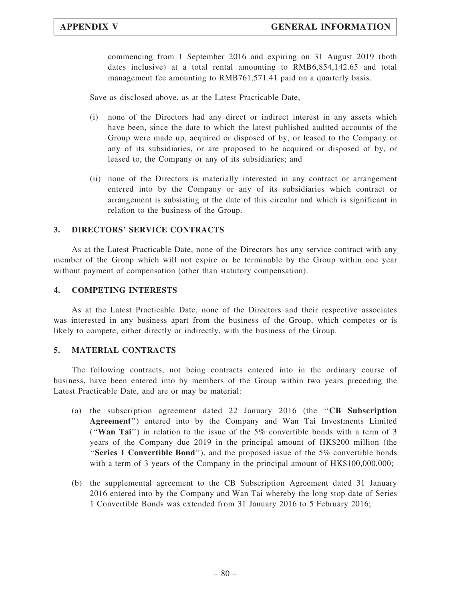commencing from 1 September 2016 and expiring on 31 August 2019 (both dates inclusive) at a total rental amounting to RMB6,854,142.65 and total management fee amounting to RMB761,571.41 paid on a quarterly basis.

Save as disclosed above, as at the Latest Practicable Date,

- (i) none of the Directors had any direct or indirect interest in any assets which have been, since the date to which the latest published audited accounts of the Group were made up, acquired or disposed of by, or leased to the Company or any of its subsidiaries, or are proposed to be acquired or disposed of by, or leased to, the Company or any of its subsidiaries; and
- (ii) none of the Directors is materially interested in any contract or arrangement entered into by the Company or any of its subsidiaries which contract or arrangement is subsisting at the date of this circular and which is significant in relation to the business of the Group.

### 3. DIRECTORS' SERVICE CONTRACTS

As at the Latest Practicable Date, none of the Directors has any service contract with any member of the Group which will not expire or be terminable by the Group within one year without payment of compensation (other than statutory compensation).

### 4. COMPETING INTERESTS

As at the Latest Practicable Date, none of the Directors and their respective associates was interested in any business apart from the business of the Group, which competes or is likely to compete, either directly or indirectly, with the business of the Group.

### 5. MATERIAL CONTRACTS

The following contracts, not being contracts entered into in the ordinary course of business, have been entered into by members of the Group within two years preceding the Latest Practicable Date, and are or may be material:

- (a) the subscription agreement dated 22 January 2016 (the  $"CB$  Subscription Agreement'') entered into by the Company and Wan Tai Investments Limited (''Wan Tai'') in relation to the issue of the 5% convertible bonds with a term of 3 years of the Company due 2019 in the principal amount of HK\$200 million (the "Series 1 Convertible Bond"), and the proposed issue of the  $5\%$  convertible bonds with a term of 3 years of the Company in the principal amount of HK\$100,000,000;
- (b) the supplemental agreement to the CB Subscription Agreement dated 31 January 2016 entered into by the Company and Wan Tai whereby the long stop date of Series 1 Convertible Bonds was extended from 31 January 2016 to 5 February 2016;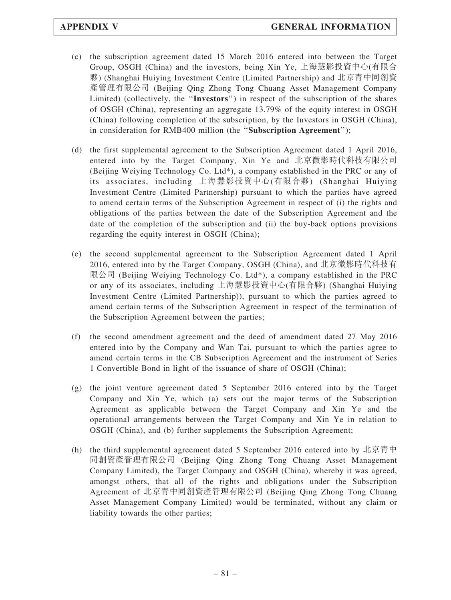- (c) the subscription agreement dated 15 March 2016 entered into between the Target Group, OSGH (China) and the investors, being Xin Ye, 上海慧影投資中心(有限合 夥) (Shanghai Huiying Investment Centre (Limited Partnership) and 北京青中同創資 產管理有限公司 (Beijing Qing Zhong Tong Chuang Asset Management Company Limited) (collectively, the ''Investors'') in respect of the subscription of the shares of OSGH (China), representing an aggregate 13.79% of the equity interest in OSGH (China) following completion of the subscription, by the Investors in OSGH (China), in consideration for RMB400 million (the "Subscription Agreement");
- (d) the first supplemental agreement to the Subscription Agreement dated 1 April 2016, entered into by the Target Company, Xin Ye and 北京微影時代科技有限公司 (Beijing Weiying Technology Co. Ltd\*), a company established in the PRC or any of its associates, including 上海慧影投資中心(有限合夥) (Shanghai Huiying Investment Centre (Limited Partnership) pursuant to which the parties have agreed to amend certain terms of the Subscription Agreement in respect of (i) the rights and obligations of the parties between the date of the Subscription Agreement and the date of the completion of the subscription and (ii) the buy-back options provisions regarding the equity interest in OSGH (China);
- (e) the second supplemental agreement to the Subscription Agreement dated 1 April 2016, entered into by the Target Company, OSGH (China), and 北京微影時代科技有 限公司 (Beijing Weiying Technology Co. Ltd\*), a company established in the PRC or any of its associates, including 上海慧影投資中心(有限合夥) (Shanghai Huiying Investment Centre (Limited Partnership)), pursuant to which the parties agreed to amend certain terms of the Subscription Agreement in respect of the termination of the Subscription Agreement between the parties;
- (f) the second amendment agreement and the deed of amendment dated 27 May 2016 entered into by the Company and Wan Tai, pursuant to which the parties agree to amend certain terms in the CB Subscription Agreement and the instrument of Series 1 Convertible Bond in light of the issuance of share of OSGH (China);
- (g) the joint venture agreement dated 5 September 2016 entered into by the Target Company and Xin Ye, which (a) sets out the major terms of the Subscription Agreement as applicable between the Target Company and Xin Ye and the operational arrangements between the Target Company and Xin Ye in relation to OSGH (China), and (b) further supplements the Subscription Agreement;
- (h) the third supplemental agreement dated 5 September 2016 entered into by 北京青中 同創資產管理有限公司 (Beijing Qing Zhong Tong Chuang Asset Management Company Limited), the Target Company and OSGH (China), whereby it was agreed, amongst others, that all of the rights and obligations under the Subscription Agreement of 北京青中同創資產管理有限公司 (Beijing Qing Zhong Tong Chuang Asset Management Company Limited) would be terminated, without any claim or liability towards the other parties;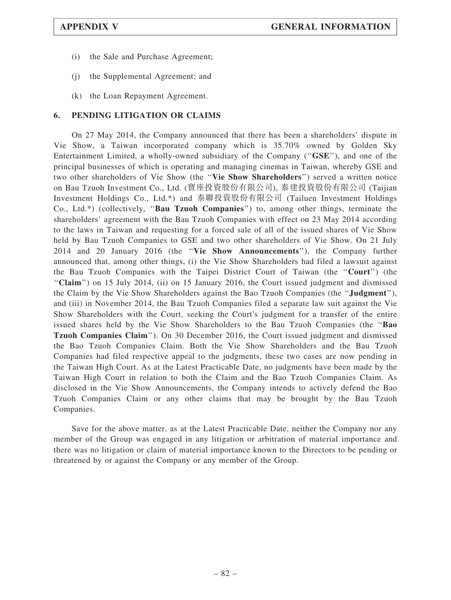- (i) the Sale and Purchase Agreement;
- (j) the Supplemental Agreement; and
- (k) the Loan Repayment Agreement.

### 6. PENDING LITIGATION OR CLAIMS

On 27 May 2014, the Company announced that there has been a shareholders' dispute in Vie Show, a Taiwan incorporated company which is 35.70% owned by Golden Sky Entertainment Limited, a wholly-owned subsidiary of the Company (''GSE''), and one of the principal businesses of which is operating and managing cinemas in Taiwan, whereby GSE and two other shareholders of Vie Show (the ''Vie Show Shareholders'') served a written notice on Bau Tzuoh Investment Co., Ltd. (寶座投資股份有限公司), 泰建投資股份有限公司 (Taijian Investment Holdings Co., Ltd.\*) and 泰聯投資股份有限公司 (Tailuen Investment Holdings Co., Ltd.\*) (collectively, ''Bau Tzuoh Companies'') to, among other things, terminate the shareholders' agreement with the Bau Tzuoh Companies with effect on 23 May 2014 according to the laws in Taiwan and requesting for a forced sale of all of the issued shares of Vie Show held by Bau Tzuoh Companies to GSE and two other shareholders of Vie Show. On 21 July 2014 and 20 January 2016 (the ''Vie Show Announcements''), the Company further announced that, among other things, (i) the Vie Show Shareholders had filed a lawsuit against the Bau Tzuoh Companies with the Taipei District Court of Taiwan (the ''Court'') (the ''Claim'') on 15 July 2014, (ii) on 15 January 2016, the Court issued judgment and dismissed the Claim by the Vie Show Shareholders against the Bao Tzuoh Companies (the ''Judgment''), and (iii) in November 2014, the Bau Tzuoh Companies filed a separate law suit against the Vie Show Shareholders with the Court, seeking the Court's judgment for a transfer of the entire issued shares held by the Vie Show Shareholders to the Bau Tzuoh Companies (the ''Bao Tzuoh Companies Claim''). On 30 December 2016, the Court issued judgment and dismissed the Bao Tzuoh Companies Claim. Both the Vie Show Shareholders and the Bau Tzuoh Companies had filed respective appeal to the judgments, these two cases are now pending in the Taiwan High Court. As at the Latest Practicable Date, no judgments have been made by the Taiwan High Court in relation to both the Claim and the Bao Tzuoh Companies Claim. As disclosed in the Vie Show Announcements, the Company intends to actively defend the Bao Tzuoh Companies Claim or any other claims that may be brought by the Bau Tzuoh Companies.

Save for the above matter, as at the Latest Practicable Date, neither the Company nor any member of the Group was engaged in any litigation or arbitration of material importance and there was no litigation or claim of material importance known to the Directors to be pending or threatened by or against the Company or any member of the Group.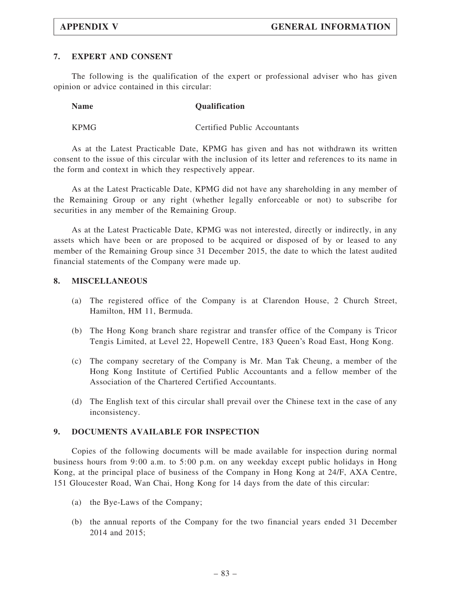### 7. EXPERT AND CONSENT

The following is the qualification of the expert or professional adviser who has given opinion or advice contained in this circular:

| <b>Name</b> | <b>Qualification</b> |
|-------------|----------------------|
|             |                      |

KPMG Certified Public Accountants

As at the Latest Practicable Date, KPMG has given and has not withdrawn its written consent to the issue of this circular with the inclusion of its letter and references to its name in the form and context in which they respectively appear.

As at the Latest Practicable Date, KPMG did not have any shareholding in any member of the Remaining Group or any right (whether legally enforceable or not) to subscribe for securities in any member of the Remaining Group.

As at the Latest Practicable Date, KPMG was not interested, directly or indirectly, in any assets which have been or are proposed to be acquired or disposed of by or leased to any member of the Remaining Group since 31 December 2015, the date to which the latest audited financial statements of the Company were made up.

#### 8. MISCELLANEOUS

- (a) The registered office of the Company is at Clarendon House, 2 Church Street, Hamilton, HM 11, Bermuda.
- (b) The Hong Kong branch share registrar and transfer office of the Company is Tricor Tengis Limited, at Level 22, Hopewell Centre, 183 Queen's Road East, Hong Kong.
- (c) The company secretary of the Company is Mr. Man Tak Cheung, a member of the Hong Kong Institute of Certified Public Accountants and a fellow member of the Association of the Chartered Certified Accountants.
- (d) The English text of this circular shall prevail over the Chinese text in the case of any inconsistency.

### 9. DOCUMENTS AVAILABLE FOR INSPECTION

Copies of the following documents will be made available for inspection during normal business hours from 9:00 a.m. to 5:00 p.m. on any weekday except public holidays in Hong Kong, at the principal place of business of the Company in Hong Kong at 24/F, AXA Centre, 151 Gloucester Road, Wan Chai, Hong Kong for 14 days from the date of this circular:

- (a) the Bye-Laws of the Company;
- (b) the annual reports of the Company for the two financial years ended 31 December 2014 and 2015;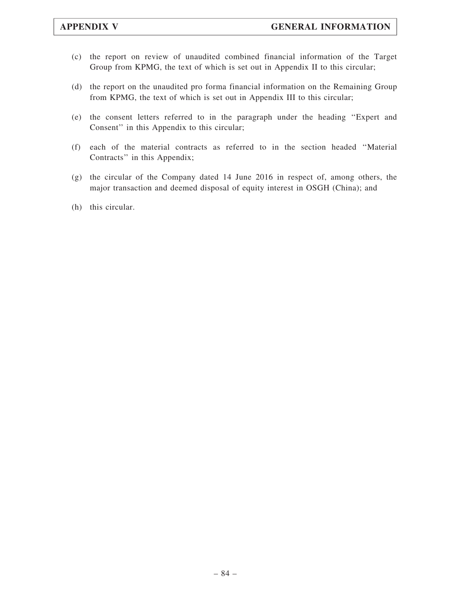- (c) the report on review of unaudited combined financial information of the Target Group from KPMG, the text of which is set out in Appendix II to this circular;
- (d) the report on the unaudited pro forma financial information on the Remaining Group from KPMG, the text of which is set out in Appendix III to this circular;
- (e) the consent letters referred to in the paragraph under the heading ''Expert and Consent'' in this Appendix to this circular;
- (f) each of the material contracts as referred to in the section headed ''Material Contracts'' in this Appendix;
- (g) the circular of the Company dated 14 June 2016 in respect of, among others, the major transaction and deemed disposal of equity interest in OSGH (China); and
- (h) this circular.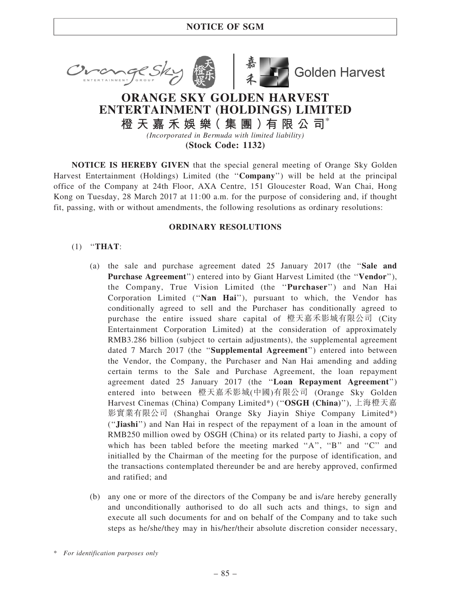



**Golden Harvest** 

# ORANGE SKY GOLDEN HARVEST ENTERTAINMENT (HOLDINGS) LIMITED

橙 天 嘉 禾 娛 樂( 集 團 )有 限 公 司\* (Incorporated in Bermuda with limited liability)

(Stock Code: 1132)

NOTICE IS HEREBY GIVEN that the special general meeting of Orange Sky Golden Harvest Entertainment (Holdings) Limited (the ''Company'') will be held at the principal office of the Company at 24th Floor, AXA Centre, 151 Gloucester Road, Wan Chai, Hong Kong on Tuesday, 28 March 2017 at 11:00 a.m. for the purpose of considering and, if thought fit, passing, with or without amendments, the following resolutions as ordinary resolutions:

# ORDINARY RESOLUTIONS

# $(1)$  "THAT:

- (a) the sale and purchase agreement dated 25 January 2017 (the ''Sale and Purchase Agreement") entered into by Giant Harvest Limited (the "Vendor"), the Company, True Vision Limited (the ''Purchaser'') and Nan Hai Corporation Limited (''Nan Hai''), pursuant to which, the Vendor has conditionally agreed to sell and the Purchaser has conditionally agreed to purchase the entire issued share capital of 橙天嘉禾影城有限公司 (City Entertainment Corporation Limited) at the consideration of approximately RMB3.286 billion (subject to certain adjustments), the supplemental agreement dated 7 March 2017 (the "Supplemental Agreement") entered into between the Vendor, the Company, the Purchaser and Nan Hai amending and adding certain terms to the Sale and Purchase Agreement, the loan repayment agreement dated 25 January 2017 (the ''Loan Repayment Agreement'') entered into between 橙天嘉禾影城(中國)有限公司 (Orange Sky Golden Harvest Cinemas (China) Company Limited\*) ("OSGH (China)"), 上海橙天嘉 影實業有限公司 (Shanghai Orange Sky Jiayin Shiye Company Limited\*) (''Jiashi'') and Nan Hai in respect of the repayment of a loan in the amount of RMB250 million owed by OSGH (China) or its related party to Jiashi, a copy of which has been tabled before the meeting marked "A", "B" and "C" and initialled by the Chairman of the meeting for the purpose of identification, and the transactions contemplated thereunder be and are hereby approved, confirmed and ratified; and
- (b) any one or more of the directors of the Company be and is/are hereby generally and unconditionally authorised to do all such acts and things, to sign and execute all such documents for and on behalf of the Company and to take such steps as he/she/they may in his/her/their absolute discretion consider necessary,

\* For identification purposes only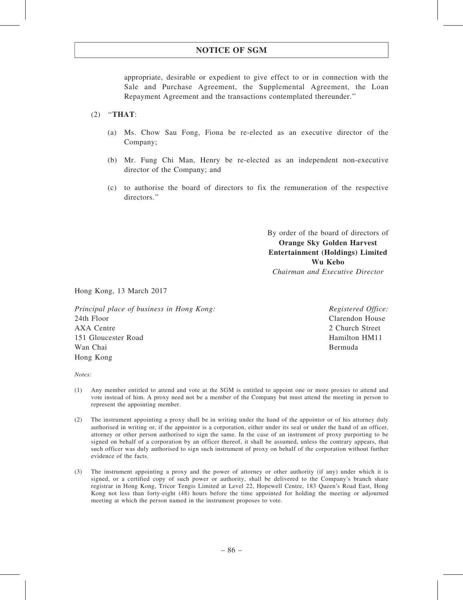# NOTICE OF SGM

appropriate, desirable or expedient to give effect to or in connection with the Sale and Purchase Agreement, the Supplemental Agreement, the Loan Repayment Agreement and the transactions contemplated thereunder.''

### (2) ''THAT:

- (a) Ms. Chow Sau Fong, Fiona be re-elected as an executive director of the Company;
- (b) Mr. Fung Chi Man, Henry be re-elected as an independent non-executive director of the Company; and
- (c) to authorise the board of directors to fix the remuneration of the respective directors.''

By order of the board of directors of Orange Sky Golden Harvest Entertainment (Holdings) Limited Wu Kebo Chairman and Executive Director

Hong Kong, 13 March 2017

Principal place of business in Hong Kong: 24th Floor AXA Centre 151 Gloucester Road Wan Chai Hong Kong

Registered Office: Clarendon House 2 Church Street Hamilton HM11 Bermuda

Notes:

- (1) Any member entitled to attend and vote at the SGM is entitled to appoint one or more proxies to attend and vote instead of him. A proxy need not be a member of the Company but must attend the meeting in person to represent the appointing member.
- (2) The instrument appointing a proxy shall be in writing under the hand of the appointor or of his attorney duly authorised in writing or, if the appointor is a corporation, either under its seal or under the hand of an officer, attorney or other person authorised to sign the same. In the case of an instrument of proxy purporting to be signed on behalf of a corporation by an officer thereof, it shall be assumed, unless the contrary appears, that such officer was duly authorised to sign such instrument of proxy on behalf of the corporation without further evidence of the facts.
- (3) The instrument appointing a proxy and the power of attorney or other authority (if any) under which it is signed, or a certified copy of such power or authority, shall be delivered to the Company's branch share registrar in Hong Kong, Tricor Tengis Limited at Level 22, Hopewell Centre, 183 Queen's Road East, Hong Kong not less than forty-eight (48) hours before the time appointed for holding the meeting or adjourned meeting at which the person named in the instrument proposes to vote.